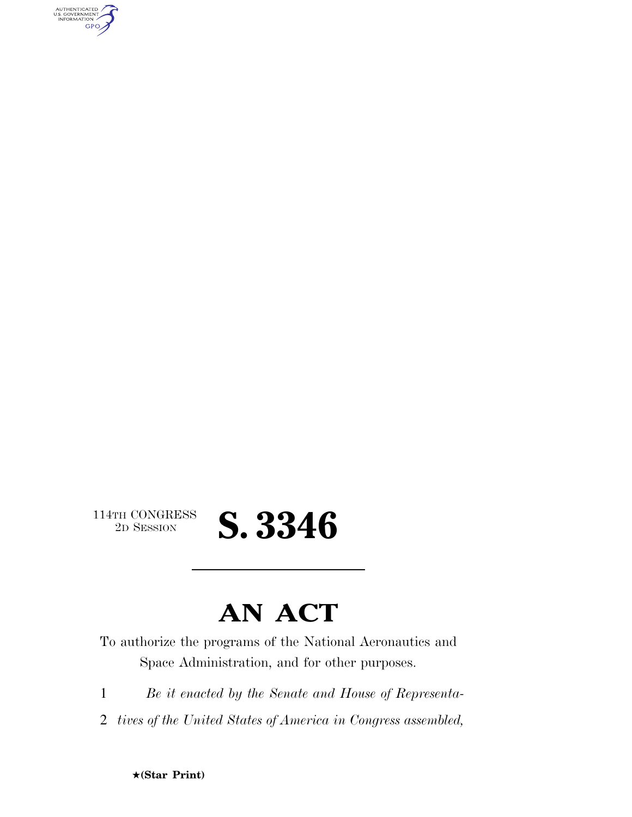AUTHENTICATED<br>U.S. GOVERNMENT<br>INFORMATION GPO

 $\begin{array}{c} \textbf{114TH CONGRESS} \\ \textbf{2D} \textbf{Session} \end{array}$ 

# 2D SESSION **S. 3346**

## **AN ACT**

To authorize the programs of the National Aeronautics and Space Administration, and for other purposes.

1 *Be it enacted by the Senate and House of Representa-*

2 *tives of the United States of America in Congress assembled,*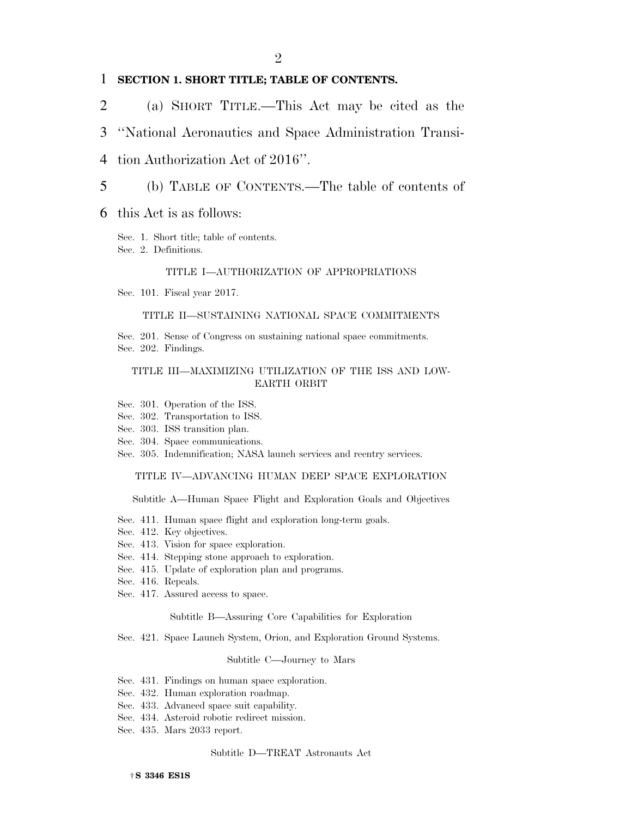#### 1 **SECTION 1. SHORT TITLE; TABLE OF CONTENTS.**

2 (a) SHORT TITLE.—This Act may be cited as the

3 ''National Aeronautics and Space Administration Transi-

- 4 tion Authorization Act of 2016''.
- 5 (b) TABLE OF CONTENTS.—The table of contents of

#### 6 this Act is as follows:

Sec. 1. Short title; table of contents. Sec. 2. Definitions.

#### TITLE I—AUTHORIZATION OF APPROPRIATIONS

Sec. 101. Fiscal year 2017.

#### TITLE II—SUSTAINING NATIONAL SPACE COMMITMENTS

Sec. 201. Sense of Congress on sustaining national space commitments. Sec. 202. Findings.

#### TITLE III—MAXIMIZING UTILIZATION OF THE ISS AND LOW-EARTH ORBIT

- Sec. 301. Operation of the ISS.
- Sec. 302. Transportation to ISS.
- Sec. 303. ISS transition plan.
- Sec. 304. Space communications.
- Sec. 305. Indemnification; NASA launch services and reentry services.

#### TITLE IV—ADVANCING HUMAN DEEP SPACE EXPLORATION

Subtitle A—Human Space Flight and Exploration Goals and Objectives

- Sec. 411. Human space flight and exploration long-term goals.
- Sec. 412. Key objectives.
- Sec. 413. Vision for space exploration.
- Sec. 414. Stepping stone approach to exploration.
- Sec. 415. Update of exploration plan and programs.
- Sec. 416. Repeals.
- Sec. 417. Assured access to space.

Subtitle B—Assuring Core Capabilities for Exploration

Sec. 421. Space Launch System, Orion, and Exploration Ground Systems.

#### Subtitle C—Journey to Mars

- Sec. 431. Findings on human space exploration.
- Sec. 432. Human exploration roadmap.
- Sec. 433. Advanced space suit capability.
- Sec. 434. Asteroid robotic redirect mission.
- Sec. 435. Mars 2033 report.

#### Subtitle D—TREAT Astronauts Act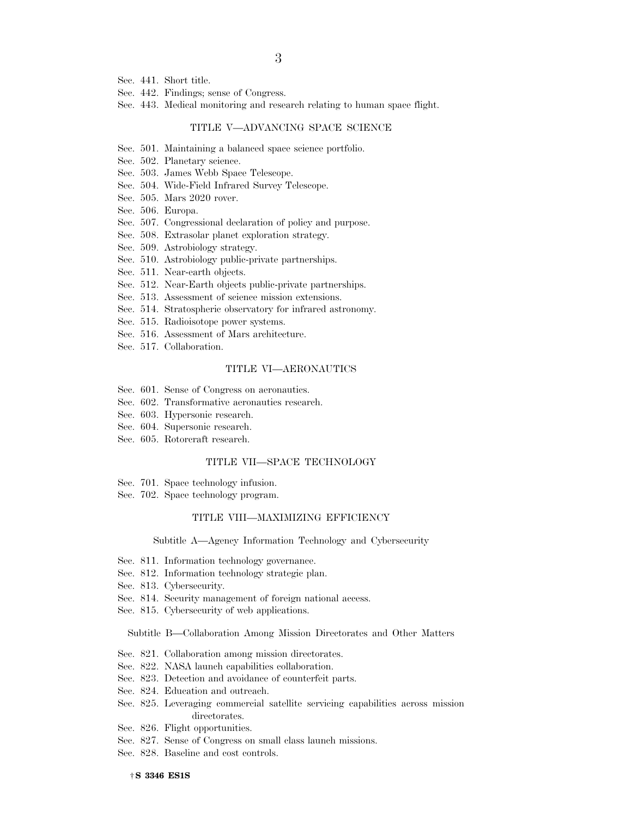- 3
- Sec. 441. Short title.
- Sec. 442. Findings; sense of Congress.
- Sec. 443. Medical monitoring and research relating to human space flight.

#### TITLE V—ADVANCING SPACE SCIENCE

- Sec. 501. Maintaining a balanced space science portfolio.
- Sec. 502. Planetary science.
- Sec. 503. James Webb Space Telescope.
- Sec. 504. Wide-Field Infrared Survey Telescope.
- Sec. 505. Mars 2020 rover.
- Sec. 506. Europa.
- Sec. 507. Congressional declaration of policy and purpose.
- Sec. 508. Extrasolar planet exploration strategy.
- Sec. 509. Astrobiology strategy.
- Sec. 510. Astrobiology public-private partnerships.
- Sec. 511. Near-earth objects.
- Sec. 512. Near-Earth objects public-private partnerships.
- Sec. 513. Assessment of science mission extensions.
- Sec. 514. Stratospheric observatory for infrared astronomy.
- Sec. 515. Radioisotope power systems.
- Sec. 516. Assessment of Mars architecture.
- Sec. 517. Collaboration.

#### TITLE VI—AERONAUTICS

- Sec. 601. Sense of Congress on aeronautics.
- Sec. 602. Transformative aeronautics research.
- Sec. 603. Hypersonic research.
- Sec. 604. Supersonic research.
- Sec. 605. Rotorcraft research.

#### TITLE VII—SPACE TECHNOLOGY

- Sec. 701. Space technology infusion.
- Sec. 702. Space technology program.

#### TITLE VIII—MAXIMIZING EFFICIENCY

Subtitle A—Agency Information Technology and Cybersecurity

- Sec. 811. Information technology governance.
- Sec. 812. Information technology strategic plan.
- Sec. 813. Cybersecurity.
- Sec. 814. Security management of foreign national access.
- Sec. 815. Cybersecurity of web applications.

Subtitle B—Collaboration Among Mission Directorates and Other Matters

- Sec. 821. Collaboration among mission directorates.
- Sec. 822. NASA launch capabilities collaboration.
- Sec. 823. Detection and avoidance of counterfeit parts.
- Sec. 824. Education and outreach.
- Sec. 825. Leveraging commercial satellite servicing capabilities across mission directorates.
- Sec. 826. Flight opportunities.
- Sec. 827. Sense of Congress on small class launch missions.
- Sec. 828. Baseline and cost controls.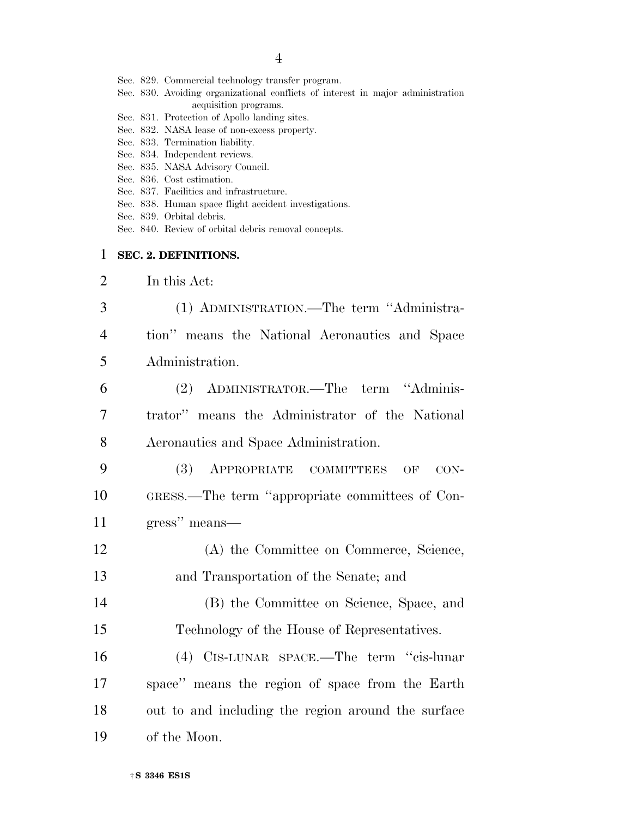|  |  | Sec. 829. Commercial technology transfer program. |  |  |  |
|--|--|---------------------------------------------------|--|--|--|
|--|--|---------------------------------------------------|--|--|--|

- Sec. 830. Avoiding organizational conflicts of interest in major administration acquisition programs.
- Sec. 831. Protection of Apollo landing sites.
- Sec. 832. NASA lease of non-excess property.
- Sec. 833. Termination liability.
- Sec. 834. Independent reviews.
- Sec. 835. NASA Advisory Council.
- Sec. 836. Cost estimation.
- Sec. 837. Facilities and infrastructure.
- Sec. 838. Human space flight accident investigations.
- Sec. 839. Orbital debris.
- Sec. 840. Review of orbital debris removal concepts.

#### 1 **SEC. 2. DEFINITIONS.**

- 2 In this Act:
- 3 (1) ADMINISTRATION.—The term ''Administra-4 tion'' means the National Aeronautics and Space 5 Administration. 6 (2) ADMINISTRATOR.—The term ''Adminis-7 trator'' means the Administrator of the National 8 Aeronautics and Space Administration. 9 (3) APPROPRIATE COMMITTEES OF CON-
- 10 GRESS.—The term ''appropriate committees of Con-11 gress'' means—
- 12 (A) the Committee on Commerce, Science, 13 and Transportation of the Senate; and
- 14 (B) the Committee on Science, Space, and 15 Technology of the House of Representatives.
- 16 (4) CIS-LUNAR SPACE.—The term ''cis-lunar 17 space'' means the region of space from the Earth 18 out to and including the region around the surface 19 of the Moon.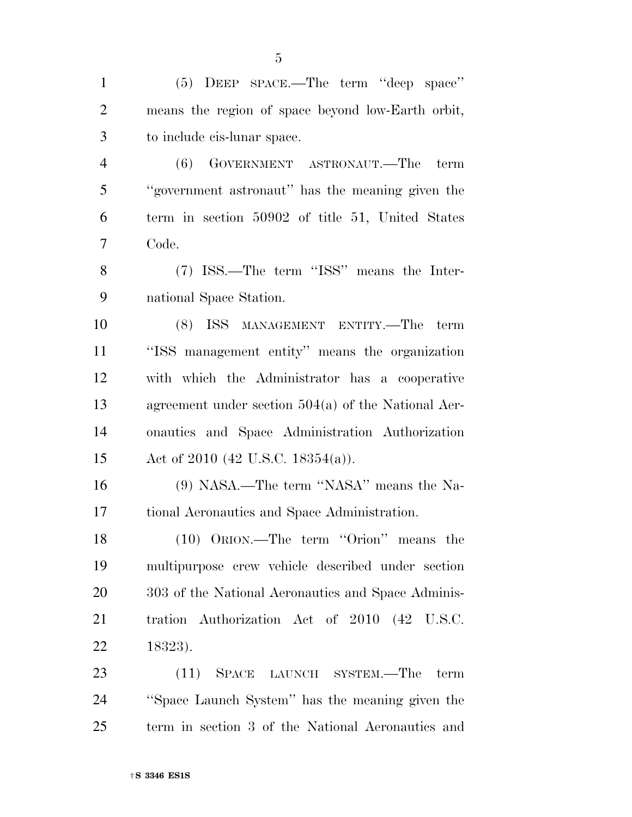(5) DEEP SPACE.—The term ''deep space'' means the region of space beyond low-Earth orbit, to include cis-lunar space. (6) GOVERNMENT ASTRONAUT.—The term ''government astronaut'' has the meaning given the term in section 50902 of title 51, United States Code. (7) ISS.—The term ''ISS'' means the Inter- national Space Station. (8) ISS MANAGEMENT ENTITY.—The term ''ISS management entity'' means the organization with which the Administrator has a cooperative agreement under section 504(a) of the National Aer- onautics and Space Administration Authorization Act of 2010 (42 U.S.C. 18354(a)). (9) NASA.—The term ''NASA'' means the Na- tional Aeronautics and Space Administration. (10) ORION.—The term ''Orion'' means the multipurpose crew vehicle described under section 20 303 of the National Aeronautics and Space Adminis- tration Authorization Act of 2010 (42 U.S.C. 18323). (11) SPACE LAUNCH SYSTEM.—The term ''Space Launch System'' has the meaning given the term in section 3 of the National Aeronautics and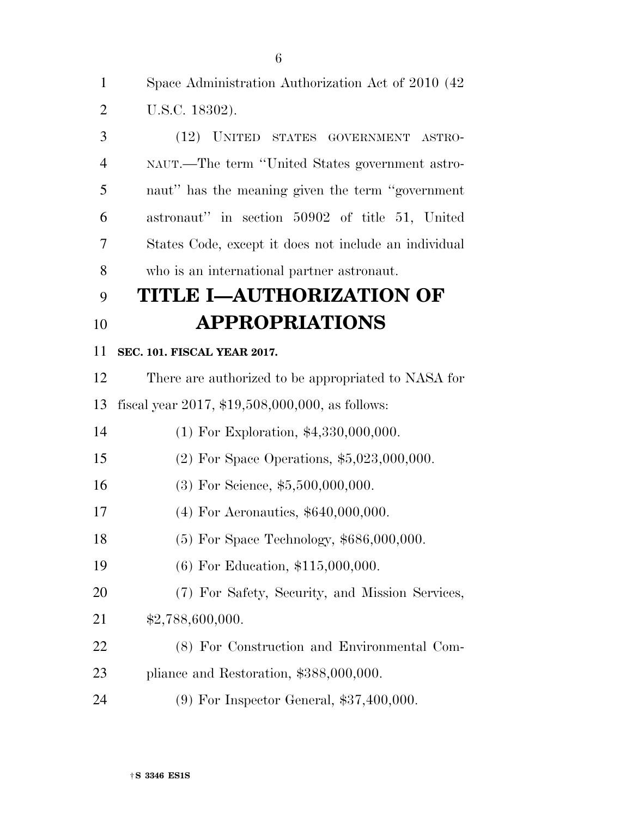Space Administration Authorization Act of 2010 (42 U.S.C. 18302).

 (12) UNITED STATES GOVERNMENT ASTRO- NAUT.—The term ''United States government astro- naut'' has the meaning given the term ''government astronaut'' in section 50902 of title 51, United States Code, except it does not include an individual who is an international partner astronaut.

## **TITLE I—AUTHORIZATION OF APPROPRIATIONS**

#### **SEC. 101. FISCAL YEAR 2017.**

There are authorized to be appropriated to NASA for

fiscal year 2017, \$19,508,000,000, as follows:

(1) For Exploration, \$4,330,000,000.

- (2) For Space Operations, \$5,023,000,000.
- 16 (3) For Science, \$5,500,000,000.
- 17 (4) For Aeronautics, \$640,000,000.
- (5) For Space Technology, \$686,000,000.
- (6) For Education, \$115,000,000.
- (7) For Safety, Security, and Mission Services,
- \$2,788,600,000.
- (8) For Construction and Environmental Com-pliance and Restoration, \$388,000,000.
- 
- (9) For Inspector General, \$37,400,000.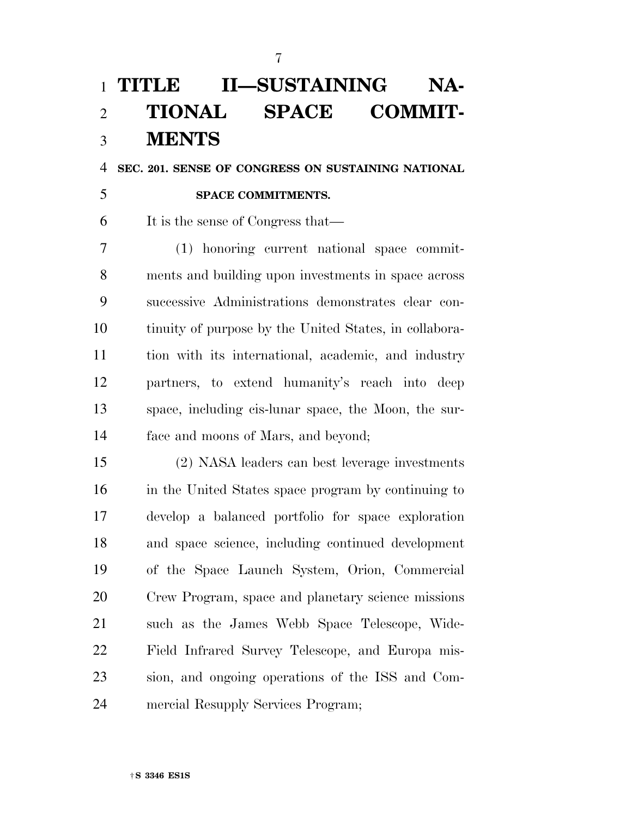## **TITLE II—SUSTAINING NA- TIONAL SPACE COMMIT-MENTS**

**SEC. 201. SENSE OF CONGRESS ON SUSTAINING NATIONAL** 

**SPACE COMMITMENTS.** 

It is the sense of Congress that—

 (1) honoring current national space commit- ments and building upon investments in space across successive Administrations demonstrates clear con- tinuity of purpose by the United States, in collabora- tion with its international, academic, and industry partners, to extend humanity's reach into deep space, including cis-lunar space, the Moon, the sur-face and moons of Mars, and beyond;

 (2) NASA leaders can best leverage investments in the United States space program by continuing to develop a balanced portfolio for space exploration and space science, including continued development of the Space Launch System, Orion, Commercial Crew Program, space and planetary science missions such as the James Webb Space Telescope, Wide- Field Infrared Survey Telescope, and Europa mis- sion, and ongoing operations of the ISS and Com-mercial Resupply Services Program;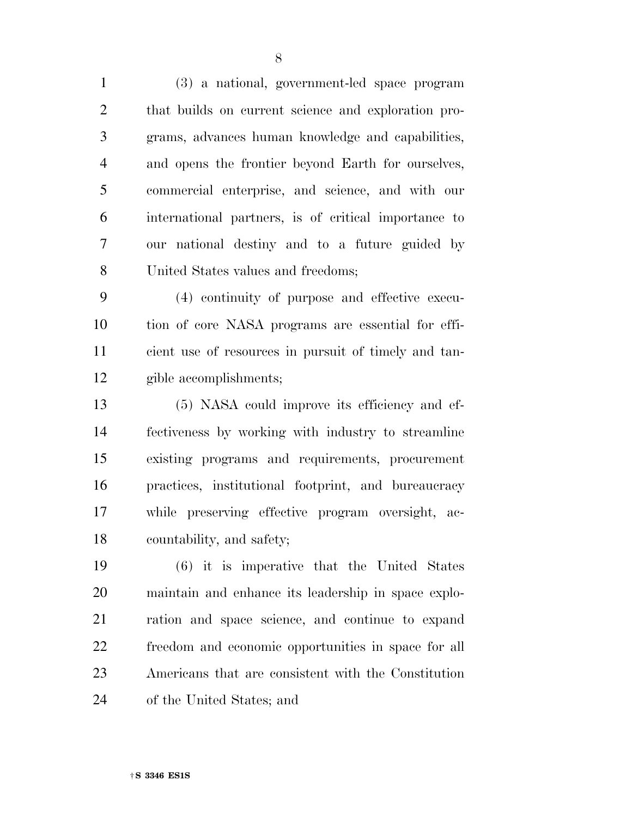(3) a national, government-led space program that builds on current science and exploration pro- grams, advances human knowledge and capabilities, and opens the frontier beyond Earth for ourselves, commercial enterprise, and science, and with our international partners, is of critical importance to our national destiny and to a future guided by United States values and freedoms;

 (4) continuity of purpose and effective execu- tion of core NASA programs are essential for effi- cient use of resources in pursuit of timely and tan-gible accomplishments;

 (5) NASA could improve its efficiency and ef- fectiveness by working with industry to streamline existing programs and requirements, procurement practices, institutional footprint, and bureaucracy while preserving effective program oversight, ac-countability, and safety;

 (6) it is imperative that the United States maintain and enhance its leadership in space explo- ration and space science, and continue to expand freedom and economic opportunities in space for all Americans that are consistent with the Constitution of the United States; and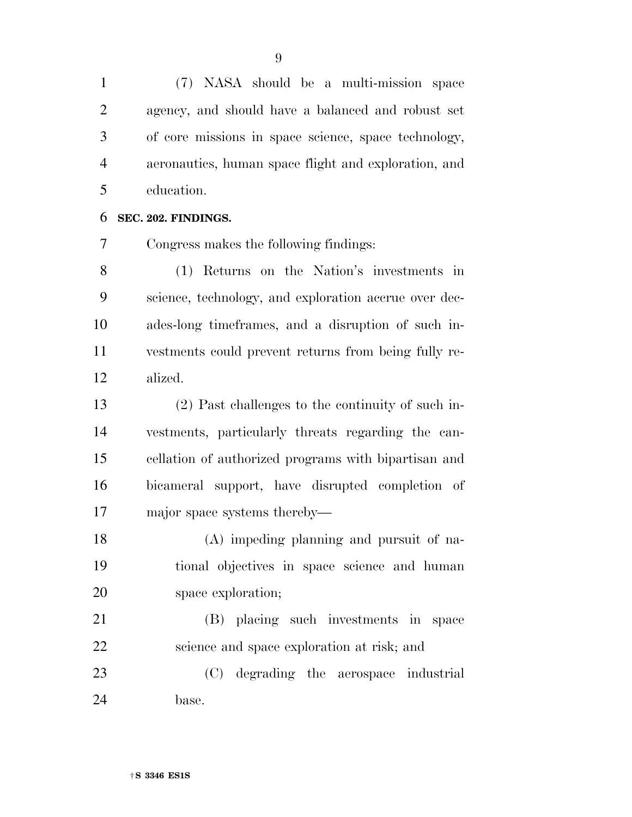(7) NASA should be a multi-mission space agency, and should have a balanced and robust set of core missions in space science, space technology, aeronautics, human space flight and exploration, and education.

**SEC. 202. FINDINGS.** 

Congress makes the following findings:

 (1) Returns on the Nation's investments in science, technology, and exploration accrue over dec- ades-long timeframes, and a disruption of such in- vestments could prevent returns from being fully re-alized.

 (2) Past challenges to the continuity of such in- vestments, particularly threats regarding the can- cellation of authorized programs with bipartisan and bicameral support, have disrupted completion of major space systems thereby—

 (A) impeding planning and pursuit of na- tional objectives in space science and human space exploration;

 (B) placing such investments in space science and space exploration at risk; and

 (C) degrading the aerospace industrial base.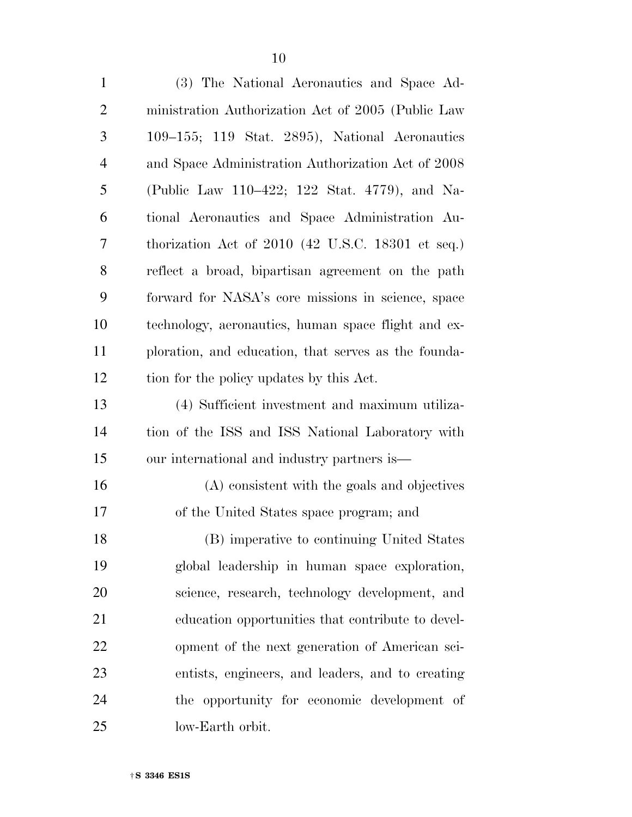(3) The National Aeronautics and Space Ad- ministration Authorization Act of 2005 (Public Law 109–155; 119 Stat. 2895), National Aeronautics and Space Administration Authorization Act of 2008 (Public Law 110–422; 122 Stat. 4779), and Na- tional Aeronautics and Space Administration Au- thorization Act of 2010 (42 U.S.C. 18301 et seq.) reflect a broad, bipartisan agreement on the path forward for NASA's core missions in science, space technology, aeronautics, human space flight and ex- ploration, and education, that serves as the founda- tion for the policy updates by this Act. (4) Sufficient investment and maximum utiliza- tion of the ISS and ISS National Laboratory with our international and industry partners is— (A) consistent with the goals and objectives of the United States space program; and (B) imperative to continuing United States global leadership in human space exploration, science, research, technology development, and education opportunities that contribute to devel- opment of the next generation of American sci- entists, engineers, and leaders, and to creating the opportunity for economic development of low-Earth orbit.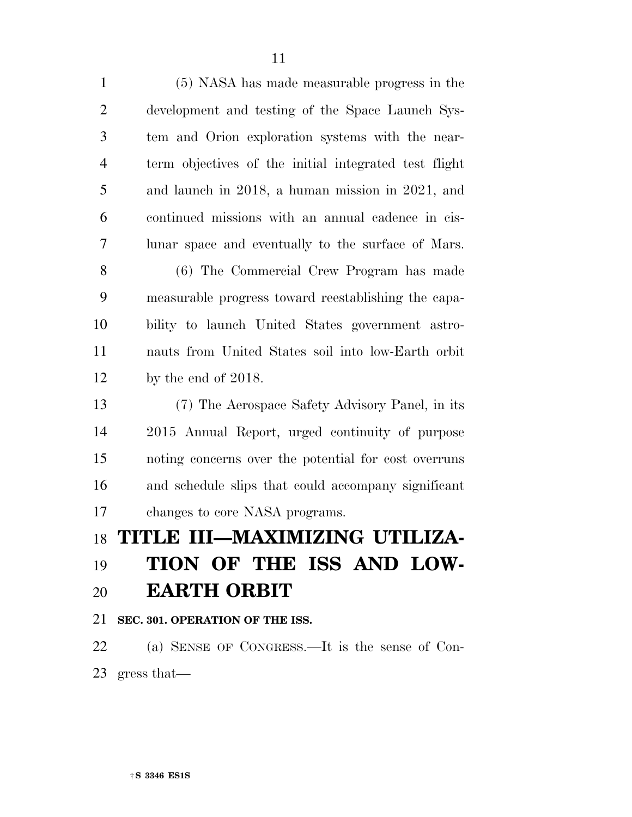(5) NASA has made measurable progress in the development and testing of the Space Launch Sys- tem and Orion exploration systems with the near- term objectives of the initial integrated test flight and launch in 2018, a human mission in 2021, and continued missions with an annual cadence in cis- lunar space and eventually to the surface of Mars. (6) The Commercial Crew Program has made measurable progress toward reestablishing the capa- bility to launch United States government astro- nauts from United States soil into low-Earth orbit by the end of 2018. (7) The Aerospace Safety Advisory Panel, in its 2015 Annual Report, urged continuity of purpose noting concerns over the potential for cost overruns and schedule slips that could accompany significant changes to core NASA programs. **TITLE III—MAXIMIZING UTILIZA-**

## **TION OF THE ISS AND LOW-EARTH ORBIT**

**SEC. 301. OPERATION OF THE ISS.** 

 (a) SENSE OF CONGRESS.—It is the sense of Con-gress that—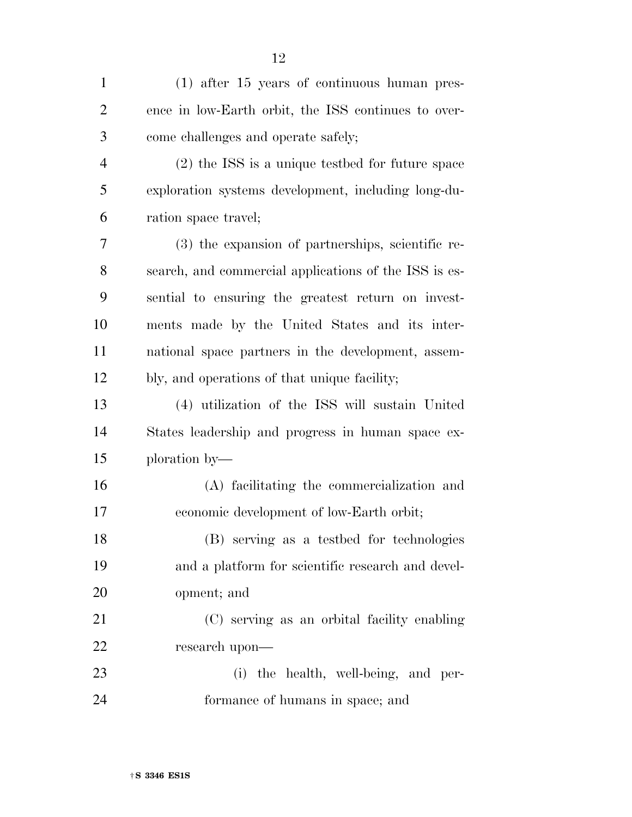| $\mathbf{1}$   | $(1)$ after 15 years of continuous human pres-        |
|----------------|-------------------------------------------------------|
| $\overline{2}$ | ence in low-Earth orbit, the ISS continues to over-   |
| 3              | come challenges and operate safely;                   |
| $\overline{4}$ | $(2)$ the ISS is a unique testbed for future space    |
| 5              | exploration systems development, including long-du-   |
| 6              | ration space travel;                                  |
| 7              | (3) the expansion of partnerships, scientific re-     |
| 8              | search, and commercial applications of the ISS is es- |
| 9              | sential to ensuring the greatest return on invest-    |
| 10             | ments made by the United States and its inter-        |
| 11             | national space partners in the development, assem-    |
| 12             | bly, and operations of that unique facility;          |
| 13             | (4) utilization of the ISS will sustain United        |
| 14             | States leadership and progress in human space ex-     |
| 15             | ploration by—                                         |
| 16             | (A) facilitating the commercialization and            |
| 17             | economic development of low-Earth orbit;              |
| 18             | (B) serving as a testbed for technologies             |
| 19             | and a platform for scientific research and devel-     |
| 20             | opment; and                                           |
| 21             | (C) serving as an orbital facility enabling           |
| 22             | research upon—                                        |
| 23             | (i) the health, well-being, and per-                  |
| 24             | formance of humans in space; and                      |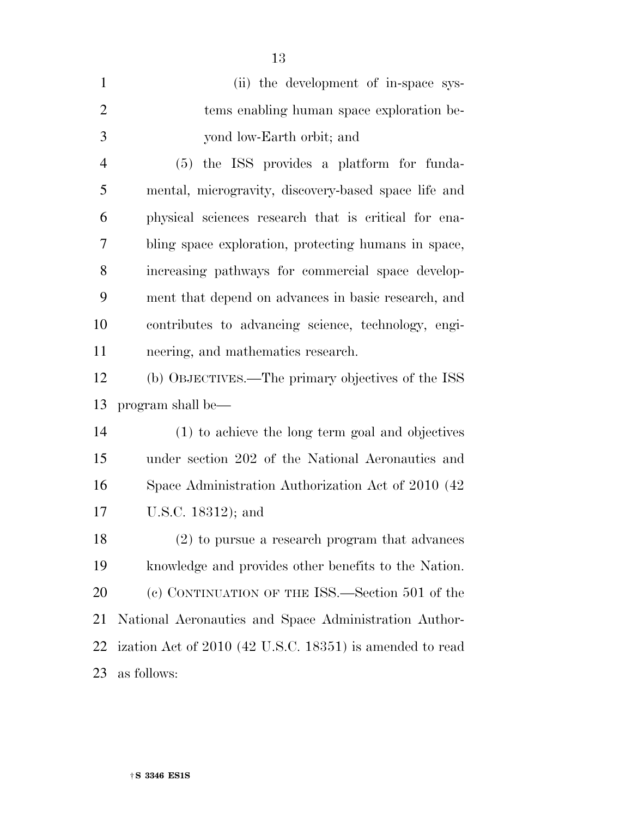| $\mathbf{1}$   | (ii) the development of in-space sys-                    |
|----------------|----------------------------------------------------------|
| $\overline{2}$ | tems enabling human space exploration be-                |
| 3              | yond low-Earth orbit; and                                |
| $\overline{4}$ | (5) the ISS provides a platform for funda-               |
| 5              | mental, microgravity, discovery-based space life and     |
| 6              | physical sciences research that is critical for ena-     |
| 7              | bling space exploration, protecting humans in space,     |
| 8              | increasing pathways for commercial space develop-        |
| 9              | ment that depend on advances in basic research, and      |
| 10             | contributes to advancing science, technology, engi-      |
| 11             | neering, and mathematics research.                       |
| 12             | (b) OBJECTIVES.—The primary objectives of the ISS        |
| 13             | program shall be—                                        |
| 14             | (1) to achieve the long term goal and objectives         |
| 15             | under section 202 of the National Aeronautics and        |
| 16             | Space Administration Authorization Act of 2010 (42)      |
| 17             | U.S.C. 18312); and                                       |
| 18             | (2) to pursue a research program that advances           |
| 19             | knowledge and provides other benefits to the Nation.     |
| 20             | (c) CONTINUATION OF THE ISS.—Section 501 of the          |
| 21             | National Aeronautics and Space Administration Author-    |
| 22             | ization Act of 2010 (42 U.S.C. 18351) is amended to read |
| 23             | as follows:                                              |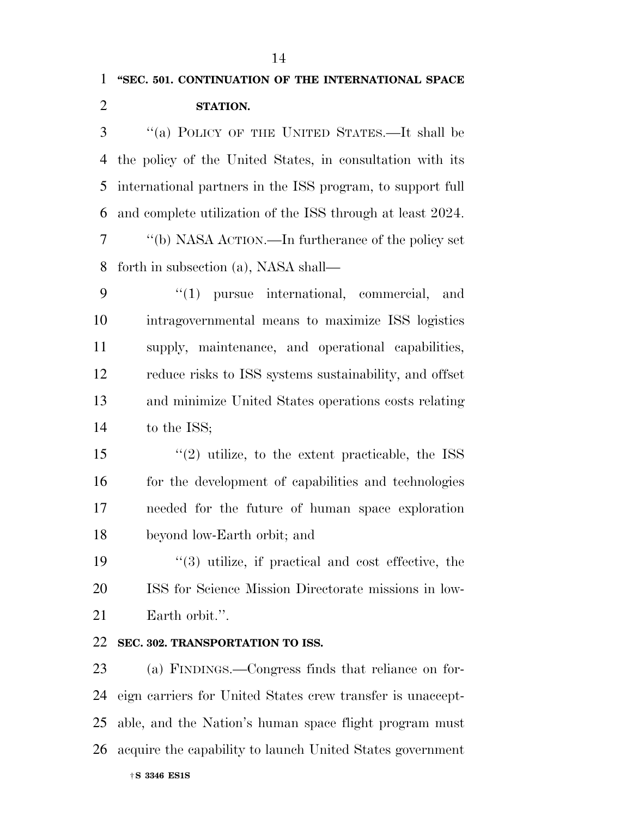| $\mathbf{1}$   | "SEC. 501. CONTINUATION OF THE INTERNATIONAL SPACE         |
|----------------|------------------------------------------------------------|
| $\overline{2}$ | STATION.                                                   |
| 3              | "(a) POLICY OF THE UNITED STATES.—It shall be              |
| 4              | the policy of the United States, in consultation with its  |
| 5              | international partners in the ISS program, to support full |
| 6              | and complete utilization of the ISS through at least 2024. |
| 7              | "(b) NASA ACTION.—In furtherance of the policy set         |
| 8              | forth in subsection (a), NASA shall—                       |
| 9              | $(1)$ pursue international, commercial, and                |
| 10             | intragovernmental means to maximize ISS logistics          |
| 11             | supply, maintenance, and operational capabilities,         |
| 12             | reduce risks to ISS systems sustainability, and offset     |
| 13             | and minimize United States operations costs relating       |
| 14             | to the ISS;                                                |
| 15             | $\cdot$ (2) utilize, to the extent practicable, the ISS    |
| 16             | for the development of capabilities and technologies       |
| 17             | needed for the future of human space exploration           |
| 18             | beyond low-Earth orbit; and                                |
| 19             | $(3)$ utilize, if practical and cost effective, the        |
| <b>20</b>      | ISS for Science Mission Directorate missions in low-       |
| 21             | Earth orbit.".                                             |
| 22             | SEC. 302. TRANSPORTATION TO ISS.                           |
| 23             | (a) FINDINGS.—Congress finds that reliance on for-         |
| 24             | eign carriers for United States crew transfer is unaccept- |
| 25             | able, and the Nation's human space flight program must     |
| 26             | acquire the capability to launch United States government  |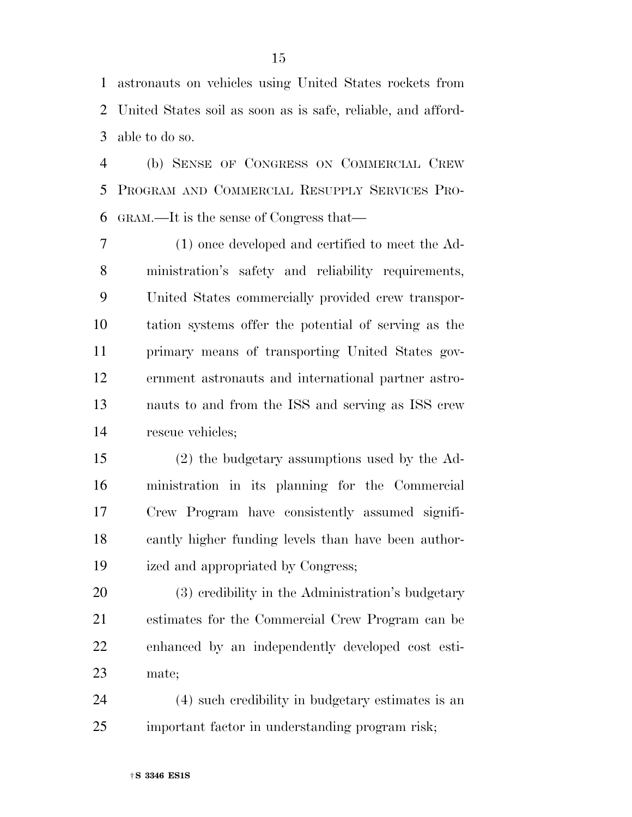astronauts on vehicles using United States rockets from United States soil as soon as is safe, reliable, and afford-able to do so.

 (b) SENSE OF CONGRESS ON COMMERCIAL CREW PROGRAM AND COMMERCIAL RESUPPLY SERVICES PRO-GRAM.—It is the sense of Congress that—

 (1) once developed and certified to meet the Ad- ministration's safety and reliability requirements, United States commercially provided crew transpor- tation systems offer the potential of serving as the primary means of transporting United States gov- ernment astronauts and international partner astro- nauts to and from the ISS and serving as ISS crew rescue vehicles;

 (2) the budgetary assumptions used by the Ad- ministration in its planning for the Commercial Crew Program have consistently assumed signifi- cantly higher funding levels than have been author-ized and appropriated by Congress;

 (3) credibility in the Administration's budgetary estimates for the Commercial Crew Program can be enhanced by an independently developed cost esti-mate;

 (4) such credibility in budgetary estimates is an important factor in understanding program risk;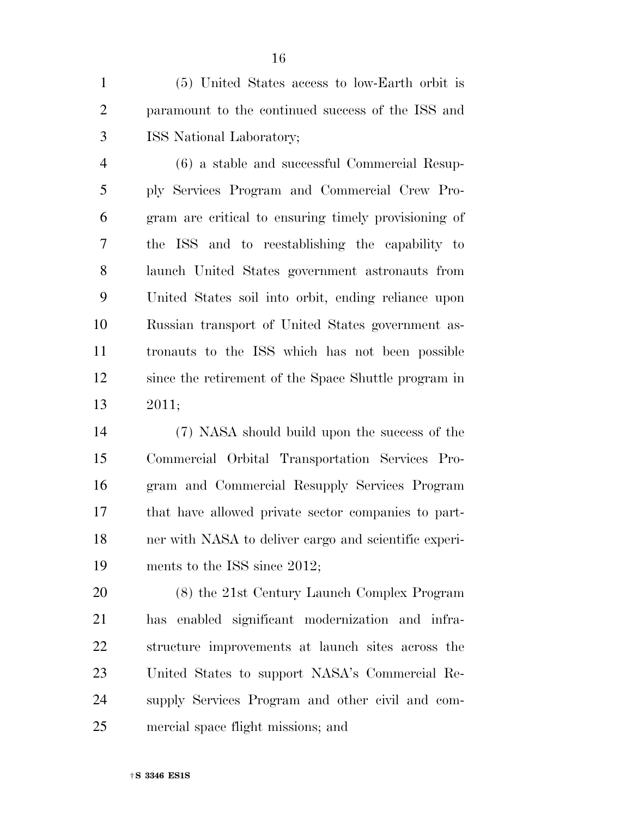(5) United States access to low-Earth orbit is paramount to the continued success of the ISS and ISS National Laboratory;

 (6) a stable and successful Commercial Resup- ply Services Program and Commercial Crew Pro- gram are critical to ensuring timely provisioning of the ISS and to reestablishing the capability to launch United States government astronauts from United States soil into orbit, ending reliance upon Russian transport of United States government as- tronauts to the ISS which has not been possible since the retirement of the Space Shuttle program in 2011;

 (7) NASA should build upon the success of the Commercial Orbital Transportation Services Pro- gram and Commercial Resupply Services Program that have allowed private sector companies to part- ner with NASA to deliver cargo and scientific experi-ments to the ISS since 2012;

 (8) the 21st Century Launch Complex Program has enabled significant modernization and infra- structure improvements at launch sites across the United States to support NASA's Commercial Re- supply Services Program and other civil and com-mercial space flight missions; and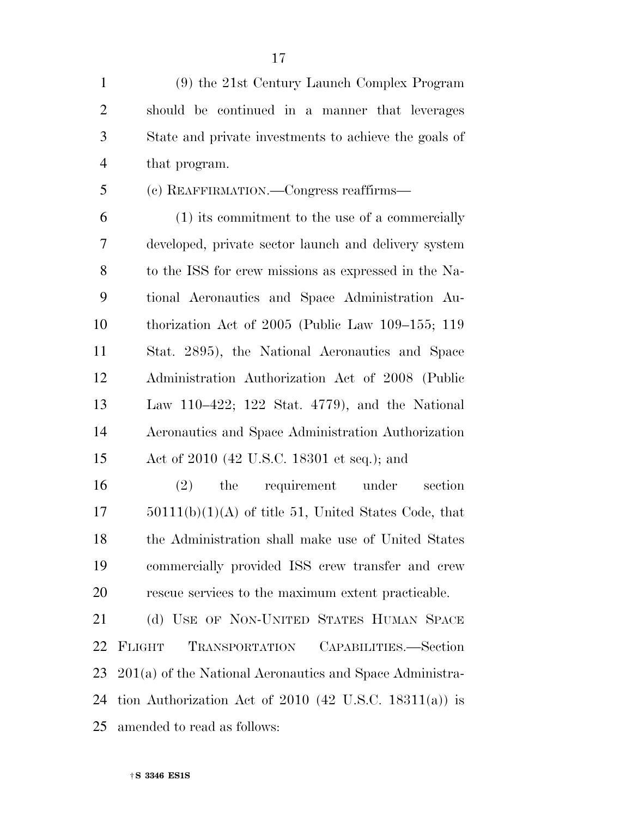(9) the 21st Century Launch Complex Program should be continued in a manner that leverages State and private investments to achieve the goals of that program.

(c) REAFFIRMATION.—Congress reaffirms—

 (1) its commitment to the use of a commercially developed, private sector launch and delivery system to the ISS for crew missions as expressed in the Na- tional Aeronautics and Space Administration Au- thorization Act of 2005 (Public Law 109–155; 119 Stat. 2895), the National Aeronautics and Space Administration Authorization Act of 2008 (Public Law 110–422; 122 Stat. 4779), and the National Aeronautics and Space Administration Authorization Act of 2010 (42 U.S.C. 18301 et seq.); and

 (2) the requirement under section  $17 \qquad 50111(b)(1)(A)$  of title 51, United States Code, that the Administration shall make use of United States commercially provided ISS crew transfer and crew rescue services to the maximum extent practicable.

21 (d) USE OF NON-UNITED STATES HUMAN SPACE FLIGHT TRANSPORTATION CAPABILITIES.—Section 201(a) of the National Aeronautics and Space Administra- tion Authorization Act of 2010 (42 U.S.C. 18311(a)) is amended to read as follows: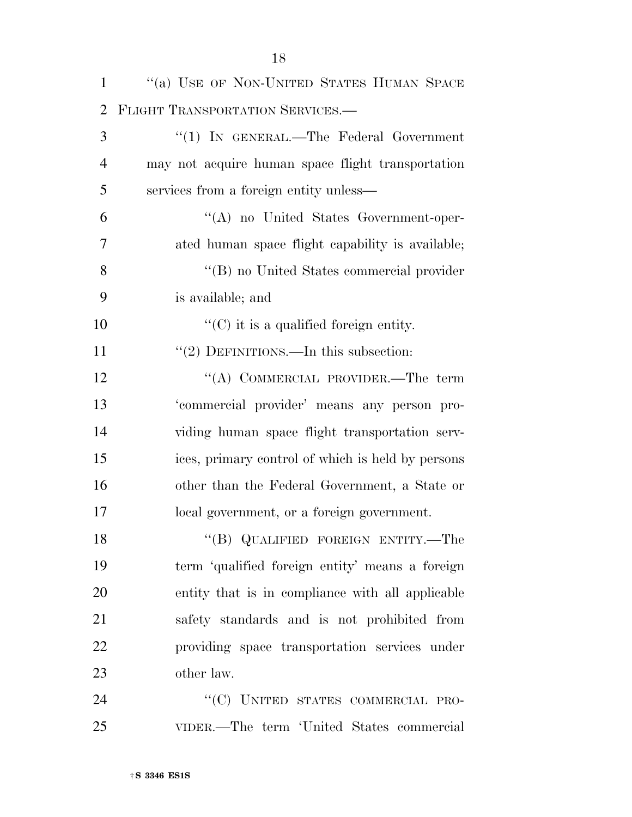| $\mathbf{1}$   | "(a) USE OF NON-UNITED STATES HUMAN SPACE         |
|----------------|---------------------------------------------------|
| $\overline{2}$ | FLIGHT TRANSPORTATION SERVICES.                   |
| 3              | "(1) IN GENERAL.—The Federal Government           |
| $\overline{4}$ | may not acquire human space flight transportation |
| 5              | services from a foreign entity unless—            |
| 6              | "(A) no United States Government-oper-            |
| 7              | ated human space flight capability is available;  |
| 8              | "(B) no United States commercial provider         |
| 9              | is available; and                                 |
| 10             | $\lq\lq$ (C) it is a qualified foreign entity.    |
| 11             | "(2) DEFINITIONS.—In this subsection:             |
| 12             | "(A) COMMERCIAL PROVIDER.—The term                |
| 13             | 'commercial provider' means any person pro-       |
| 14             | viding human space flight transportation serv-    |
| 15             | ices, primary control of which is held by persons |
| 16             | other than the Federal Government, a State or     |
| 17             | local government, or a foreign government.        |
| 18             | "(B) QUALIFIED FOREIGN ENTITY.—The                |
| 19             | term 'qualified foreign entity' means a foreign   |
| 20             | entity that is in compliance with all applicable  |
| 21             | safety standards and is not prohibited from       |
| 22             | providing space transportation services under     |
| 23             | other law.                                        |
| 24             | "(C) UNITED STATES COMMERCIAL PRO-                |
| 25             | VIDER.—The term 'United States commercial         |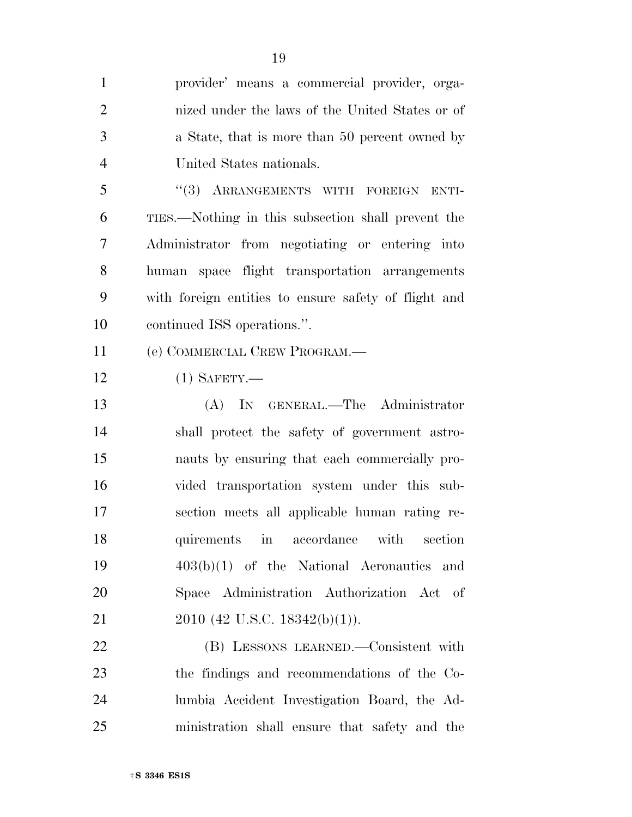| $\mathbf{1}$   | provider' means a commercial provider, orga-         |
|----------------|------------------------------------------------------|
| $\overline{2}$ | nized under the laws of the United States or of      |
| 3              | a State, that is more than 50 percent owned by       |
| $\overline{4}$ | United States nationals.                             |
| 5              | "(3) ARRANGEMENTS WITH FOREIGN ENTI-                 |
| 6              | TIES.—Nothing in this subsection shall prevent the   |
| 7              | Administrator from negotiating or entering into      |
| 8              | human space flight transportation arrangements       |
| 9              | with foreign entities to ensure safety of flight and |
| 10             | continued ISS operations.".                          |
| 11             | (e) COMMERCIAL CREW PROGRAM.—                        |
| 12             | $(1)$ SAFETY.—                                       |
| 13             | (A) IN GENERAL.—The Administrator                    |
| 14             | shall protect the safety of government astro-        |
| 15             | nauts by ensuring that each commercially pro-        |
| 16             | vided transportation system under this sub-          |
| 17             | section meets all applicable human rating re-        |
| 18             | quirements in accordance with section                |
| 19             | $403(b)(1)$ of the National Aeronautics and          |
| 20             | Space Administration Authorization Act of            |
| 21             | 2010 (42 U.S.C. 18342(b)(1)).                        |
| 22             | (B) LESSONS LEARNED.—Consistent with                 |
| 23             | the findings and recommendations of the Co-          |
| 24             | lumbia Accident Investigation Board, the Ad-         |
| 25             | ministration shall ensure that safety and the        |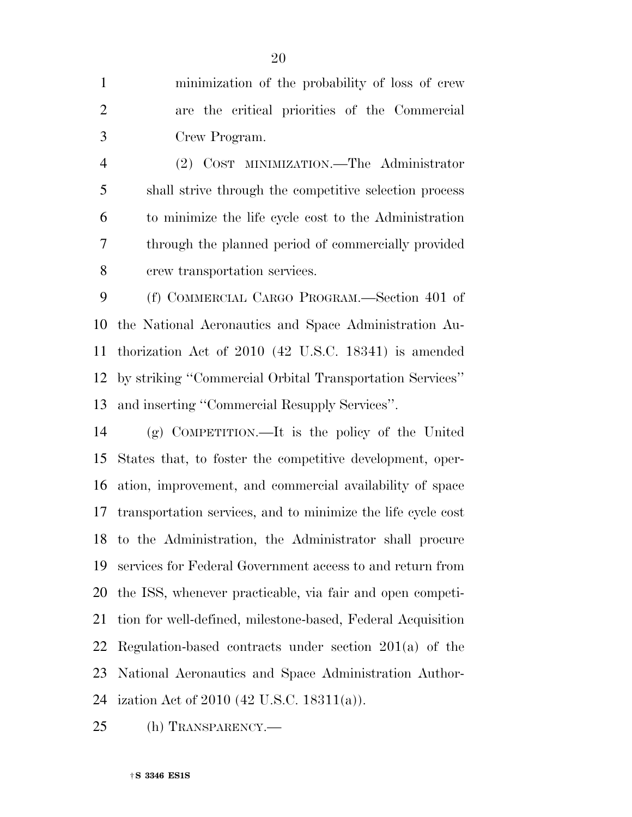minimization of the probability of loss of crew are the critical priorities of the Commercial Crew Program.

 (2) COST MINIMIZATION.—The Administrator shall strive through the competitive selection process to minimize the life cycle cost to the Administration through the planned period of commercially provided crew transportation services.

 (f) COMMERCIAL CARGO PROGRAM.—Section 401 of the National Aeronautics and Space Administration Au- thorization Act of 2010 (42 U.S.C. 18341) is amended by striking ''Commercial Orbital Transportation Services'' and inserting ''Commercial Resupply Services''.

 (g) COMPETITION.—It is the policy of the United States that, to foster the competitive development, oper- ation, improvement, and commercial availability of space transportation services, and to minimize the life cycle cost to the Administration, the Administrator shall procure services for Federal Government access to and return from the ISS, whenever practicable, via fair and open competi- tion for well-defined, milestone-based, Federal Acquisition Regulation-based contracts under section 201(a) of the National Aeronautics and Space Administration Author-ization Act of 2010 (42 U.S.C. 18311(a)).

(h) TRANSPARENCY.—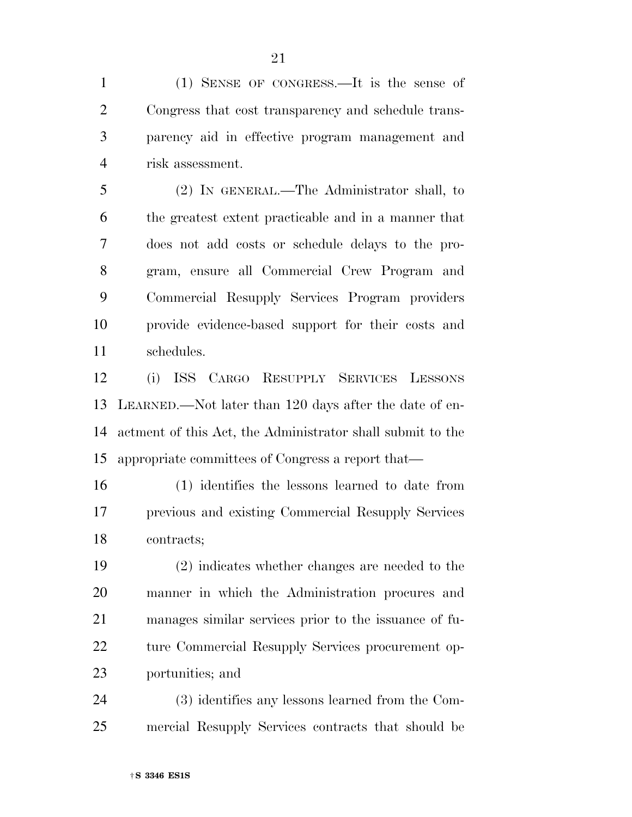(1) SENSE OF CONGRESS.—It is the sense of Congress that cost transparency and schedule trans- parency aid in effective program management and risk assessment.

 (2) IN GENERAL.—The Administrator shall, to the greatest extent practicable and in a manner that does not add costs or schedule delays to the pro- gram, ensure all Commercial Crew Program and Commercial Resupply Services Program providers provide evidence-based support for their costs and schedules.

 (i) ISS CARGO RESUPPLY SERVICES LESSONS LEARNED.—Not later than 120 days after the date of en- actment of this Act, the Administrator shall submit to the appropriate committees of Congress a report that—

 (1) identifies the lessons learned to date from previous and existing Commercial Resupply Services contracts;

 (2) indicates whether changes are needed to the manner in which the Administration procures and manages similar services prior to the issuance of fu- ture Commercial Resupply Services procurement op-portunities; and

 (3) identifies any lessons learned from the Com-mercial Resupply Services contracts that should be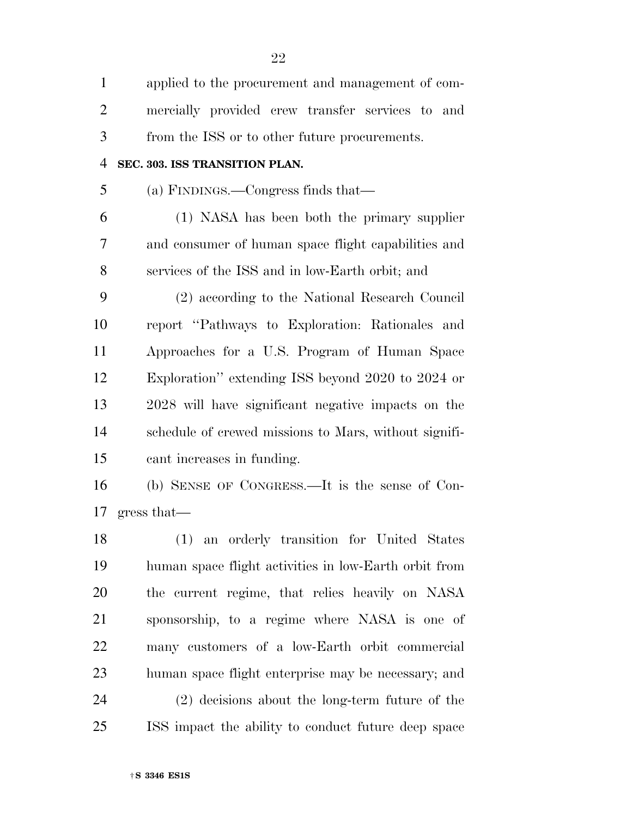| $\mathbf{1}$   | applied to the procurement and management of com-     |
|----------------|-------------------------------------------------------|
| $\overline{2}$ | mercially provided crew transfer services to and      |
| 3              | from the ISS or to other future procurements.         |
| $\overline{4}$ | SEC. 303. ISS TRANSITION PLAN.                        |
| 5              | (a) FINDINGS.—Congress finds that—                    |
| 6              | (1) NASA has been both the primary supplier           |
| 7              | and consumer of human space flight capabilities and   |
| 8              | services of the ISS and in low-Earth orbit; and       |
| 9              | (2) according to the National Research Council        |
| 10             | report "Pathways to Exploration: Rationales and       |
| 11             | Approaches for a U.S. Program of Human Space          |
| 12             | Exploration" extending ISS beyond 2020 to 2024 or     |
| 13             | 2028 will have significant negative impacts on the    |
| 14             | schedule of crewed missions to Mars, without signifi- |
| 15             | cant increases in funding.                            |
| 16             | (b) SENSE OF CONGRESS.—It is the sense of Con-        |
| 17             | gress that—                                           |
| 18             | (1) an orderly transition for United States           |
| 19             | human space flight activities in low-Earth orbit from |
| 20             | the current regime, that relies heavily on NASA       |
| 21             | sponsorship, to a regime where NASA is one of         |
| 22             | many customers of a low-Earth orbit commercial        |
| 23             | human space flight enterprise may be necessary; and   |
| 24             | (2) decisions about the long-term future of the       |
| 25             | ISS impact the ability to conduct future deep space   |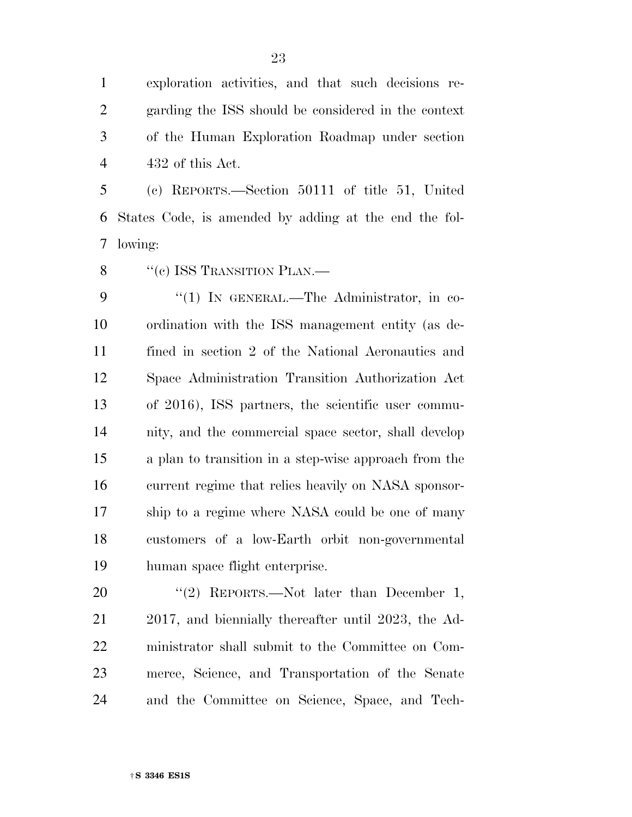†**S 3346 ES1S** 

 exploration activities, and that such decisions re- garding the ISS should be considered in the context of the Human Exploration Roadmap under section 432 of this Act.

 (c) REPORTS.—Section 50111 of title 51, United States Code, is amended by adding at the end the fol-lowing:

8 "(c) ISS TRANSITION PLAN.—

9 "(1) IN GENERAL.—The Administrator, in co- ordination with the ISS management entity (as de- fined in section 2 of the National Aeronautics and Space Administration Transition Authorization Act of 2016), ISS partners, the scientific user commu- nity, and the commercial space sector, shall develop a plan to transition in a step-wise approach from the current regime that relies heavily on NASA sponsor- ship to a regime where NASA could be one of many customers of a low-Earth orbit non-governmental human space flight enterprise.

20 "(2) REPORTS.—Not later than December 1, 2017, and biennially thereafter until 2023, the Ad- ministrator shall submit to the Committee on Com- merce, Science, and Transportation of the Senate and the Committee on Science, Space, and Tech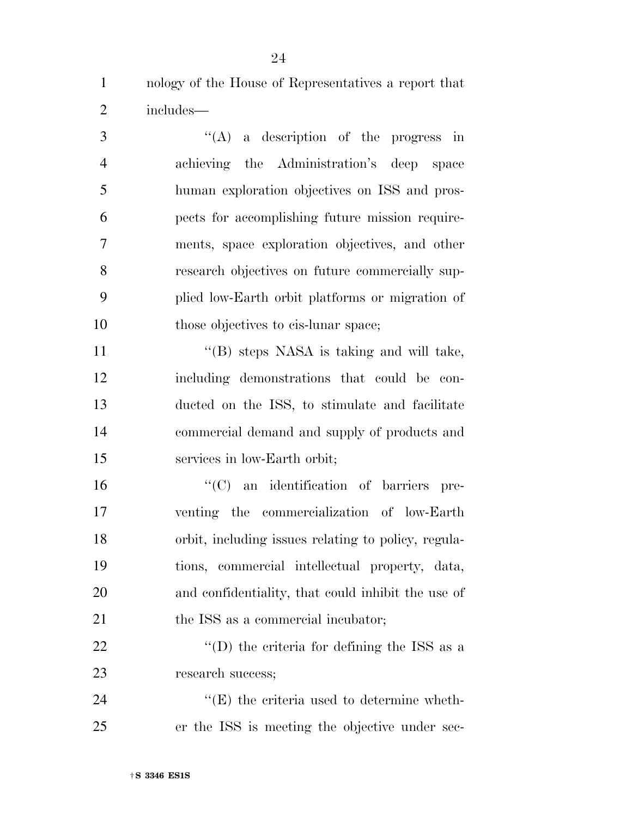nology of the House of Representatives a report that includes—

 ''(A) a description of the progress in achieving the Administration's deep space human exploration objectives on ISS and pros- pects for accomplishing future mission require- ments, space exploration objectives, and other research objectives on future commercially sup- plied low-Earth orbit platforms or migration of 10 those objectives to cis-lunar space; 11 "'(B) steps NASA is taking and will take, including demonstrations that could be con- ducted on the ISS, to stimulate and facilitate commercial demand and supply of products and services in low-Earth orbit;  $\lq\lq$  (C) an identification of barriers pre- venting the commercialization of low-Earth orbit, including issues relating to policy, regula- tions, commercial intellectual property, data, and confidentiality, that could inhibit the use of 21 the ISS as a commercial incubator;  $\text{22}$   $\text{``(D) the criteria for defining the ISS as a}$ research success;

  $"$ (E) the criteria used to determine wheth-er the ISS is meeting the objective under sec-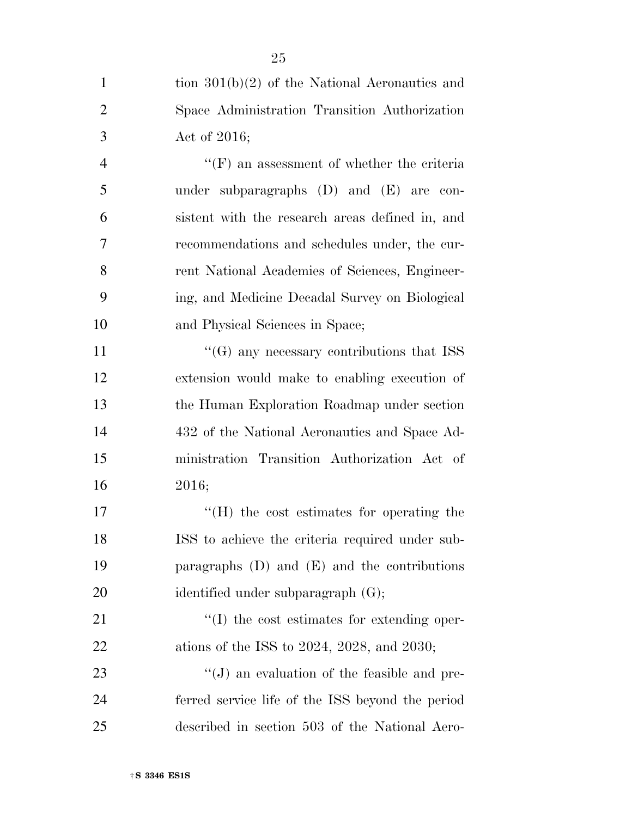|                | 25                                                  |
|----------------|-----------------------------------------------------|
| 1              | tion $301(b)(2)$ of the National Aeronautics and    |
| $\overline{2}$ | Space Administration Transition Authorization       |
| 3              | Act of $2016$ ;                                     |
| $\overline{4}$ | $\lq\lq(F)$ an assessment of whether the criteria   |
| 5              | under subparagraphs $(D)$ and $(E)$ are con-        |
| 6              | sistent with the research areas defined in, and     |
| 7              | recommendations and schedules under, the cur-       |
| 8              | rent National Academies of Sciences, Engineer-      |
| 9              | ing, and Medicine Decadal Survey on Biological      |
| 10             | and Physical Sciences in Space;                     |
| 11             | $\cdot$ (G) any necessary contributions that ISS    |
| 12             | extension would make to enabling execution of       |
| 13             | the Human Exploration Roadmap under section         |
| 14             | 432 of the National Aeronautics and Space Ad-       |
| 15             | ministration Transition Authorization Act of        |
| 16             | 2016;                                               |
| 17             | $H(H)$ the cost estimates for operating the         |
| 18             | ISS to achieve the criteria required under sub-     |
| 19             | paragraphs $(D)$ and $(E)$ and the contributions    |
| 20             | identified under subparagraph $(G)$ ;               |
| 21             | $\lq\lq$ the cost estimates for extending oper-     |
| 22             | ations of the ISS to $2024$ , $2028$ , and $2030$ ; |
| 23             | $\lq\lq(J)$ an evaluation of the feasible and pre-  |
| 24             | ferred service life of the ISS beyond the period    |
| 25             | described in section 503 of the National Aero-      |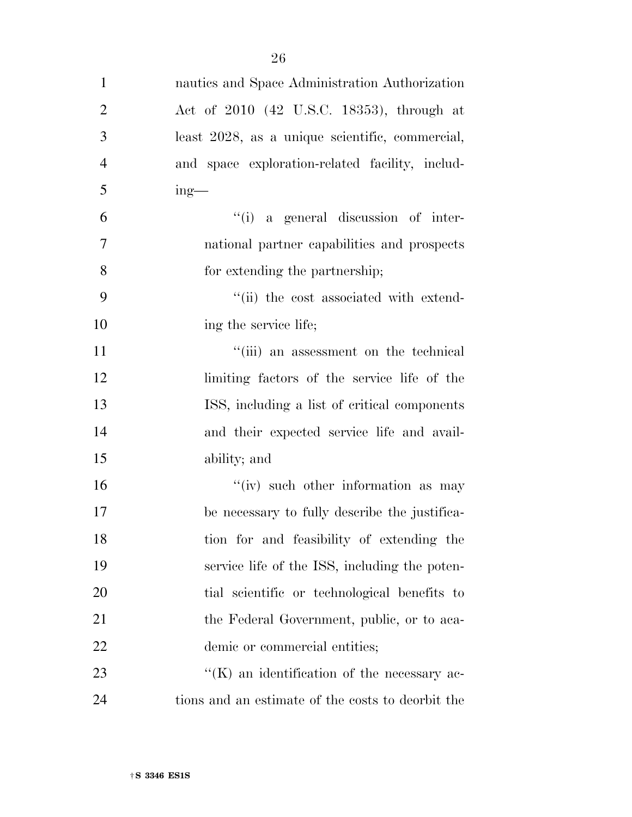| $\mathbf{1}$   | nautics and Space Administration Authorization      |
|----------------|-----------------------------------------------------|
| $\overline{2}$ | Act of 2010 (42 U.S.C. 18353), through at           |
| 3              | least 2028, as a unique scientific, commercial,     |
| $\overline{4}$ | and space exploration-related facility, includ-     |
| 5              | $ing$ —                                             |
| 6              | "(i) a general discussion of inter-                 |
| 7              | national partner capabilities and prospects         |
| 8              | for extending the partnership;                      |
| 9              | "(ii) the cost associated with extend-              |
| 10             | ing the service life;                               |
| 11             | "(iii) an assessment on the technical               |
| 12             | limiting factors of the service life of the         |
| 13             | ISS, including a list of critical components        |
| 14             | and their expected service life and avail-          |
| 15             | ability; and                                        |
| 16             | "(iv) such other information as may                 |
| 17             | be necessary to fully describe the justifica-       |
| 18             | tion for and feasibility of extending the           |
| 19             | service life of the ISS, including the poten-       |
| 20             | tial scientific or technological benefits to        |
| 21             | the Federal Government, public, or to aca-          |
| <u>22</u>      | demic or commercial entities;                       |
| 23             | $\lq\lq$ (K) an identification of the necessary ac- |
| 24             | tions and an estimate of the costs to deorbit the   |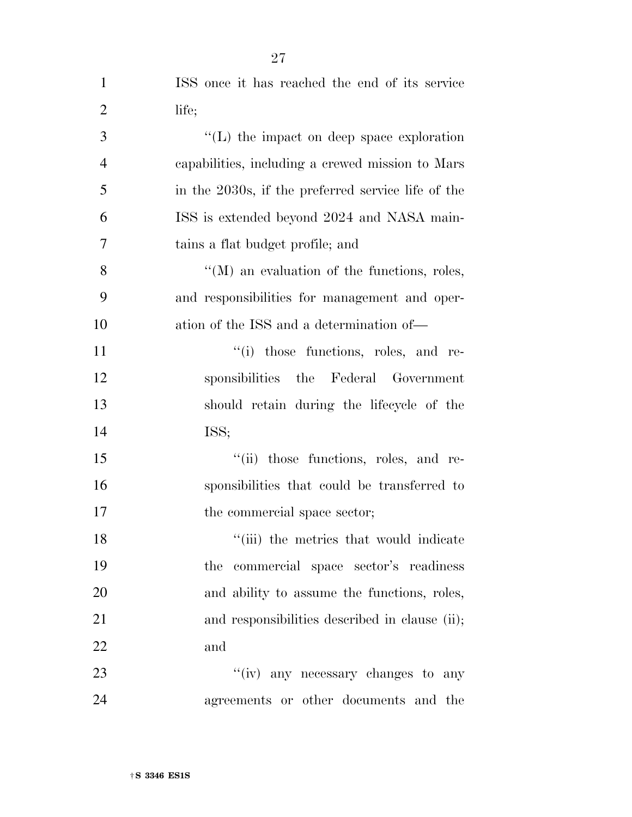| $\mathbf{1}$   | ISS once it has reached the end of its service      |
|----------------|-----------------------------------------------------|
| $\overline{2}$ | life;                                               |
| 3              | $\lq\lq$ . The impact on deep space exploration     |
| $\overline{4}$ | capabilities, including a crewed mission to Mars    |
| 5              | in the 2030s, if the preferred service life of the  |
| 6              | ISS is extended beyond 2024 and NASA main-          |
| 7              | tains a flat budget profile; and                    |
| 8              | $\lq\lq (M)$ an evaluation of the functions, roles, |
| 9              | and responsibilities for management and oper-       |
| 10             | ation of the ISS and a determination of—            |
| 11             | "(i) those functions, roles, and re-                |
| 12             | sponsibilities the Federal Government               |
| 13             | should retain during the lifecycle of the           |
| 14             | ISS;                                                |
| 15             | "(ii) those functions, roles, and re-               |
| 16             | sponsibilities that could be transferred to         |
| 17             | the commercial space sector;                        |
| 18             | "(iii) the metrics that would indicate              |
| 19             | the commercial space sector's readiness             |
| 20             | and ability to assume the functions, roles,         |
| 21             | and responsibilities described in clause (ii);      |
| 22             | and                                                 |
| 23             | "(iv) any necessary changes to any                  |
| 24             | agreements or other documents and the               |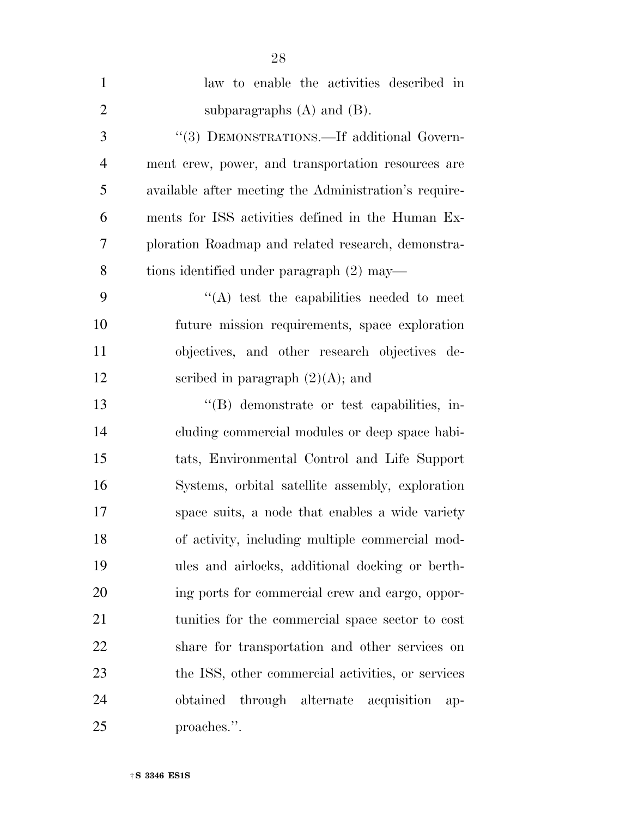| $\mathbf{1}$   | law to enable the activities described in             |
|----------------|-------------------------------------------------------|
| $\overline{2}$ | subparagraphs $(A)$ and $(B)$ .                       |
| 3              | "(3) DEMONSTRATIONS.—If additional Govern-            |
| $\overline{4}$ | ment crew, power, and transportation resources are    |
| 5              | available after meeting the Administration's require- |
| 6              | ments for ISS activities defined in the Human Ex-     |
| 7              | ploration Roadmap and related research, demonstra-    |
| 8              | tions identified under paragraph (2) may—             |
| 9              | "(A) test the capabilities needed to meet             |
| 10             | future mission requirements, space exploration        |
| 11             | objectives, and other research objectives de-         |
| 12             | scribed in paragraph $(2)(A)$ ; and                   |
| 13             | "(B) demonstrate or test capabilities, in-            |
| 14             | cluding commercial modules or deep space habi-        |
| 15             | tats, Environmental Control and Life Support          |
| 16             | Systems, orbital satellite assembly, exploration      |
| 17             | space suits, a node that enables a wide variety       |
| 18             | of activity, including multiple commercial mod-       |
| 19             | ules and airlocks, additional docking or berth-       |
| 20             | ing ports for commercial crew and cargo, oppor-       |
| 21             | tunities for the commercial space sector to cost      |
| 22             | share for transportation and other services on        |
| 23             | the ISS, other commercial activities, or services     |
| 24             | obtained through alternate acquisition<br>ap-         |
| 25             | proaches.".                                           |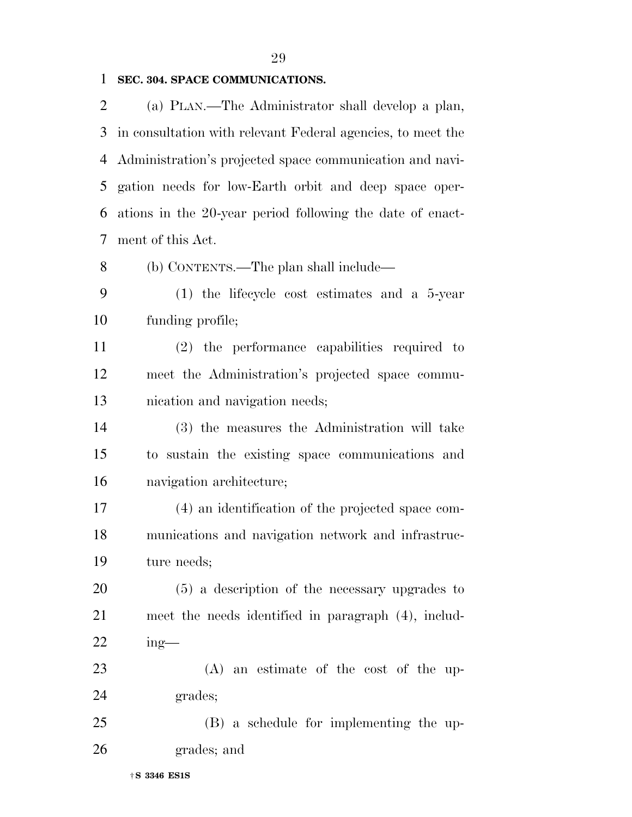#### **SEC. 304. SPACE COMMUNICATIONS.**

 (a) PLAN.—The Administrator shall develop a plan, in consultation with relevant Federal agencies, to meet the Administration's projected space communication and navi- gation needs for low-Earth orbit and deep space oper- ations in the 20-year period following the date of enact-ment of this Act.

(b) CONTENTS.—The plan shall include—

 (1) the lifecycle cost estimates and a 5-year funding profile;

 (2) the performance capabilities required to meet the Administration's projected space commu-nication and navigation needs;

 (3) the measures the Administration will take to sustain the existing space communications and navigation architecture;

 (4) an identification of the projected space com- munications and navigation network and infrastruc-ture needs;

 (5) a description of the necessary upgrades to meet the needs identified in paragraph (4), includ-ing—

 (A) an estimate of the cost of the up-grades;

 (B) a schedule for implementing the up-grades; and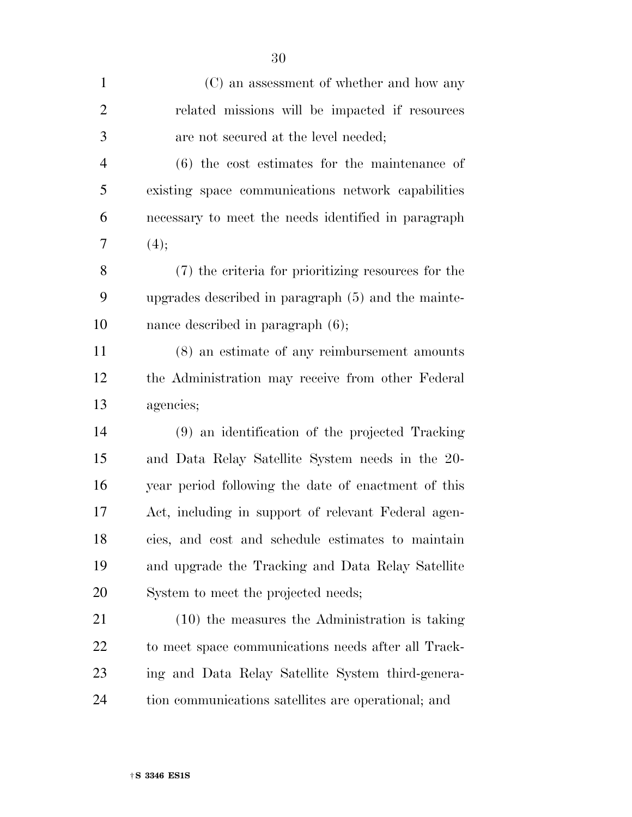| $\mathbf{1}$   | (C) an assessment of whether and how any              |
|----------------|-------------------------------------------------------|
| $\overline{2}$ | related missions will be impacted if resources        |
| 3              | are not secured at the level needed;                  |
| $\overline{4}$ | $(6)$ the cost estimates for the maintenance of       |
| 5              | existing space communications network capabilities    |
| 6              | necessary to meet the needs identified in paragraph   |
| 7              | (4);                                                  |
| 8              | (7) the criteria for prioritizing resources for the   |
| 9              | upgrades described in paragraph $(5)$ and the mainte- |
| 10             | nance described in paragraph $(6)$ ;                  |
| 11             | $(8)$ an estimate of any reimbursement amounts        |
| 12             | the Administration may receive from other Federal     |
| 13             | agencies;                                             |
| 14             | (9) an identification of the projected Tracking       |
| 15             | and Data Relay Satellite System needs in the 20-      |
| 16             | year period following the date of enactment of this   |
| 17             | Act, including in support of relevant Federal agen-   |
| 18             | cies, and cost and schedule estimates to maintain     |
| 19             | and upgrade the Tracking and Data Relay Satellite     |
| 20             | System to meet the projected needs;                   |
| 21             | (10) the measures the Administration is taking        |
| 22             | to meet space communications needs after all Track-   |
| 23             | ing and Data Relay Satellite System third-genera-     |
| 24             | tion communications satellites are operational; and   |
|                |                                                       |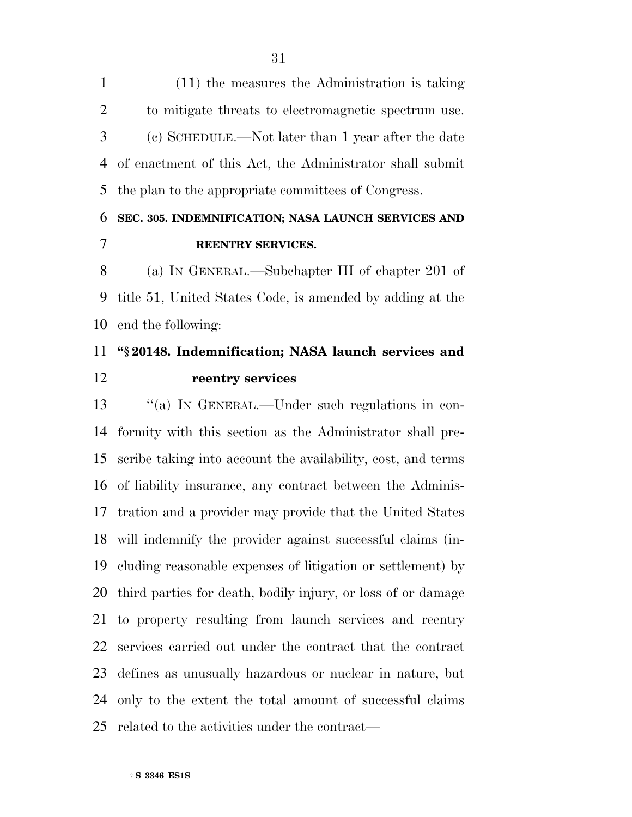(11) the measures the Administration is taking to mitigate threats to electromagnetic spectrum use. (c) SCHEDULE.—Not later than 1 year after the date of enactment of this Act, the Administrator shall submit the plan to the appropriate committees of Congress.

### **SEC. 305. INDEMNIFICATION; NASA LAUNCH SERVICES AND REENTRY SERVICES.**

 (a) IN GENERAL.—Subchapter III of chapter 201 of title 51, United States Code, is amended by adding at the end the following:

## **''§ 20148. Indemnification; NASA launch services and reentry services**

13 "(a) In GENERAL.—Under such regulations in con- formity with this section as the Administrator shall pre- scribe taking into account the availability, cost, and terms of liability insurance, any contract between the Adminis- tration and a provider may provide that the United States will indemnify the provider against successful claims (in- cluding reasonable expenses of litigation or settlement) by third parties for death, bodily injury, or loss of or damage to property resulting from launch services and reentry services carried out under the contract that the contract defines as unusually hazardous or nuclear in nature, but only to the extent the total amount of successful claims related to the activities under the contract—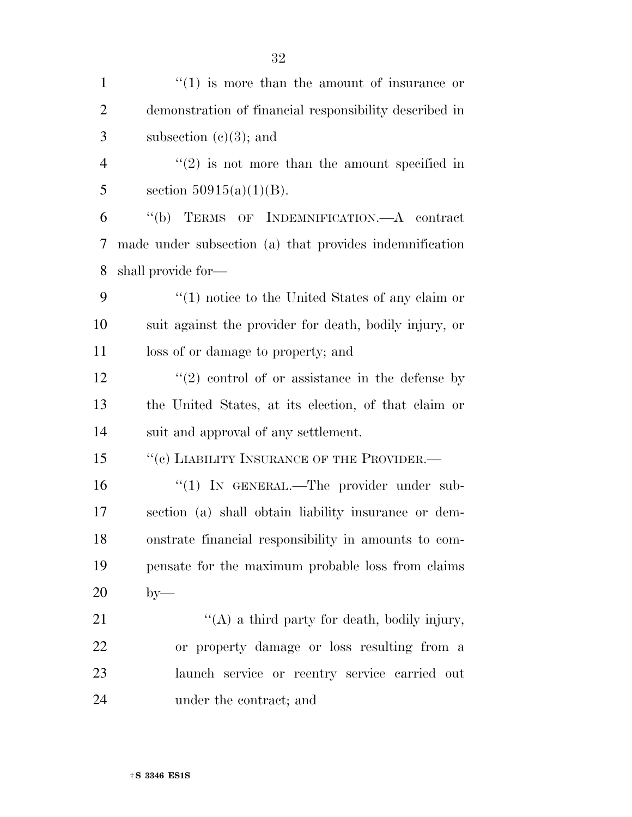| $\mathbf{1}$   | $f'(1)$ is more than the amount of insurance or               |
|----------------|---------------------------------------------------------------|
| $\overline{2}$ | demonstration of financial responsibility described in        |
| 3              | subsection $(e)(3)$ ; and                                     |
| $\overline{4}$ | $\cdot\cdot\cdot(2)$ is not more than the amount specified in |
| 5              | section $50915(a)(1)(B)$ .                                    |
| 6              | "(b) TERMS OF INDEMNIFICATION.—A contract                     |
| 7              | made under subsection (a) that provides indemnification       |
| 8              | shall provide for—                                            |
| 9              | $\lq(1)$ notice to the United States of any claim or          |
| 10             | suit against the provider for death, bodily injury, or        |
| 11             | loss of or damage to property; and                            |
| 12             | $\lq(2)$ control of or assistance in the defense by           |
| 13             | the United States, at its election, of that claim or          |
| 14             | suit and approval of any settlement.                          |
| 15             | "(c) LIABILITY INSURANCE OF THE PROVIDER.-                    |
| 16             | "(1) IN GENERAL.—The provider under sub-                      |
| 17             | section (a) shall obtain liability insurance or dem-          |
| 18             | onstrate financial responsibility in amounts to com-          |
| 19             | pensate for the maximum probable loss from claims             |
| 20             | $by-$                                                         |
| 21             | "(A) a third party for death, bodily injury,                  |
| 22             | or property damage or loss resulting from a                   |
| 23             | launch service or reentry service carried out                 |
| 24             | under the contract; and                                       |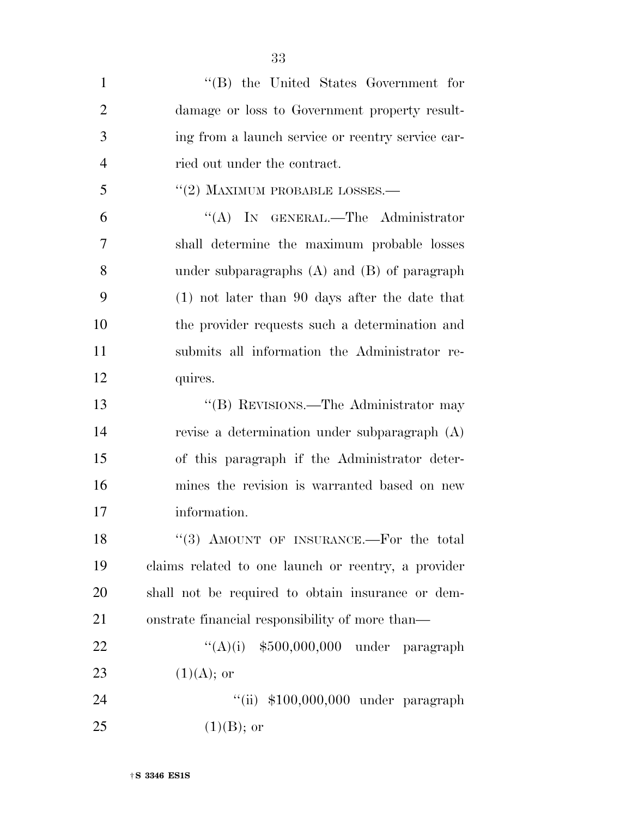| $\mathbf{1}$   | "(B) the United States Government for               |
|----------------|-----------------------------------------------------|
| $\overline{2}$ | damage or loss to Government property result-       |
| 3              | ing from a launch service or reentry service car-   |
| $\overline{4}$ | ried out under the contract.                        |
| 5              | $``(2)$ MAXIMUM PROBABLE LOSSES.—                   |
| 6              | "(A) IN GENERAL.—The Administrator                  |
| $\overline{7}$ | shall determine the maximum probable losses         |
| 8              | under subparagraphs $(A)$ and $(B)$ of paragraph    |
| 9              | $(1)$ not later than 90 days after the date that    |
| 10             | the provider requests such a determination and      |
| 11             | submits all information the Administrator re-       |
| 12             | quires.                                             |
| 13             | "(B) REVISIONS.—The Administrator may               |
| 14             | revise a determination under subparagraph (A)       |
| 15             | of this paragraph if the Administrator deter-       |
| 16             | mines the revision is warranted based on new        |
| 17             | information.                                        |
| 18             | "(3) AMOUNT OF INSURANCE.—For the total             |
| 19             | claims related to one launch or reentry, a provider |
| 20             | shall not be required to obtain insurance or dem-   |
| 21             | onstrate financial responsibility of more than—     |
| 22             | " $(A)(i)$ \$500,000,000 under paragraph            |
| 23             | $(1)(A);$ or                                        |
| 24             | "(ii) $$100,000,000$ under paragraph                |
| 25             | $(1)(B)$ ; or                                       |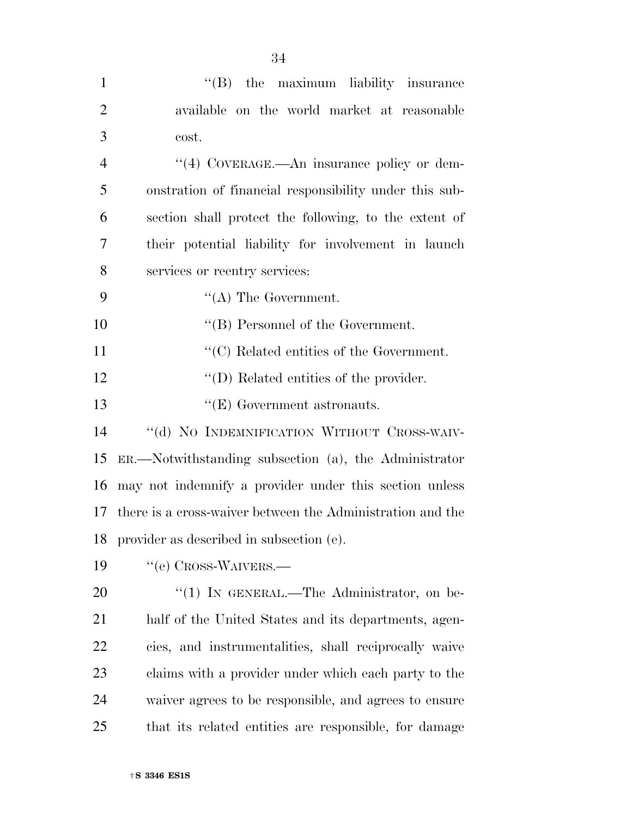| $\mathbf{1}$   | $\lq\lq(B)$ the maximum liability insurance                   |
|----------------|---------------------------------------------------------------|
| $\overline{2}$ | available on the world market at reasonable                   |
| 3              | cost.                                                         |
| $\overline{4}$ | $\cdot$ (4) COVERAGE.—An insurance policy or dem-             |
| 5              | onstration of financial responsibility under this sub-        |
| 6              | section shall protect the following, to the extent of         |
| 7              | their potential liability for involvement in launch           |
| 8              | services or reentry services:                                 |
| 9              | $\lq\lq (A)$ The Government.                                  |
| 10             | $\lq\lq$ (B) Personnel of the Government.                     |
| 11             | $\lq\lq$ <sup>c</sup> (C) Related entities of the Government. |
| 12             | $\lq\lq$ (D) Related entities of the provider.                |
| 13             | $\lq\lq (E)$ Government astronauts.                           |
| 14             | "(d) NO INDEMNIFICATION WITHOUT CROSS-WAIV-                   |
| 15             | $ER.$ Notwithstanding subsection (a), the Administrator       |
| 16             | may not indemnify a provider under this section unless        |
| 17             | there is a cross-waiver between the Administration and the    |
| 18             | provider as described in subsection (e).                      |
| 19             | "(e) CROSS-WAIVERS.—                                          |
| 20             | $\cdot$ (1) In GENERAL.—The Administrator, on be-             |
| 21             | half of the United States and its departments, agen-          |
| <u>22</u>      | cies, and instrumentalities, shall reciprocally waive         |
| 23             | claims with a provider under which each party to the          |
| 24             | waiver agrees to be responsible, and agrees to ensure         |
| 25             | that its related entities are responsible, for damage         |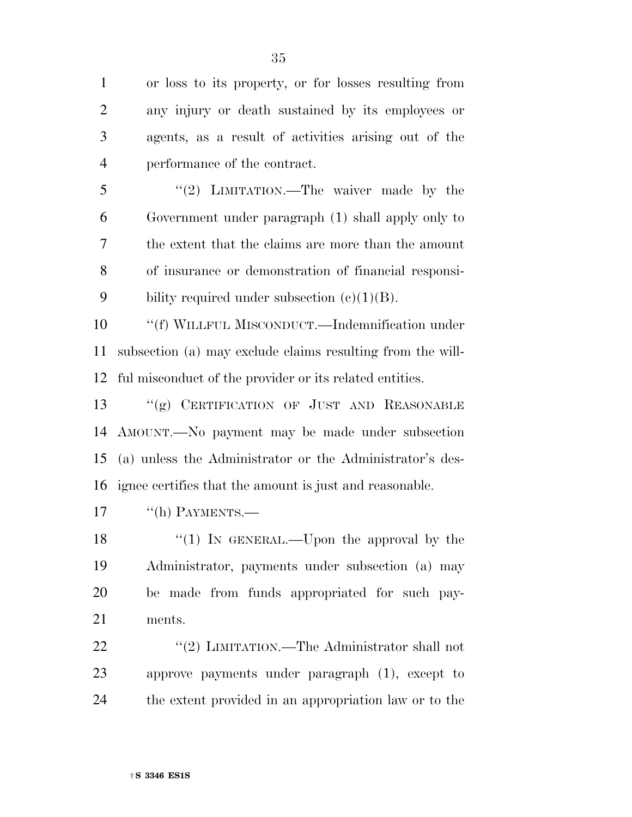or loss to its property, or for losses resulting from any injury or death sustained by its employees or agents, as a result of activities arising out of the performance of the contract.

5 "(2) LIMITATION.—The waiver made by the Government under paragraph (1) shall apply only to the extent that the claims are more than the amount of insurance or demonstration of financial responsi-9 bility required under subsection  $(e)(1)(B)$ .

 ''(f) WILLFUL MISCONDUCT.—Indemnification under subsection (a) may exclude claims resulting from the will-ful misconduct of the provider or its related entities.

 ''(g) CERTIFICATION OF JUST AND REASONABLE AMOUNT.—No payment may be made under subsection (a) unless the Administrator or the Administrator's des-ignee certifies that the amount is just and reasonable.

17 "(h) PAYMENTS.

18 "(1) In GENERAL.—Upon the approval by the Administrator, payments under subsection (a) may be made from funds appropriated for such pay-ments.

22 "(2) LIMITATION.—The Administrator shall not approve payments under paragraph (1), except to the extent provided in an appropriation law or to the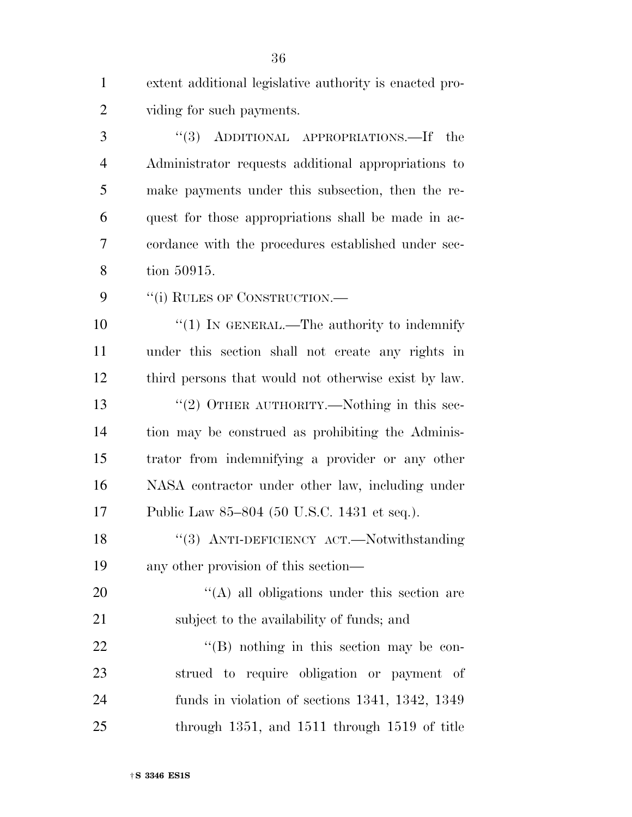extent additional legislative authority is enacted pro-viding for such payments.

 ''(3) ADDITIONAL APPROPRIATIONS.—If the Administrator requests additional appropriations to make payments under this subsection, then the re- quest for those appropriations shall be made in ac- cordance with the procedures established under sec-tion 50915.

9 ""(i) RULES OF CONSTRUCTION.—

 $\frac{1}{1}$  IN GENERAL.—The authority to indemnify under this section shall not create any rights in third persons that would not otherwise exist by law. 13 "(2) OTHER AUTHORITY.—Nothing in this sec- tion may be construed as prohibiting the Adminis- trator from indemnifying a provider or any other NASA contractor under other law, including under Public Law 85–804 (50 U.S.C. 1431 et seq.).

18 "(3) ANTI-DEFICIENCY ACT.—Notwithstanding any other provision of this section—

20  $\langle (A)$  all obligations under this section are subject to the availability of funds; and

 $\text{``(B)}$  nothing in this section may be con- strued to require obligation or payment of funds in violation of sections 1341, 1342, 1349 through 1351, and 1511 through 1519 of title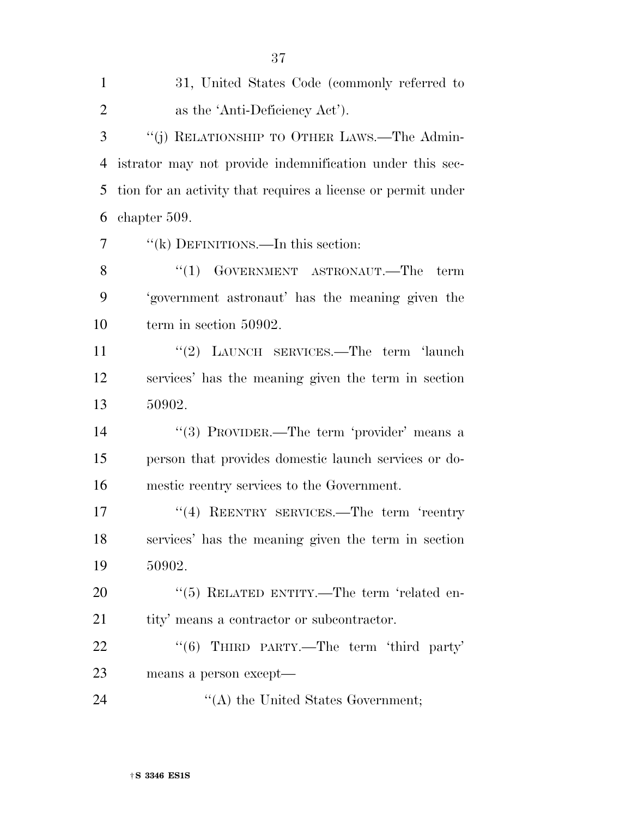| $\mathbf{1}$   | 31, United States Code (commonly referred to                 |
|----------------|--------------------------------------------------------------|
| $\overline{2}$ | as the 'Anti-Deficiency Act').                               |
| 3              | "(j) RELATIONSHIP TO OTHER LAWS.—The Admin-                  |
| $\overline{4}$ | istrator may not provide indemnification under this sec-     |
| 5              | tion for an activity that requires a license or permit under |
| 6              | chapter 509.                                                 |
| 7              | "(k) DEFINITIONS.—In this section:                           |
| 8              | $\cdot$ (1) GOVERNMENT ASTRONAUT.—The<br>term                |
| 9              | 'government astronaut' has the meaning given the             |
| 10             | term in section 50902.                                       |
| 11             | "(2) LAUNCH SERVICES.—The term 'launch                       |
| 12             | services' has the meaning given the term in section          |
| 13             | 50902.                                                       |
| 14             | "(3) PROVIDER.—The term 'provider' means a                   |
| 15             | person that provides domestic launch services or do-         |
| 16             | mestic reentry services to the Government.                   |
| 17             | "(4) REENTRY SERVICES.—The term 'reentry                     |
| 18             | services' has the meaning given the term in section          |
| 19             | 50902.                                                       |
| 20             | "(5) RELATED ENTITY.—The term 'related en-                   |
| 21             | tity' means a contractor or subcontractor.                   |
| 22             | "(6) THIRD PARTY.—The term 'third party'                     |
| 23             | means a person except—                                       |
| 24             | $\lq\lq$ the United States Government;                       |

†**S 3346 ES1S**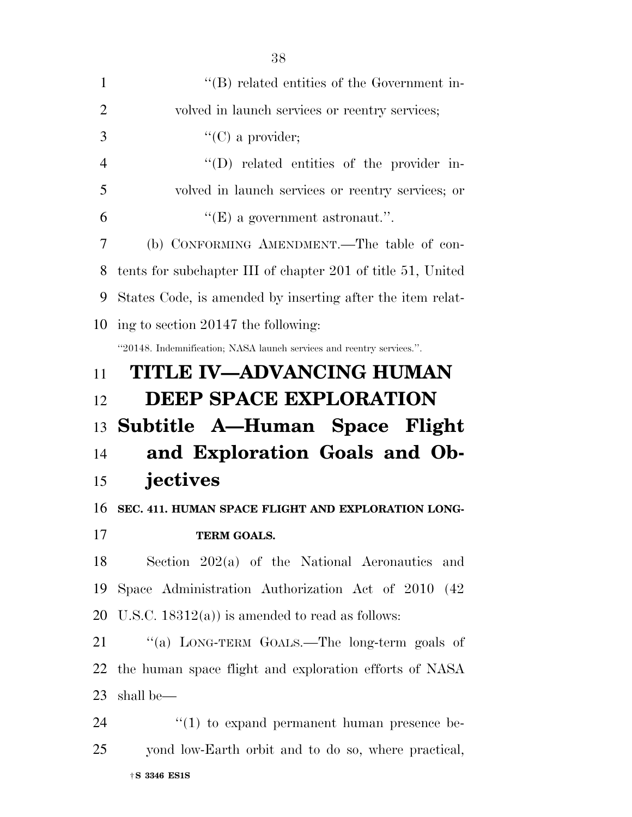| $\mathbf{1}$   | "(B) related entities of the Government in-                           |
|----------------|-----------------------------------------------------------------------|
| 2              | volved in launch services or reentry services;                        |
| 3              | $\lq\lq$ (C) a provider;                                              |
| $\overline{4}$ | "(D) related entities of the provider in-                             |
| 5              | volved in launch services or reentry services; or                     |
| 6              | $\lq\lq(E)$ a government astronaut.".                                 |
| 7              | (b) CONFORMING AMENDMENT.—The table of con-                           |
| 8              | tents for subchapter III of chapter 201 of title 51, United           |
| 9              | States Code, is amended by inserting after the item relat-            |
| 10             | ing to section 20147 the following:                                   |
|                | "20148. Indemnification; NASA launch services and reentry services.". |
| 11             | TITLE IV—ADVANCING HUMAN                                              |
| 12             | <b>DEEP SPACE EXPLORATION</b>                                         |
|                |                                                                       |
| 13             | Subtitle A—Human Space Flight                                         |
| 14             | and Exploration Goals and Ob-                                         |
| 15             | jectives                                                              |
| 16             | SEC. 411. HUMAN SPACE FLIGHT AND EXPLORATION LONG-                    |
| 17             | <b>TERM GOALS.</b>                                                    |
| 18             | Section $202(a)$ of the National Aeronautics<br>and                   |
| 19             | Space Administration Authorization Act of 2010 (42)                   |
| 20             | U.S.C. $18312(a)$ is amended to read as follows:                      |
| 21             | "(a) LONG-TERM GOALS.—The long-term goals of                          |
| 22             | the human space flight and exploration efforts of NASA                |
| 23             | shall be—                                                             |
| 24             | $\lq(1)$ to expand permanent human presence be-                       |
| 25             | yond low-Earth orbit and to do so, where practical,                   |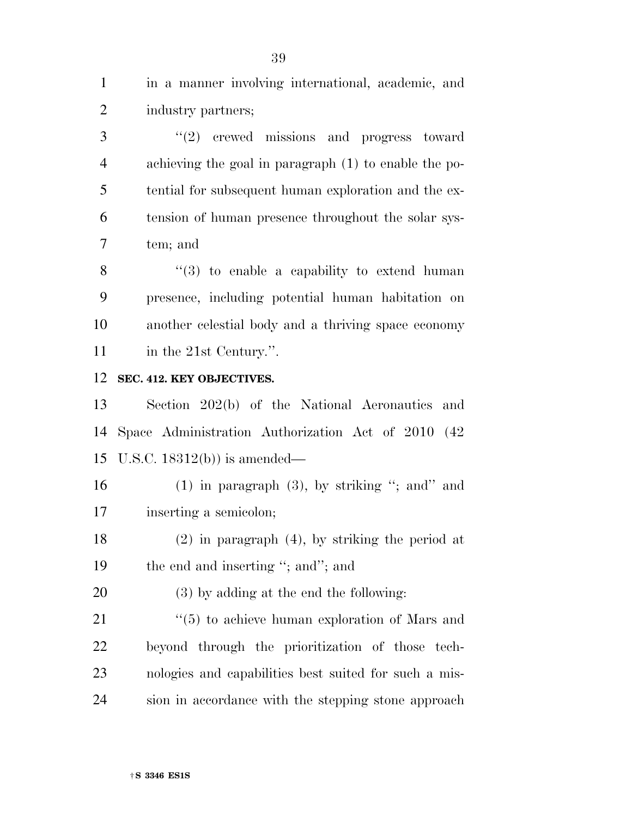in a manner involving international, academic, and industry partners;

3 "(2) crewed missions and progress toward achieving the goal in paragraph (1) to enable the po- tential for subsequent human exploration and the ex- tension of human presence throughout the solar sys-tem; and

 "(3) to enable a capability to extend human presence, including potential human habitation on another celestial body and a thriving space economy 11 in the 21st Century.".

## **SEC. 412. KEY OBJECTIVES.**

 Section 202(b) of the National Aeronautics and Space Administration Authorization Act of 2010 (42 U.S.C. 18312(b)) is amended—

16 (1) in paragraph  $(3)$ , by striking "; and" and inserting a semicolon;

 (2) in paragraph (4), by striking the period at 19 the end and inserting "; and"; and

(3) by adding at the end the following:

21 ''(5) to achieve human exploration of Mars and beyond through the prioritization of those tech- nologies and capabilities best suited for such a mis-sion in accordance with the stepping stone approach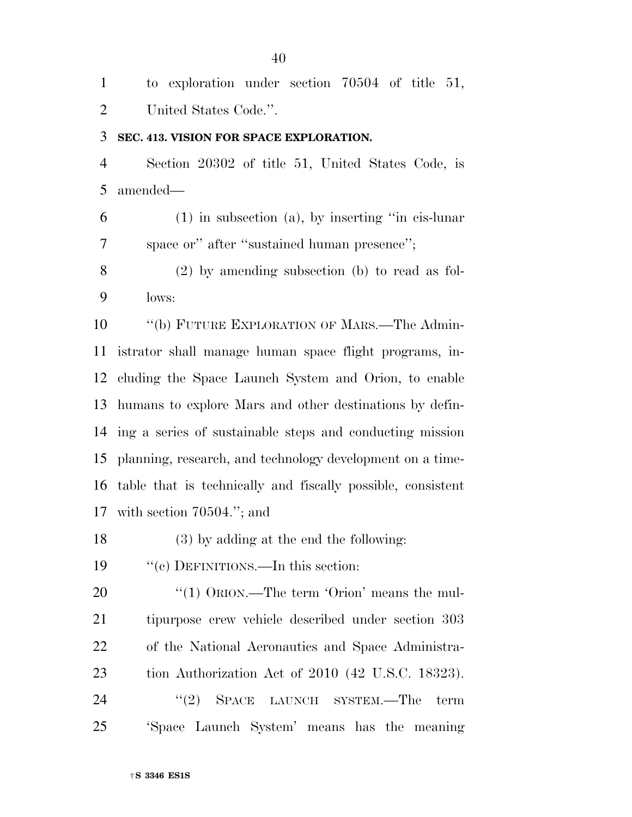to exploration under section 70504 of title 51, United States Code.''.

## **SEC. 413. VISION FOR SPACE EXPLORATION.**

 Section 20302 of title 51, United States Code, is amended—

 (1) in subsection (a), by inserting ''in cis-lunar space or'' after ''sustained human presence'';

 (2) by amending subsection (b) to read as fol-lows:

 ''(b) FUTURE EXPLORATION OF MARS.—The Admin- istrator shall manage human space flight programs, in- cluding the Space Launch System and Orion, to enable humans to explore Mars and other destinations by defin- ing a series of sustainable steps and conducting mission planning, research, and technology development on a time- table that is technically and fiscally possible, consistent with section 70504.''; and

(3) by adding at the end the following:

''(c) DEFINITIONS.—In this section:

20 "(1) ORION.—The term 'Orion' means the mul- tipurpose crew vehicle described under section 303 of the National Aeronautics and Space Administra-tion Authorization Act of 2010 (42 U.S.C. 18323).

24 "(2) SPACE LAUNCH SYSTEM.—The term 'Space Launch System' means has the meaning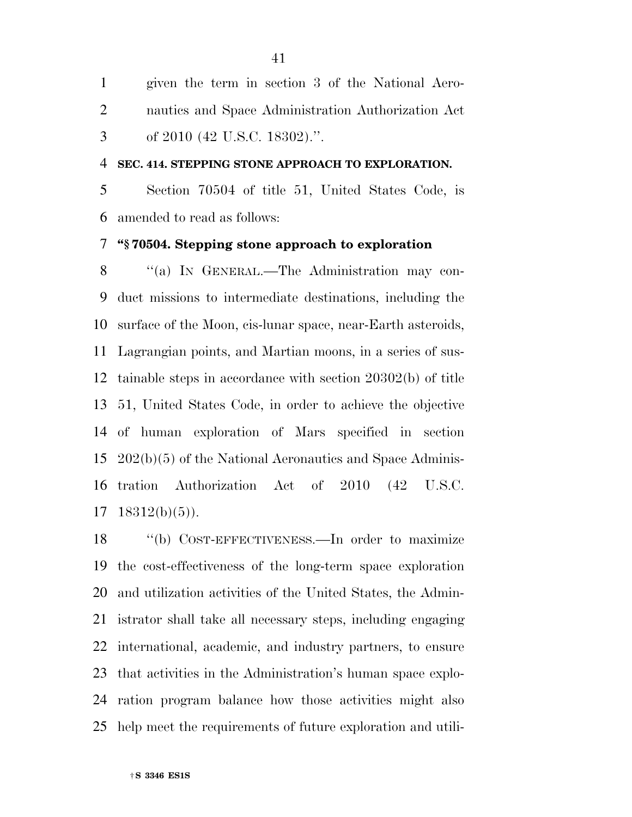given the term in section 3 of the National Aero- nautics and Space Administration Authorization Act of 2010 (42 U.S.C. 18302).''.

### **SEC. 414. STEPPING STONE APPROACH TO EXPLORATION.**

 Section 70504 of title 51, United States Code, is amended to read as follows:

# **''§ 70504. Stepping stone approach to exploration**

8 "(a) In GENERAL.—The Administration may con- duct missions to intermediate destinations, including the surface of the Moon, cis-lunar space, near-Earth asteroids, Lagrangian points, and Martian moons, in a series of sus- tainable steps in accordance with section 20302(b) of title 51, United States Code, in order to achieve the objective of human exploration of Mars specified in section 202(b)(5) of the National Aeronautics and Space Adminis- tration Authorization Act of 2010 (42 U.S.C.  $17 \quad 18312(b)(5)$ ).

18 "(b) COST-EFFECTIVENESS.—In order to maximize the cost-effectiveness of the long-term space exploration and utilization activities of the United States, the Admin- istrator shall take all necessary steps, including engaging international, academic, and industry partners, to ensure that activities in the Administration's human space explo- ration program balance how those activities might also help meet the requirements of future exploration and utili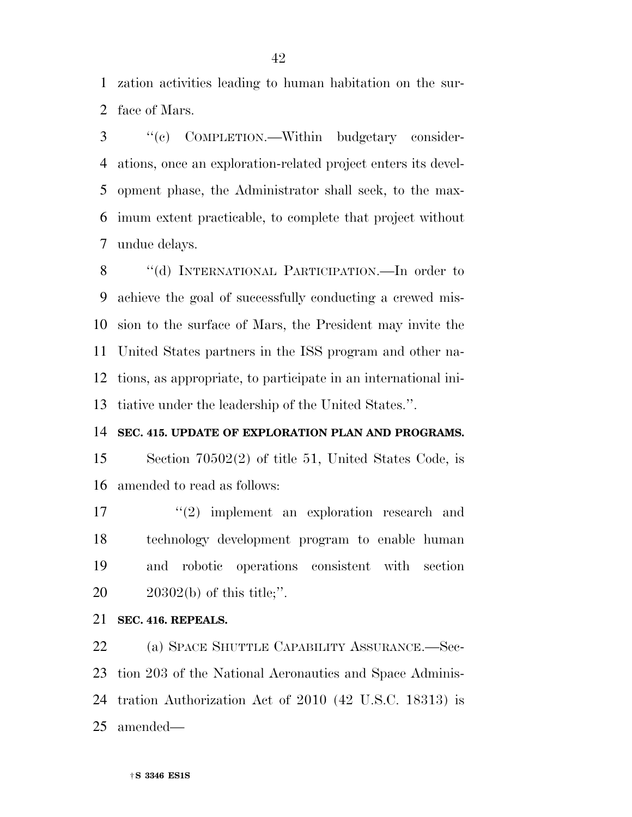zation activities leading to human habitation on the sur-face of Mars.

 ''(c) COMPLETION.—Within budgetary consider- ations, once an exploration-related project enters its devel- opment phase, the Administrator shall seek, to the max- imum extent practicable, to complete that project without undue delays.

8 "(d) INTERNATIONAL PARTICIPATION.—In order to achieve the goal of successfully conducting a crewed mis- sion to the surface of Mars, the President may invite the United States partners in the ISS program and other na- tions, as appropriate, to participate in an international ini-tiative under the leadership of the United States.''.

## **SEC. 415. UPDATE OF EXPLORATION PLAN AND PROGRAMS.**

 Section 70502(2) of title 51, United States Code, is amended to read as follows:

17 ''(2) implement an exploration research and technology development program to enable human and robotic operations consistent with section 20302(b) of this title;''.

### **SEC. 416. REPEALS.**

 (a) SPACE SHUTTLE CAPABILITY ASSURANCE.—Sec- tion 203 of the National Aeronautics and Space Adminis- tration Authorization Act of 2010 (42 U.S.C. 18313) is amended—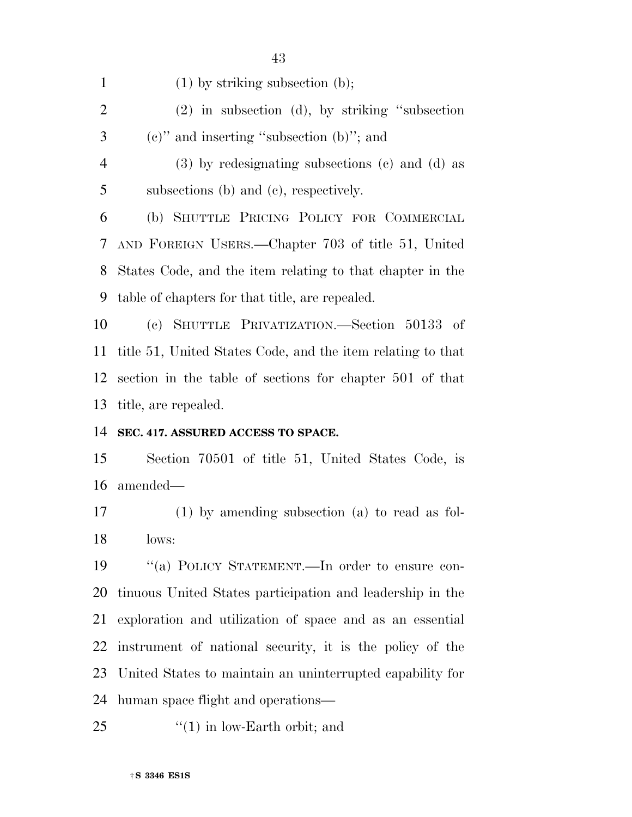| $\mathbf{1}$   | $(1)$ by striking subsection $(b)$ ;                        |
|----------------|-------------------------------------------------------------|
| $\overline{2}$ | $(2)$ in subsection (d), by striking "subsection"           |
| 3              | $(e)$ " and inserting "subsection $(b)$ "; and              |
| $\overline{4}$ | $(3)$ by redesignating subsections $(c)$ and $(d)$ as       |
| 5              | subsections (b) and (c), respectively.                      |
| 6              | (b) SHUTTLE PRICING POLICY FOR COMMERCIAL                   |
| 7              | AND FOREIGN USERS.—Chapter 703 of title 51, United          |
| 8              | States Code, and the item relating to that chapter in the   |
| 9              | table of chapters for that title, are repealed.             |
| 10             | (c) SHUTTLE PRIVATIZATION.—Section 50133 of                 |
| 11             | title 51, United States Code, and the item relating to that |
|                | 12 section in the table of sections for chapter 501 of that |
|                | 13 title, are repealed.                                     |
|                |                                                             |

#### **SEC. 417. ASSURED ACCESS TO SPACE.**

 Section 70501 of title 51, United States Code, is amended—

 (1) by amending subsection (a) to read as fol-lows:

 ''(a) POLICY STATEMENT.—In order to ensure con- tinuous United States participation and leadership in the exploration and utilization of space and as an essential instrument of national security, it is the policy of the United States to maintain an uninterrupted capability for human space flight and operations—

25  $\frac{1}{2}$  (1) in low-Earth orbit; and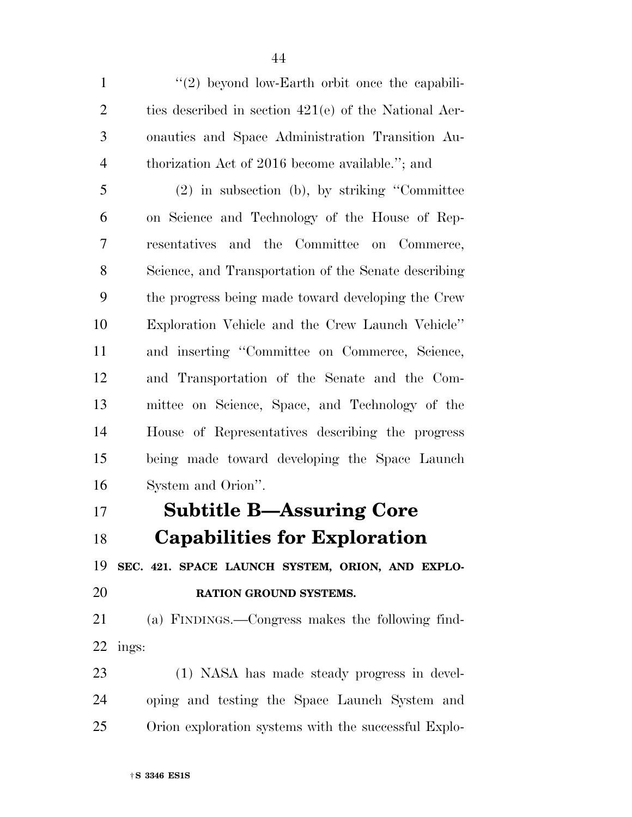1 ''(2) beyond low-Earth orbit once the capabili- ties described in section 421(e) of the National Aer- onautics and Space Administration Transition Au- thorization Act of 2016 become available.''; and (2) in subsection (b), by striking ''Committee on Science and Technology of the House of Rep- resentatives and the Committee on Commerce, Science, and Transportation of the Senate describing the progress being made toward developing the Crew Exploration Vehicle and the Crew Launch Vehicle'' and inserting ''Committee on Commerce, Science, and Transportation of the Senate and the Com- mittee on Science, Space, and Technology of the House of Representatives describing the progress being made toward developing the Space Launch System and Orion''.

# **Subtitle B—Assuring Core**

**Capabilities for Exploration** 

**SEC. 421. SPACE LAUNCH SYSTEM, ORION, AND EXPLO-**

**RATION GROUND SYSTEMS.** 

 (a) FINDINGS.—Congress makes the following find-ings:

 (1) NASA has made steady progress in devel- oping and testing the Space Launch System and Orion exploration systems with the successful Explo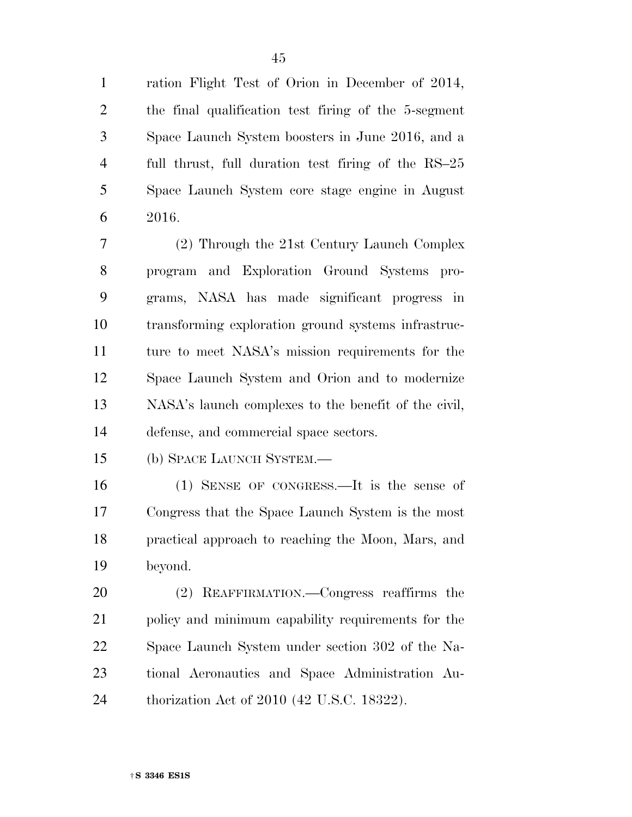ration Flight Test of Orion in December of 2014, the final qualification test firing of the 5-segment Space Launch System boosters in June 2016, and a full thrust, full duration test firing of the RS–25 Space Launch System core stage engine in August 2016.

 (2) Through the 21st Century Launch Complex program and Exploration Ground Systems pro- grams, NASA has made significant progress in transforming exploration ground systems infrastruc- ture to meet NASA's mission requirements for the Space Launch System and Orion and to modernize NASA's launch complexes to the benefit of the civil, defense, and commercial space sectors.

(b) SPACE LAUNCH SYSTEM.—

 (1) SENSE OF CONGRESS.—It is the sense of Congress that the Space Launch System is the most practical approach to reaching the Moon, Mars, and beyond.

 (2) REAFFIRMATION.—Congress reaffirms the policy and minimum capability requirements for the Space Launch System under section 302 of the Na- tional Aeronautics and Space Administration Au-thorization Act of 2010 (42 U.S.C. 18322).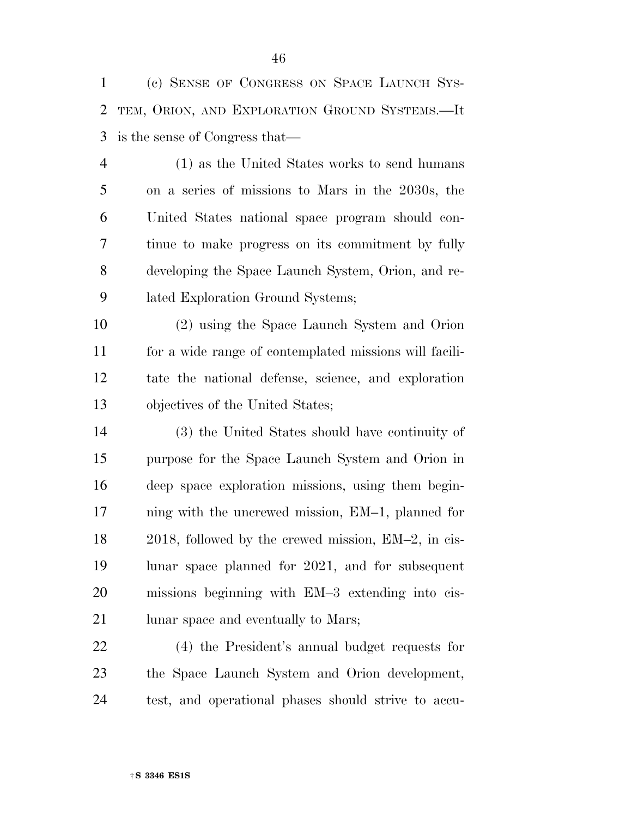(c) SENSE OF CONGRESS ON SPACE LAUNCH SYS- TEM, ORION, AND EXPLORATION GROUND SYSTEMS.—It is the sense of Congress that—

 (1) as the United States works to send humans on a series of missions to Mars in the 2030s, the United States national space program should con- tinue to make progress on its commitment by fully developing the Space Launch System, Orion, and re-lated Exploration Ground Systems;

 (2) using the Space Launch System and Orion for a wide range of contemplated missions will facili- tate the national defense, science, and exploration objectives of the United States;

 (3) the United States should have continuity of purpose for the Space Launch System and Orion in deep space exploration missions, using them begin- ning with the uncrewed mission, EM–1, planned for 2018, followed by the crewed mission, EM–2, in cis- lunar space planned for 2021, and for subsequent missions beginning with EM–3 extending into cis-21 lunar space and eventually to Mars;

 (4) the President's annual budget requests for the Space Launch System and Orion development, test, and operational phases should strive to accu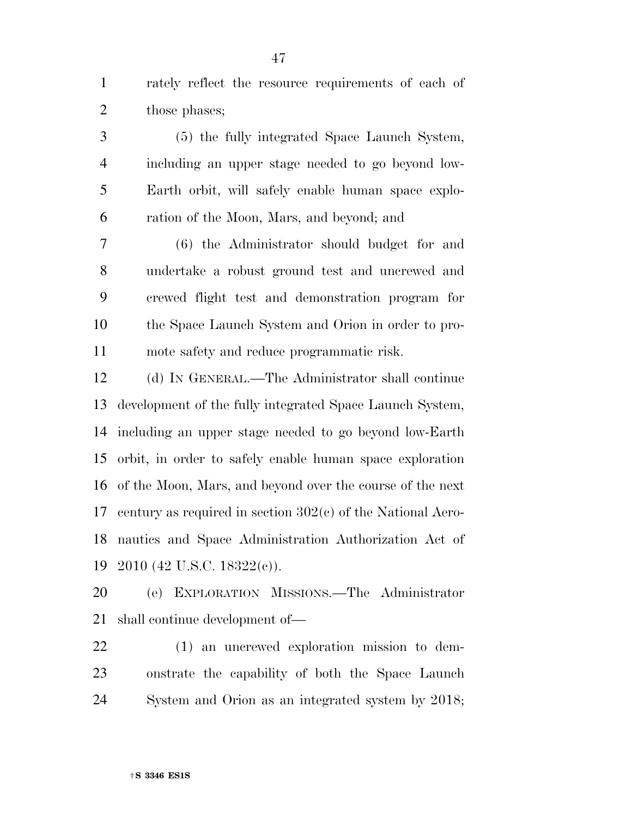rately reflect the resource requirements of each of 2 those phases;

 (5) the fully integrated Space Launch System, including an upper stage needed to go beyond low- Earth orbit, will safely enable human space explo-ration of the Moon, Mars, and beyond; and

 (6) the Administrator should budget for and undertake a robust ground test and uncrewed and crewed flight test and demonstration program for the Space Launch System and Orion in order to pro-mote safety and reduce programmatic risk.

 (d) IN GENERAL.—The Administrator shall continue development of the fully integrated Space Launch System, including an upper stage needed to go beyond low-Earth orbit, in order to safely enable human space exploration of the Moon, Mars, and beyond over the course of the next century as required in section 302(c) of the National Aero- nautics and Space Administration Authorization Act of 2010 (42 U.S.C. 18322(c)).

 (e) EXPLORATION MISSIONS.—The Administrator shall continue development of—

 (1) an uncrewed exploration mission to dem- onstrate the capability of both the Space Launch System and Orion as an integrated system by 2018;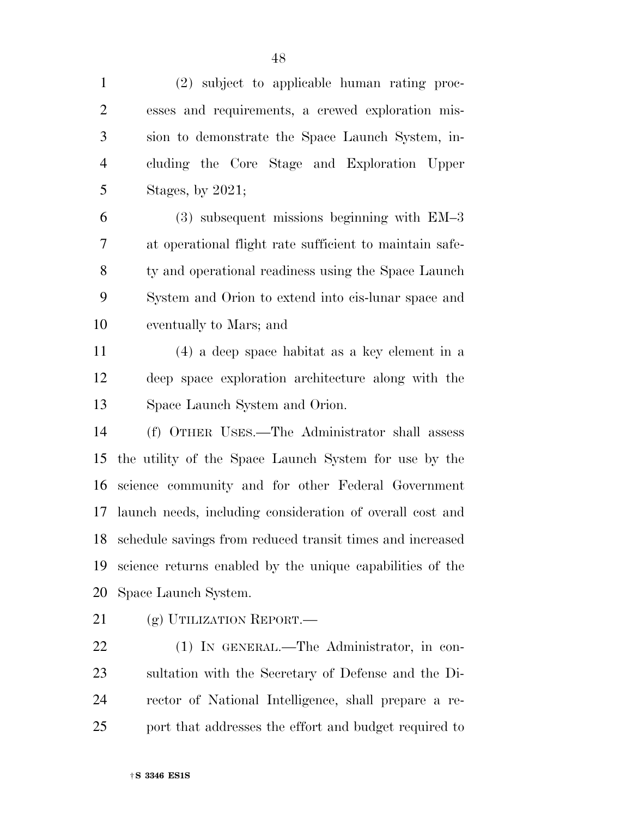(2) subject to applicable human rating proc- esses and requirements, a crewed exploration mis- sion to demonstrate the Space Launch System, in- cluding the Core Stage and Exploration Upper Stages, by 2021;

 (3) subsequent missions beginning with EM–3 at operational flight rate sufficient to maintain safe-8 ty and operational readiness using the Space Launch System and Orion to extend into cis-lunar space and eventually to Mars; and

 (4) a deep space habitat as a key element in a deep space exploration architecture along with the Space Launch System and Orion.

 (f) OTHER USES.—The Administrator shall assess the utility of the Space Launch System for use by the science community and for other Federal Government launch needs, including consideration of overall cost and schedule savings from reduced transit times and increased science returns enabled by the unique capabilities of the Space Launch System.

21 (g) UTILIZATION REPORT.—

 (1) IN GENERAL.—The Administrator, in con- sultation with the Secretary of Defense and the Di- rector of National Intelligence, shall prepare a re-port that addresses the effort and budget required to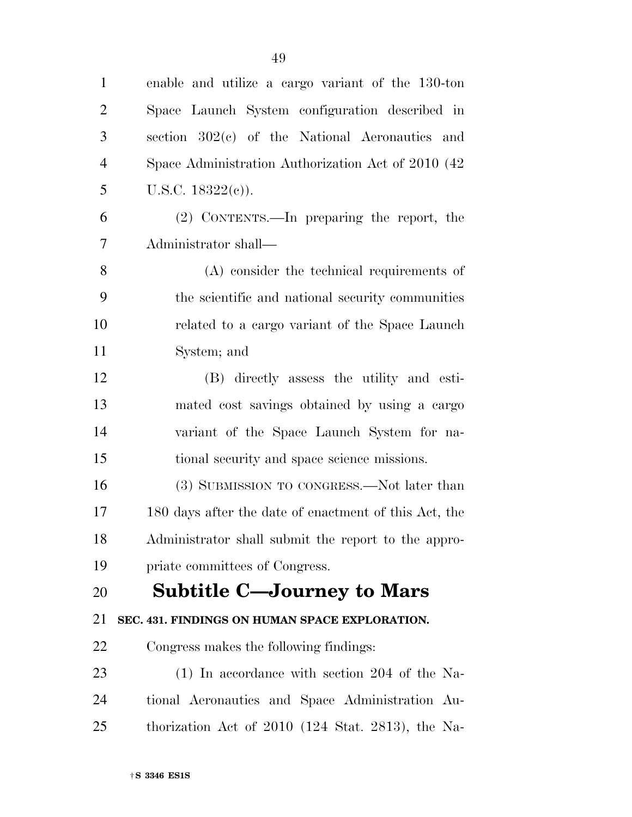| $\mathbf{1}$   | enable and utilize a cargo variant of the 130-ton     |
|----------------|-------------------------------------------------------|
| $\overline{2}$ | Space Launch System configuration described in        |
| 3              | section $302(c)$ of the National Aeronautics and      |
| $\overline{4}$ | Space Administration Authorization Act of 2010 (42    |
| 5              | U.S.C. $18322(e)$ ).                                  |
| 6              | (2) CONTENTS.—In preparing the report, the            |
| 7              | Administrator shall—                                  |
| 8              | (A) consider the technical requirements of            |
| 9              | the scientific and national security communities      |
| 10             | related to a cargo variant of the Space Launch        |
| 11             | System; and                                           |
| 12             | (B) directly assess the utility and esti-             |
| 13             | mated cost savings obtained by using a cargo          |
| 14             | variant of the Space Launch System for na-            |
| 15             | tional security and space science missions.           |
| 16             | (3) SUBMISSION TO CONGRESS.—Not later than            |
| 17             | 180 days after the date of enactment of this Act, the |
| 18             | Administrator shall submit the report to the appro-   |
| 19             | priate committees of Congress.                        |
| 20             | <b>Subtitle C—Journey to Mars</b>                     |
| 21             | SEC. 431. FINDINGS ON HUMAN SPACE EXPLORATION.        |
| 22             | Congress makes the following findings:                |
| 23             | $(1)$ In accordance with section 204 of the Na-       |
| 24             | tional Aeronautics and Space Administration Au-       |
| 25             | thorization Act of $2010$ (124 Stat. 2813), the Na-   |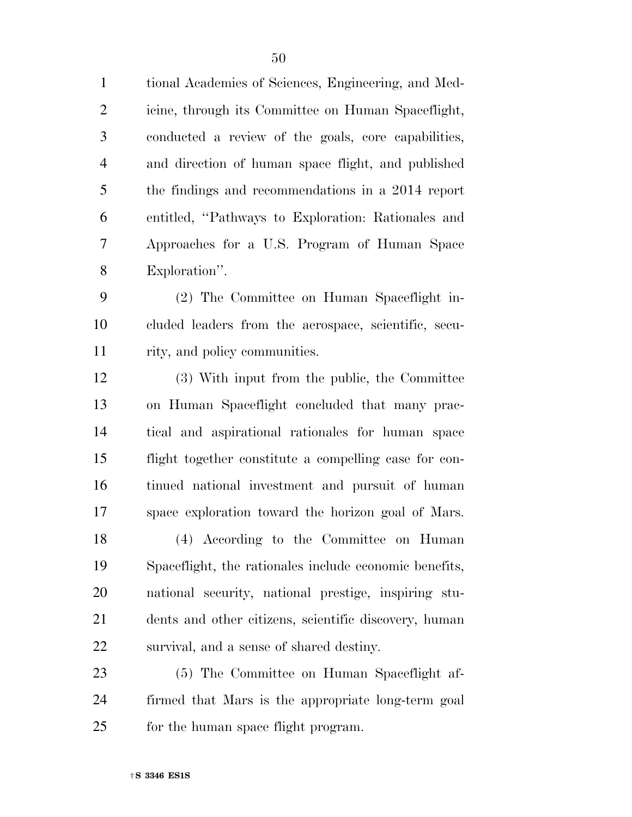tional Academies of Sciences, Engineering, and Med- icine, through its Committee on Human Spaceflight, conducted a review of the goals, core capabilities, and direction of human space flight, and published the findings and recommendations in a 2014 report entitled, ''Pathways to Exploration: Rationales and Approaches for a U.S. Program of Human Space Exploration''.

 (2) The Committee on Human Spaceflight in- cluded leaders from the aerospace, scientific, secu-rity, and policy communities.

 (3) With input from the public, the Committee on Human Spaceflight concluded that many prac- tical and aspirational rationales for human space flight together constitute a compelling case for con- tinued national investment and pursuit of human space exploration toward the horizon goal of Mars.

 (4) According to the Committee on Human Spaceflight, the rationales include economic benefits, national security, national prestige, inspiring stu- dents and other citizens, scientific discovery, human survival, and a sense of shared destiny.

 (5) The Committee on Human Spaceflight af- firmed that Mars is the appropriate long-term goal 25 for the human space flight program.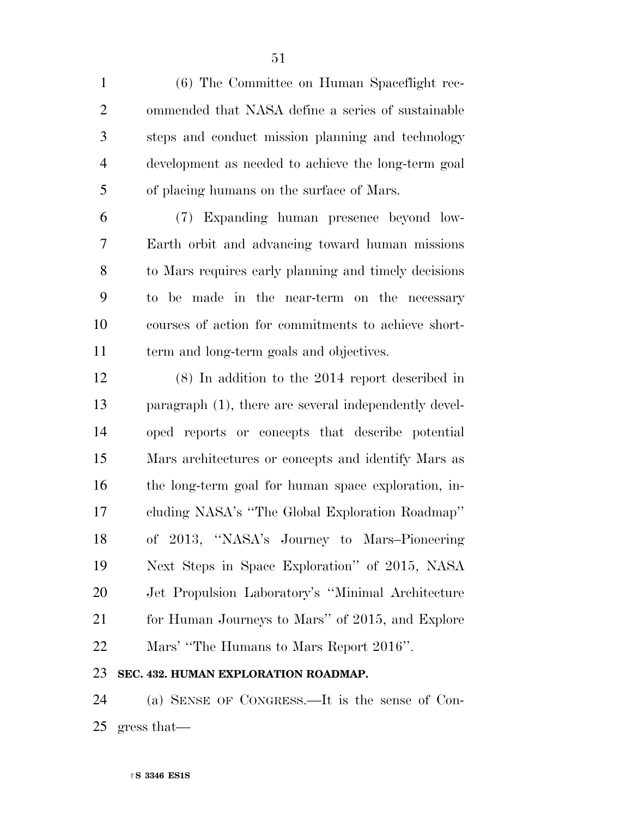(6) The Committee on Human Spaceflight rec- ommended that NASA define a series of sustainable steps and conduct mission planning and technology development as needed to achieve the long-term goal of placing humans on the surface of Mars.

 (7) Expanding human presence beyond low- Earth orbit and advancing toward human missions to Mars requires early planning and timely decisions to be made in the near-term on the necessary courses of action for commitments to achieve short-term and long-term goals and objectives.

 (8) In addition to the 2014 report described in paragraph (1), there are several independently devel- oped reports or concepts that describe potential Mars architectures or concepts and identify Mars as the long-term goal for human space exploration, in- cluding NASA's ''The Global Exploration Roadmap'' of 2013, ''NASA's Journey to Mars–Pioneering Next Steps in Space Exploration'' of 2015, NASA Jet Propulsion Laboratory's ''Minimal Architecture 21 for Human Journeys to Mars" of 2015, and Explore Mars' ''The Humans to Mars Report 2016''.

## **SEC. 432. HUMAN EXPLORATION ROADMAP.**

 (a) SENSE OF CONGRESS.—It is the sense of Con-gress that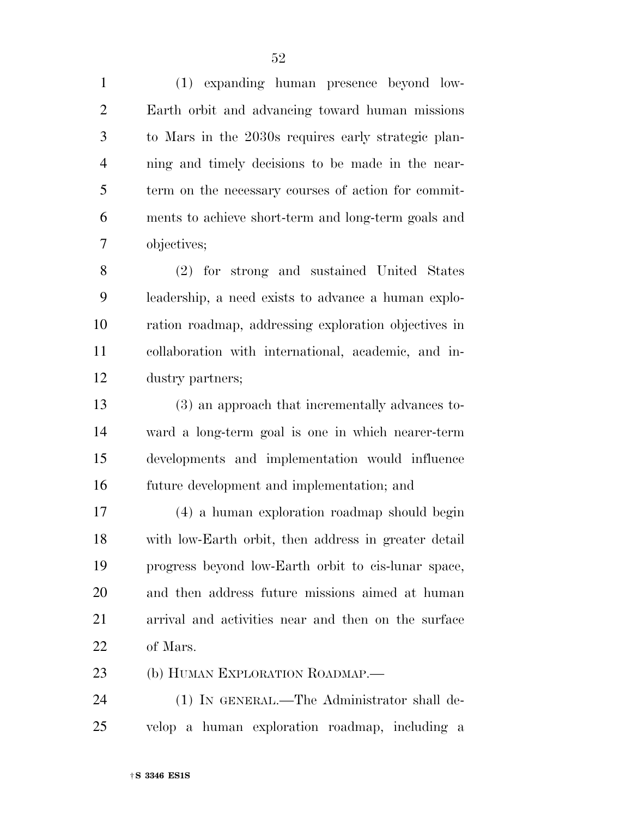(1) expanding human presence beyond low- Earth orbit and advancing toward human missions to Mars in the 2030s requires early strategic plan- ning and timely decisions to be made in the near- term on the necessary courses of action for commit- ments to achieve short-term and long-term goals and objectives;

 (2) for strong and sustained United States leadership, a need exists to advance a human explo- ration roadmap, addressing exploration objectives in collaboration with international, academic, and in-dustry partners;

 (3) an approach that incrementally advances to- ward a long-term goal is one in which nearer-term developments and implementation would influence future development and implementation; and

 (4) a human exploration roadmap should begin with low-Earth orbit, then address in greater detail progress beyond low-Earth orbit to cis-lunar space, and then address future missions aimed at human arrival and activities near and then on the surface of Mars.

23 (b) HUMAN EXPLORATION ROADMAP.

 (1) IN GENERAL.—The Administrator shall de-velop a human exploration roadmap, including a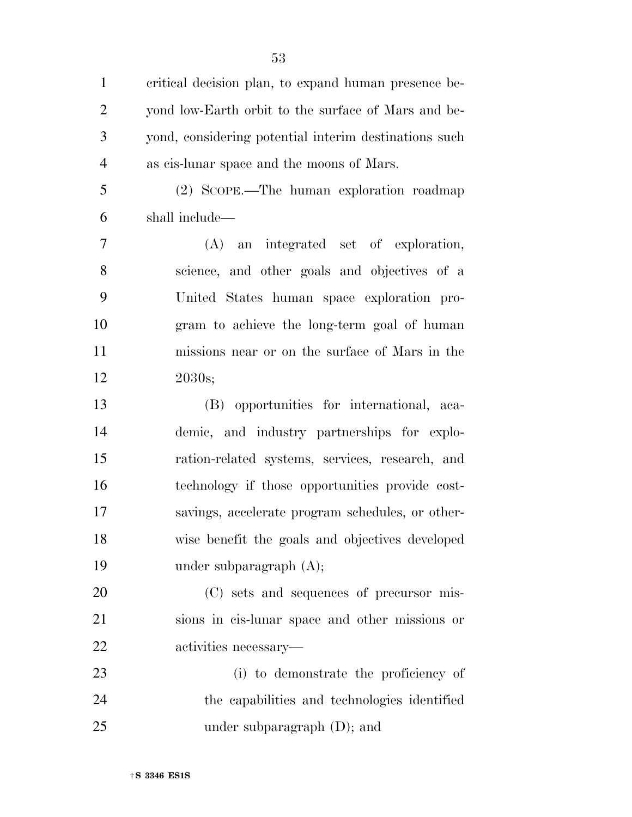critical decision plan, to expand human presence be- yond low-Earth orbit to the surface of Mars and be- yond, considering potential interim destinations such as cis-lunar space and the moons of Mars.

 (2) SCOPE.—The human exploration roadmap shall include—

 (A) an integrated set of exploration, science, and other goals and objectives of a United States human space exploration pro- gram to achieve the long-term goal of human missions near or on the surface of Mars in the 2030s;

 (B) opportunities for international, aca- demic, and industry partnerships for explo- ration-related systems, services, research, and technology if those opportunities provide cost- savings, accelerate program schedules, or other- wise benefit the goals and objectives developed under subparagraph (A);

 (C) sets and sequences of precursor mis- sions in cis-lunar space and other missions or activities necessary—

 (i) to demonstrate the proficiency of the capabilities and technologies identified under subparagraph (D); and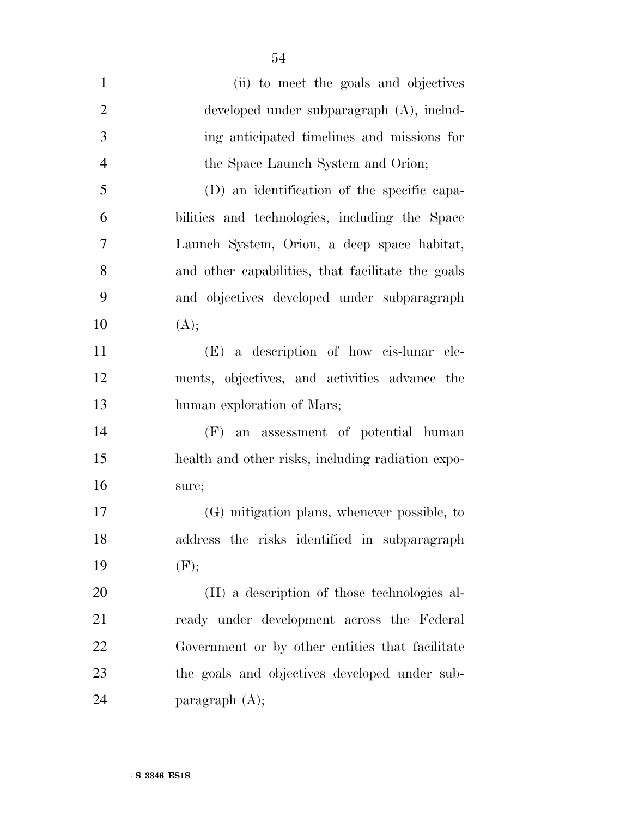| $\mathbf{1}$   | (ii) to meet the goals and objectives             |
|----------------|---------------------------------------------------|
| $\overline{2}$ | developed under subparagraph (A), includ-         |
| 3              | ing anticipated timelines and missions for        |
| $\overline{4}$ | the Space Launch System and Orion;                |
| 5              | (D) an identification of the specific capa-       |
| 6              | bilities and technologies, including the Space    |
| 7              | Launch System, Orion, a deep space habitat,       |
| 8              | and other capabilities, that facilitate the goals |
| 9              | and objectives developed under subparagraph       |
| 10             | (A);                                              |
| 11             | (E) a description of how cis-lunar ele-           |
| 12             | ments, objectives, and activities advance the     |
| 13             | human exploration of Mars;                        |
| 14             | an assessment of potential human<br>(F)           |
| 15             | health and other risks, including radiation expo- |
| 16             | sure;                                             |
| 17             | (G) mitigation plans, whenever possible, to       |
| 18             | address the risks identified in subparagraph      |
| 19             | (F);                                              |
| 20             | (H) a description of those technologies al-       |
| 21             | ready under development across the Federal        |
| 22             | Government or by other entities that facilitate   |
| 23             | the goals and objectives developed under sub-     |
| 24             | paragraph $(A)$ ;                                 |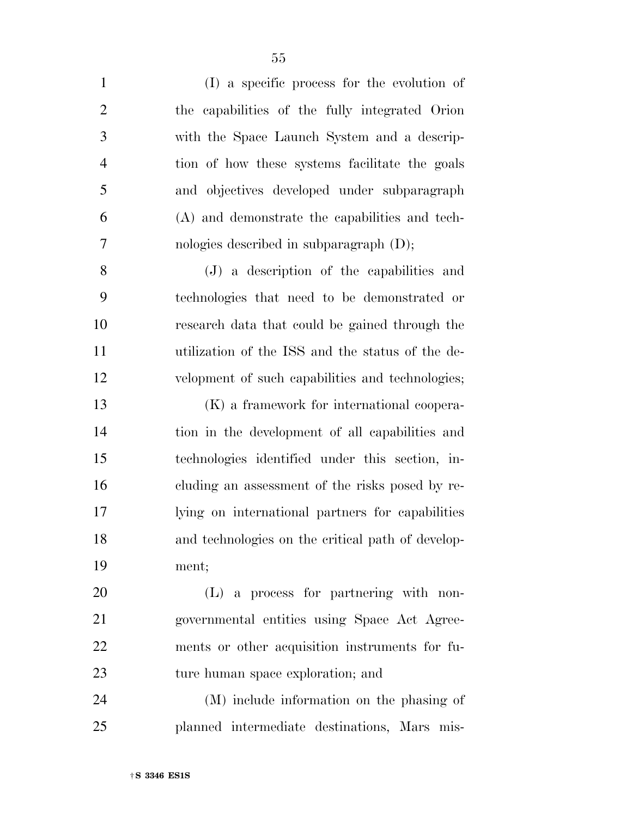| $\mathbf{1}$   | (I) a specific process for the evolution of       |
|----------------|---------------------------------------------------|
| $\overline{2}$ | the capabilities of the fully integrated Orion    |
| 3              | with the Space Launch System and a descrip-       |
| $\overline{4}$ | tion of how these systems facilitate the goals    |
| 5              | and objectives developed under subparagraph       |
| 6              | (A) and demonstrate the capabilities and tech-    |
| $\overline{7}$ | nologies described in subparagraph $(D)$ ;        |
| 8              | (J) a description of the capabilities and         |
| 9              | technologies that need to be demonstrated or      |
| 10             | research data that could be gained through the    |
| 11             | utilization of the ISS and the status of the de-  |
| 12             | velopment of such capabilities and technologies;  |
| 13             | (K) a framework for international coopera-        |
| 14             | tion in the development of all capabilities and   |
| 15             | technologies identified under this section, in-   |
| 16             | cluding an assessment of the risks posed by re-   |
| $17\,$         | lying on international partners for capabilities  |
| 18             | and technologies on the critical path of develop- |
| 19             | ment;                                             |
| 20             | $(L)$ a process for partnering with non-          |
| 21             | governmental entities using Space Act Agree-      |
| 22             | ments or other acquisition instruments for fu-    |
| 23             | ture human space exploration; and                 |
| 24             | (M) include information on the phasing of         |
| 25             | planned intermediate destinations, Mars mis-      |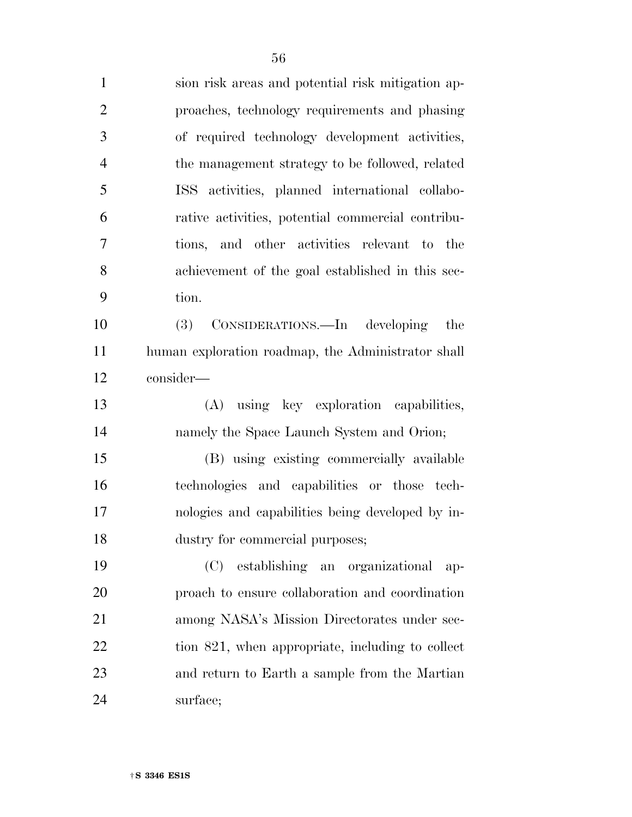| $\mathbf{1}$   | sion risk areas and potential risk mitigation ap-  |
|----------------|----------------------------------------------------|
| $\overline{2}$ | proaches, technology requirements and phasing      |
| 3              | of required technology development activities,     |
| $\overline{4}$ | the management strategy to be followed, related    |
| 5              | ISS activities, planned international collabo-     |
| 6              | rative activities, potential commercial contribu-  |
| $\overline{7}$ | tions, and other activities relevant to the        |
| 8              | achievement of the goal established in this sec-   |
| 9              | tion.                                              |
| 10             | (3)<br>CONSIDERATIONS.—In developing<br>the        |
| 11             | human exploration roadmap, the Administrator shall |
| 12             | consider-                                          |
| 13             | (A) using key exploration capabilities,            |
| 14             | namely the Space Launch System and Orion;          |
| 15             | (B) using existing commercially available          |
| 16             | technologies and capabilities or those tech-       |
| 17             | nologies and capabilities being developed by in-   |
| 18             | dustry for commercial purposes;                    |
| 19             | (C)<br>establishing an organizational<br>$ap-$     |
| 20             | proach to ensure collaboration and coordination    |
| 21             | among NASA's Mission Directorates under sec-       |
| 22             |                                                    |
|                | tion 821, when appropriate, including to collect   |
| 23             | and return to Earth a sample from the Martian      |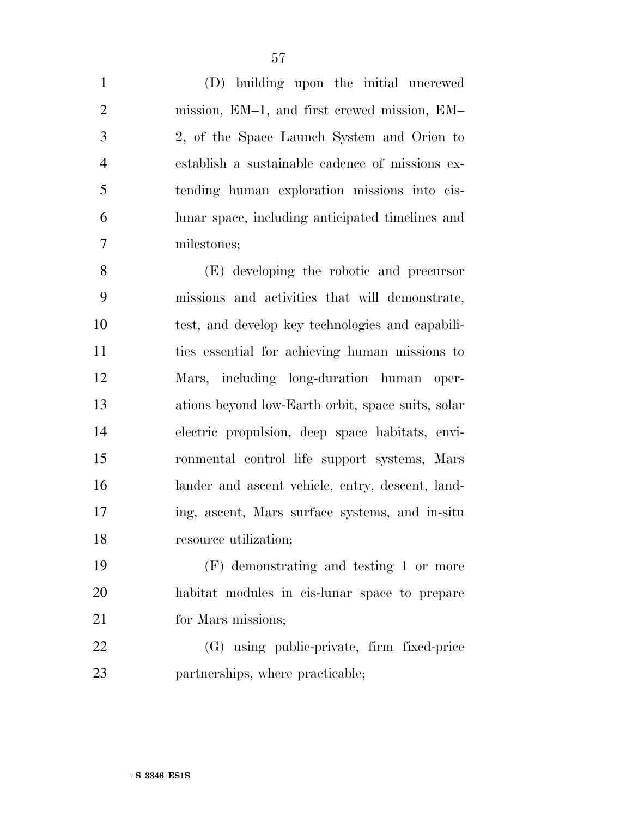(D) building upon the initial uncrewed mission, EM–1, and first crewed mission, EM– 2, of the Space Launch System and Orion to establish a sustainable cadence of missions ex- tending human exploration missions into cis- lunar space, including anticipated timelines and milestones;

 (E) developing the robotic and precursor missions and activities that will demonstrate, test, and develop key technologies and capabili- ties essential for achieving human missions to Mars, including long-duration human oper- ations beyond low-Earth orbit, space suits, solar electric propulsion, deep space habitats, envi- ronmental control life support systems, Mars lander and ascent vehicle, entry, descent, land- ing, ascent, Mars surface systems, and in-situ 18 resource utilization;

 (F) demonstrating and testing 1 or more habitat modules in cis-lunar space to prepare 21 for Mars missions;

 (G) using public-private, firm fixed-price 23 partnerships, where practicable;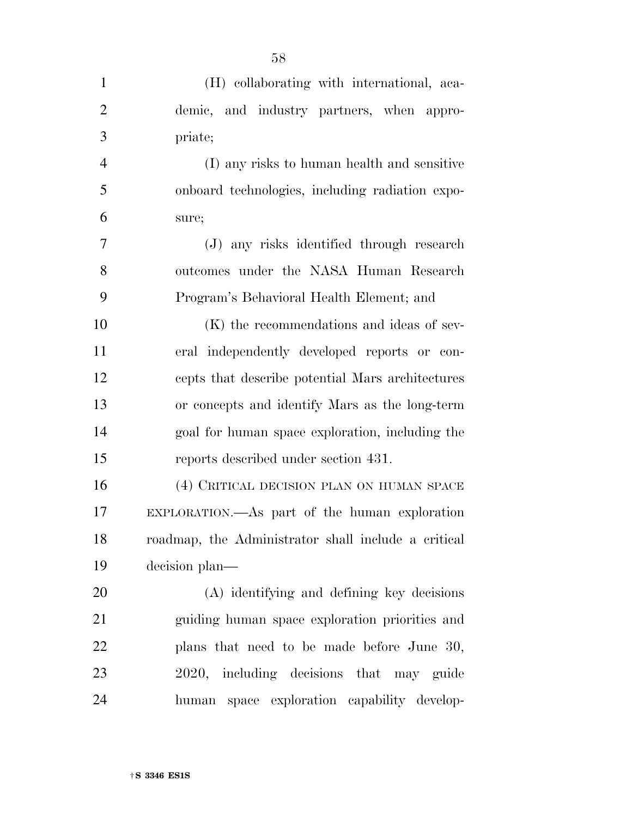| $\mathbf{1}$   | (H) collaborating with international, aca-          |
|----------------|-----------------------------------------------------|
| $\overline{2}$ | demic, and industry partners, when appro-           |
| 3              | priate;                                             |
| $\overline{4}$ | (I) any risks to human health and sensitive         |
| 5              | onboard technologies, including radiation expo-     |
| 6              | sure;                                               |
| 7              | (J) any risks identified through research           |
| 8              | outcomes under the NASA Human Research              |
| 9              | Program's Behavioral Health Element; and            |
| 10             | (K) the recommendations and ideas of sev-           |
| 11             | eral independently developed reports or con-        |
| 12             | cepts that describe potential Mars architectures    |
| 13             | or concepts and identify Mars as the long-term      |
| 14             | goal for human space exploration, including the     |
| 15             | reports described under section 431.                |
| 16             | (4) CRITICAL DECISION PLAN ON HUMAN SPACE           |
| 17             | EXPLORATION.—As part of the human exploration       |
| 18             | roadmap, the Administrator shall include a critical |
| 19             | decision plan—                                      |
| 20             | (A) identifying and defining key decisions          |
| 21             | guiding human space exploration priorities and      |
| 22             | plans that need to be made before June 30,          |
| 23             | 2020, including decisions that may guide            |
| 24             | human space exploration capability develop-         |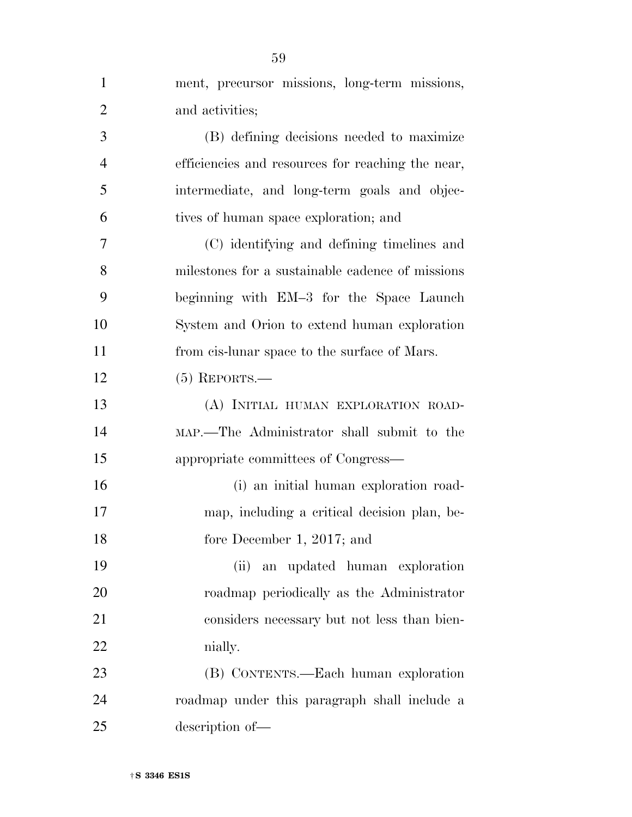| $\mathbf{1}$   | ment, precursor missions, long-term missions,     |
|----------------|---------------------------------------------------|
| $\overline{2}$ | and activities;                                   |
| 3              | (B) defining decisions needed to maximize         |
| $\overline{4}$ | efficiencies and resources for reaching the near, |
| 5              | intermediate, and long-term goals and objec-      |
| 6              | tives of human space exploration; and             |
| 7              | (C) identifying and defining timelines and        |
| 8              | milestones for a sustainable cadence of missions  |
| 9              | beginning with EM-3 for the Space Launch          |
| 10             | System and Orion to extend human exploration      |
| 11             | from cis-lunar space to the surface of Mars.      |
| 12             | $(5)$ REPORTS.—                                   |
| 13             | (A) INITIAL HUMAN EXPLORATION ROAD-               |
| 14             | MAP.—The Administrator shall submit to the        |
| 15             | appropriate committees of Congress—               |
| 16             | (i) an initial human exploration road-            |
| 17             | map, including a critical decision plan, be-      |
| 18             | fore December 1, 2017; and                        |
| 19             | an updated human exploration<br>(ii)              |
| 20             | roadmap periodically as the Administrator         |
| 21             | considers necessary but not less than bien-       |
| 22             | nially.                                           |
| 23             | (B) CONTENTS.—Each human exploration              |
| 24             | roadmap under this paragraph shall include a      |
| 25             | description of-                                   |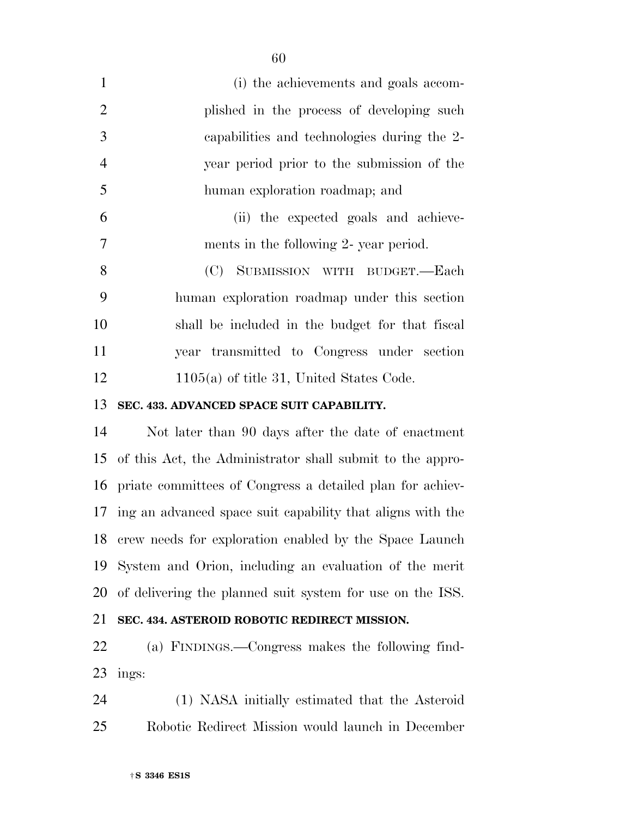| 1              | (i) the achievements and goals accom-           |
|----------------|-------------------------------------------------|
| 2              | plished in the process of developing such       |
| 3              | capabilities and technologies during the 2-     |
| $\overline{4}$ | year period prior to the submission of the      |
| 5              | human exploration roadmap; and                  |
| 6              | (ii) the expected goals and achieve-            |
| $\overline{7}$ | ments in the following 2- year period.          |
| 8              | (C) SUBMISSION WITH BUDGET.-Each                |
| 9              | human exploration roadmap under this section    |
| 10             | shall be included in the budget for that fiscal |
| 11             | year transmitted to Congress under section      |
| 12             | $1105(a)$ of title 31, United States Code.      |
|                |                                                 |

# **SEC. 433. ADVANCED SPACE SUIT CAPABILITY.**

 Not later than 90 days after the date of enactment of this Act, the Administrator shall submit to the appro- priate committees of Congress a detailed plan for achiev- ing an advanced space suit capability that aligns with the crew needs for exploration enabled by the Space Launch System and Orion, including an evaluation of the merit of delivering the planned suit system for use on the ISS.

# **SEC. 434. ASTEROID ROBOTIC REDIRECT MISSION.**

 (a) FINDINGS.—Congress makes the following find-ings:

 (1) NASA initially estimated that the Asteroid Robotic Redirect Mission would launch in December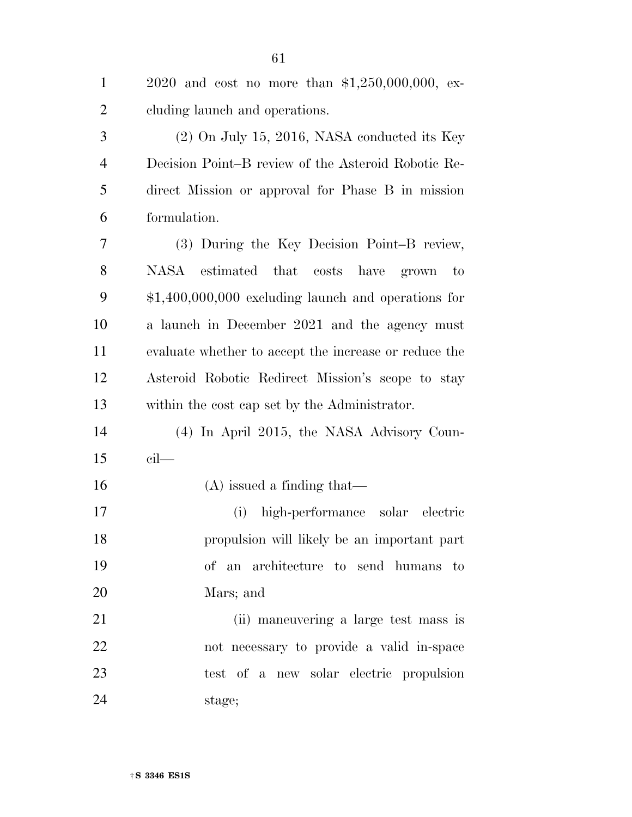| $\mathbf{1}$   | 2020 and cost no more than $$1,250,000,000$ , ex-     |
|----------------|-------------------------------------------------------|
| $\overline{2}$ | eluding launch and operations.                        |
| 3              | $(2)$ On July 15, 2016, NASA conducted its Key        |
| $\overline{4}$ | Decision Point–B review of the Asteroid Robotic Re-   |
| 5              | direct Mission or approval for Phase B in mission     |
| 6              | formulation.                                          |
| 7              | (3) During the Key Decision Point-B review,           |
| 8              | NASA estimated that<br>costs<br>have grown<br>to      |
| 9              | $$1,400,000,000$ excluding launch and operations for  |
| 10             | a launch in December 2021 and the agency must         |
| 11             | evaluate whether to accept the increase or reduce the |
| 12             | Asteroid Robotic Redirect Mission's scope to stay     |
| 13             | within the cost cap set by the Administrator.         |
| 14             | (4) In April 2015, the NASA Advisory Coun-            |
| 15             | $\operatorname{cil}$ —                                |
| 16             | $(A)$ issued a finding that—                          |
| 17             | high-performance solar<br>electric<br>(i)             |
| 18             | propulsion will likely be an important part           |
| 19             | of an architecture to send humans to                  |
| 20             | Mars; and                                             |
| 21             | (ii) maneuvering a large test mass is                 |
| 22             | not necessary to provide a valid in-space             |
| 23             | test of a new solar electric propulsion               |
| 24             | stage;                                                |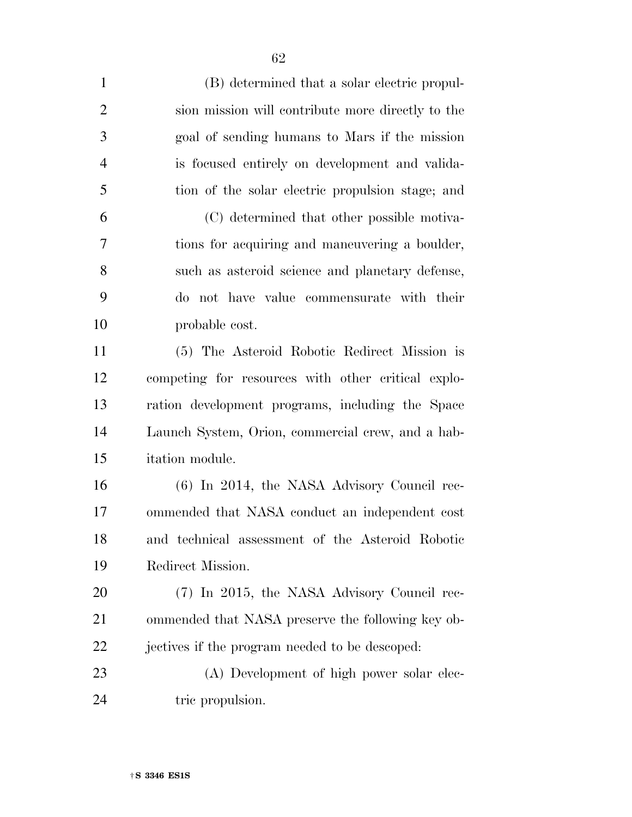| $\mathbf{1}$   | (B) determined that a solar electric propul-       |
|----------------|----------------------------------------------------|
| $\overline{2}$ | sion mission will contribute more directly to the  |
| 3              | goal of sending humans to Mars if the mission      |
| $\overline{4}$ | is focused entirely on development and valida-     |
| 5              | tion of the solar electric propulsion stage; and   |
| 6              | (C) determined that other possible motiva-         |
| 7              | tions for acquiring and maneuvering a boulder,     |
| 8              | such as asteroid science and planetary defense,    |
| 9              | do not have value commensurate with their          |
| 10             | probable cost.                                     |
| 11             | (5) The Asteroid Robotic Redirect Mission is       |
| 12             | competing for resources with other critical explo- |
| 13             | ration development programs, including the Space   |
| 14             | Launch System, Orion, commercial crew, and a hab-  |
| 15             | itation module.                                    |
| 16             | (6) In 2014, the NASA Advisory Council rec-        |
| 17             | ommended that NASA conduct an independent cost     |
| 18             | and technical assessment of the Asteroid Robotic   |
| 19             | Redirect Mission.                                  |
| 20             | (7) In 2015, the NASA Advisory Council rec-        |
| 21             | ommended that NASA preserve the following key ob-  |
| 22             | jectives if the program needed to be descoped:     |
| 23             | (A) Development of high power solar elec-          |
| 24             | tric propulsion.                                   |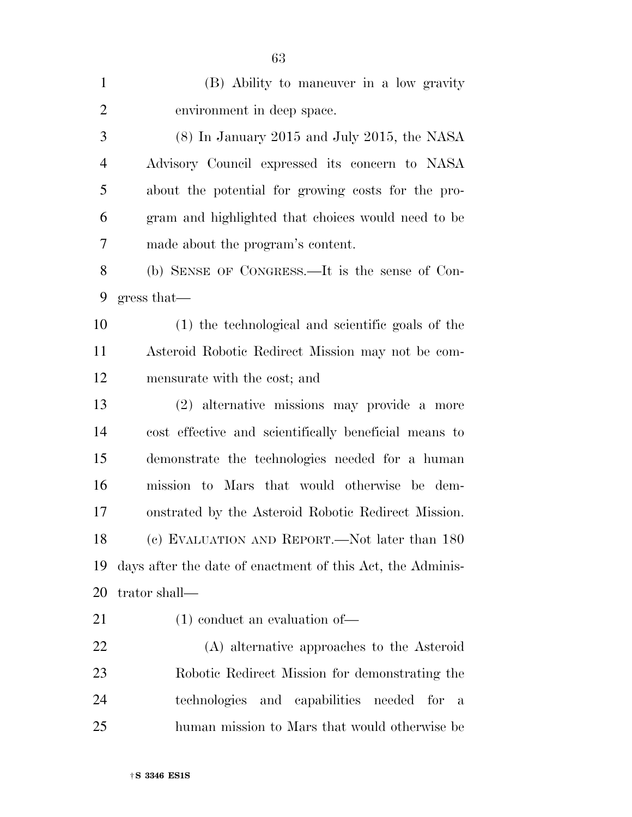| $\mathbf{1}$   | (B) Ability to maneuver in a low gravity                   |
|----------------|------------------------------------------------------------|
| $\overline{2}$ | environment in deep space.                                 |
| 3              | $(8)$ In January 2015 and July 2015, the NASA              |
| $\overline{4}$ | Advisory Council expressed its concern to NASA             |
| 5              | about the potential for growing costs for the pro-         |
| 6              | gram and highlighted that choices would need to be         |
| 7              | made about the program's content.                          |
| 8              | (b) SENSE OF CONGRESS.—It is the sense of Con-             |
| 9              | gress that                                                 |
| 10             | (1) the technological and scientific goals of the          |
| 11             | Asteroid Robotic Redirect Mission may not be com-          |
| 12             | mensurate with the cost; and                               |
| 13             | (2) alternative missions may provide a more                |
| 14             | cost effective and scientifically beneficial means to      |
| 15             | demonstrate the technologies needed for a human            |
| 16             | mission to Mars that would otherwise be dem-               |
| 17             | onstrated by the Asteroid Robotic Redirect Mission.        |
| 18             | (c) EVALUATION AND REPORT.—Not later than 180              |
| 19             | days after the date of enactment of this Act, the Adminis- |
| 20             | trator shall—                                              |
| 21             | $(1)$ conduct an evaluation of —                           |
| $22\,$         | (A) alternative approaches to the Asteroid                 |
| 23             | Robotic Redirect Mission for demonstrating the             |
| 24             | technologies and capabilities needed for<br>a              |
| 25             | human mission to Mars that would otherwise be              |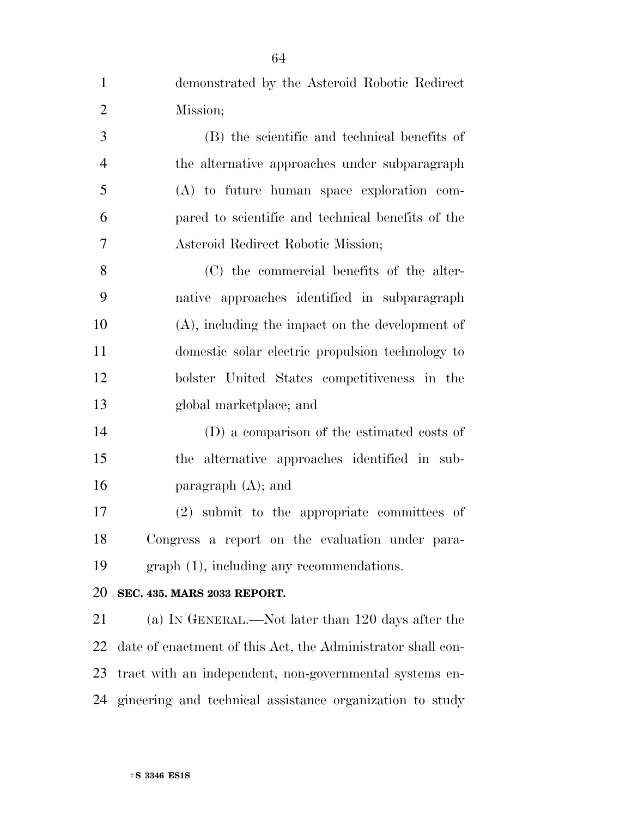| $\mathbf{1}$   | demonstrated by the Asteroid Robotic Redirect               |
|----------------|-------------------------------------------------------------|
| $\overline{2}$ | Mission;                                                    |
| 3              | (B) the scientific and technical benefits of                |
| $\overline{4}$ | the alternative approaches under subparagraph               |
| 5              | $(A)$ to future human space exploration com-                |
| 6              | pared to scientific and technical benefits of the           |
| 7              | Asteroid Redirect Robotic Mission;                          |
| 8              | (C) the commercial benefits of the alter-                   |
| 9              | native approaches identified in subparagraph                |
| 10             | $(A)$ , including the impact on the development of          |
| 11             | domestic solar electric propulsion technology to            |
| 12             | bolster United States competitiveness in the                |
| 13             | global marketplace; and                                     |
| 14             | (D) a comparison of the estimated costs of                  |
| 15             | the alternative approaches identified in sub-               |
| 16             | paragraph $(A)$ ; and                                       |
| 17             | (2) submit to the appropriate committees of                 |
| 18             | Congress a report on the evaluation under para-             |
| 19             | $graph(1)$ , including any recommendations.                 |
| 20             | <b>SEC. 435. MARS 2033 REPORT.</b>                          |
| 21             | (a) IN GENERAL.—Not later than 120 days after the           |
| 22             | date of enactment of this Act, the Administrator shall con- |
| 23             | tract with an independent, non-governmental systems en-     |

gineering and technical assistance organization to study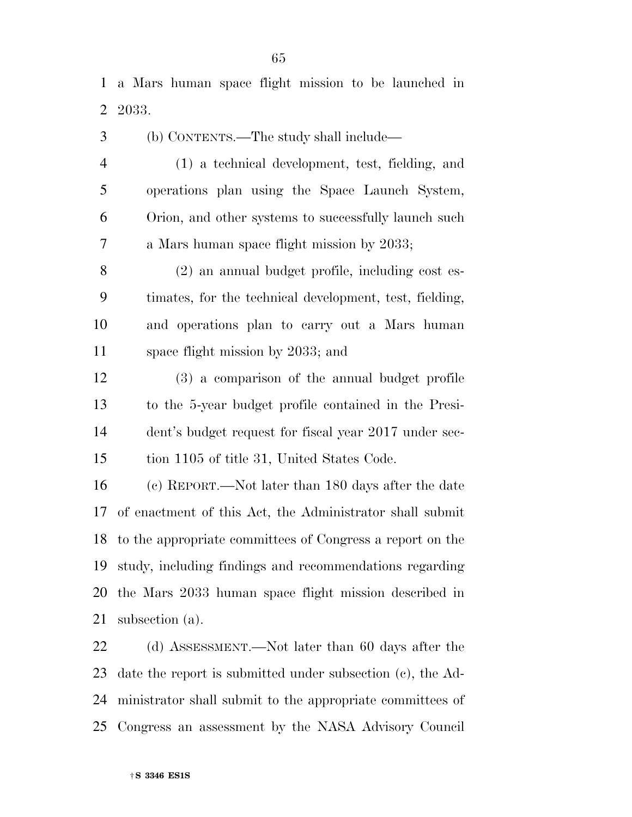a Mars human space flight mission to be launched in 2033.

 (b) CONTENTS.—The study shall include— (1) a technical development, test, fielding, and operations plan using the Space Launch System, Orion, and other systems to successfully launch such a Mars human space flight mission by 2033;

 (2) an annual budget profile, including cost es- timates, for the technical development, test, fielding, and operations plan to carry out a Mars human space flight mission by 2033; and

 (3) a comparison of the annual budget profile to the 5-year budget profile contained in the Presi- dent's budget request for fiscal year 2017 under sec-tion 1105 of title 31, United States Code.

 (c) REPORT.—Not later than 180 days after the date of enactment of this Act, the Administrator shall submit to the appropriate committees of Congress a report on the study, including findings and recommendations regarding the Mars 2033 human space flight mission described in subsection (a).

22 (d) ASSESSMENT.—Not later than 60 days after the date the report is submitted under subsection (c), the Ad- ministrator shall submit to the appropriate committees of Congress an assessment by the NASA Advisory Council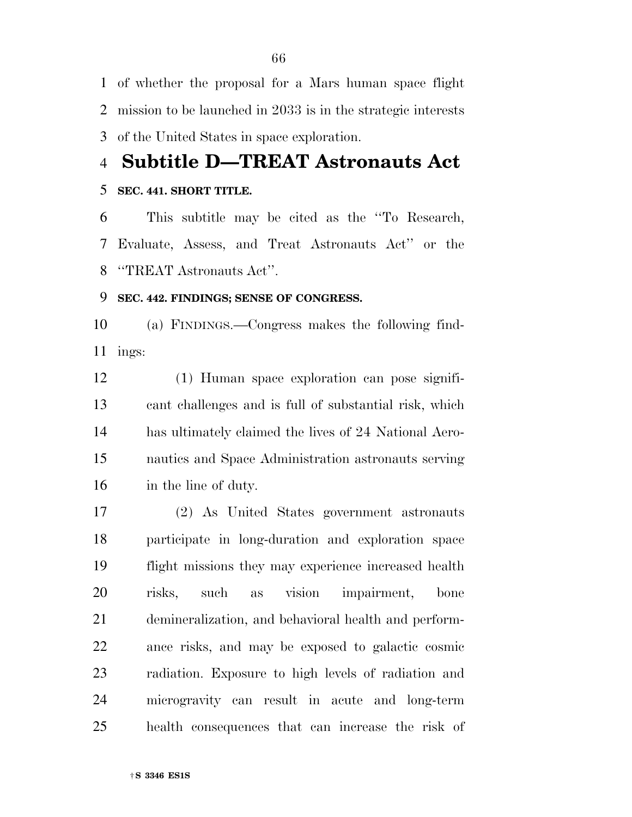of whether the proposal for a Mars human space flight mission to be launched in 2033 is in the strategic interests of the United States in space exploration.

**Subtitle D—TREAT Astronauts Act** 

# **SEC. 441. SHORT TITLE.**

 This subtitle may be cited as the ''To Research, Evaluate, Assess, and Treat Astronauts Act'' or the ''TREAT Astronauts Act''.

# **SEC. 442. FINDINGS; SENSE OF CONGRESS.**

 (a) FINDINGS.—Congress makes the following find-ings:

 (1) Human space exploration can pose signifi- cant challenges and is full of substantial risk, which has ultimately claimed the lives of 24 National Aero- nautics and Space Administration astronauts serving in the line of duty.

 (2) As United States government astronauts participate in long-duration and exploration space flight missions they may experience increased health risks, such as vision impairment, bone demineralization, and behavioral health and perform- ance risks, and may be exposed to galactic cosmic radiation. Exposure to high levels of radiation and microgravity can result in acute and long-term health consequences that can increase the risk of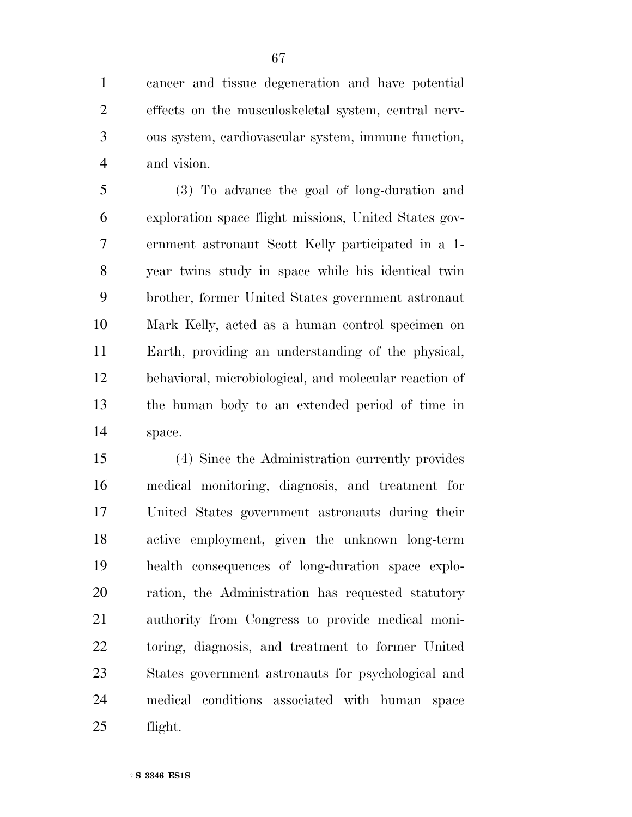cancer and tissue degeneration and have potential effects on the musculoskeletal system, central nerv- ous system, cardiovascular system, immune function, and vision.

 (3) To advance the goal of long-duration and exploration space flight missions, United States gov- ernment astronaut Scott Kelly participated in a 1- year twins study in space while his identical twin brother, former United States government astronaut Mark Kelly, acted as a human control specimen on Earth, providing an understanding of the physical, behavioral, microbiological, and molecular reaction of the human body to an extended period of time in space.

 (4) Since the Administration currently provides medical monitoring, diagnosis, and treatment for United States government astronauts during their active employment, given the unknown long-term health consequences of long-duration space explo- ration, the Administration has requested statutory authority from Congress to provide medical moni- toring, diagnosis, and treatment to former United States government astronauts for psychological and medical conditions associated with human space flight.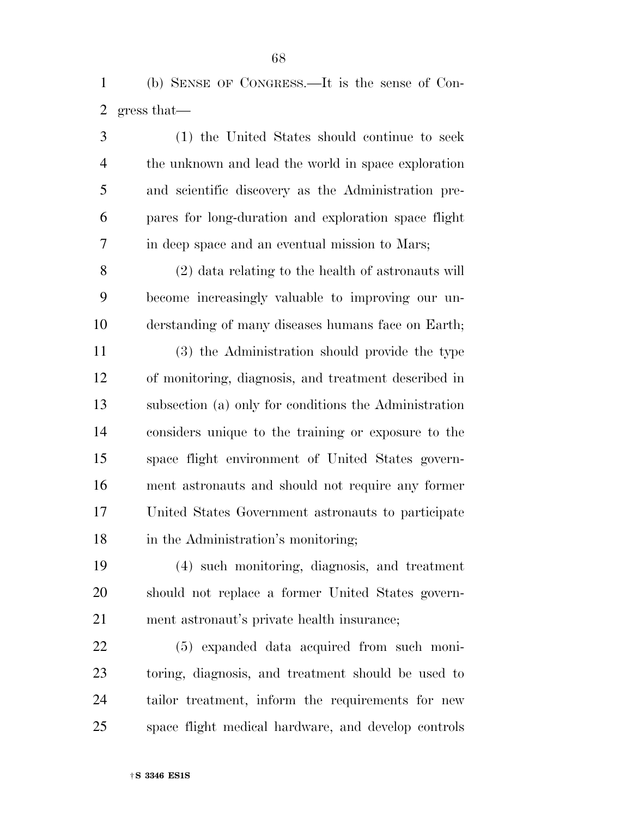(b) SENSE OF CONGRESS.—It is the sense of Con-gress that—

 (1) the United States should continue to seek the unknown and lead the world in space exploration and scientific discovery as the Administration pre- pares for long-duration and exploration space flight in deep space and an eventual mission to Mars;

 (2) data relating to the health of astronauts will become increasingly valuable to improving our un-derstanding of many diseases humans face on Earth;

 (3) the Administration should provide the type of monitoring, diagnosis, and treatment described in subsection (a) only for conditions the Administration considers unique to the training or exposure to the space flight environment of United States govern- ment astronauts and should not require any former United States Government astronauts to participate 18 in the Administration's monitoring;

 (4) such monitoring, diagnosis, and treatment should not replace a former United States govern-ment astronaut's private health insurance;

 (5) expanded data acquired from such moni- toring, diagnosis, and treatment should be used to tailor treatment, inform the requirements for new space flight medical hardware, and develop controls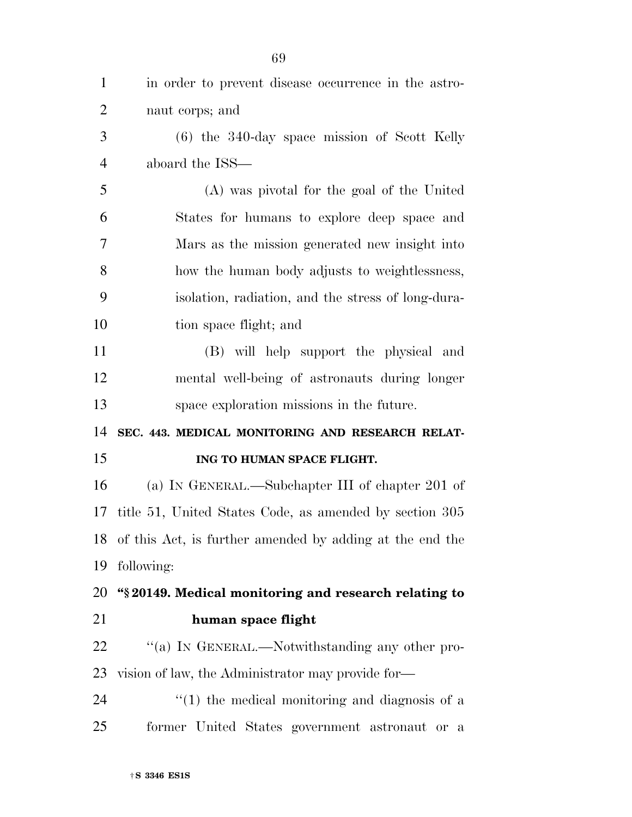| $\mathbf{1}$   | in order to prevent disease occurrence in the astro-        |
|----------------|-------------------------------------------------------------|
| $\overline{2}$ | naut corps; and                                             |
| 3              | $(6)$ the 340-day space mission of Scott Kelly              |
| $\overline{4}$ | aboard the ISS—                                             |
| 5              | (A) was pivotal for the goal of the United                  |
| 6              | States for humans to explore deep space and                 |
| $\overline{7}$ | Mars as the mission generated new insight into              |
| 8              | how the human body adjusts to weightlessness,               |
| 9              | isolation, radiation, and the stress of long-dura-          |
| 10             | tion space flight; and                                      |
| 11             | (B) will help support the physical and                      |
| 12             | mental well-being of astronauts during longer               |
| 13             | space exploration missions in the future.                   |
| 14             | SEC. 443. MEDICAL MONITORING AND RESEARCH RELAT-            |
| 15             | ING TO HUMAN SPACE FLIGHT.                                  |
| 16             | (a) IN GENERAL.—Subchapter III of chapter 201 of            |
| 17             | title 51, United States Code, as amended by section 305     |
|                | 18 of this Act, is further amended by adding at the end the |
| 19             | following:                                                  |
| 20             | "\\$20149. Medical monitoring and research relating to      |
| 21             | human space flight                                          |
| 22             | "(a) IN GENERAL.—Notwithstanding any other pro-             |
| 23             | vision of law, the Administrator may provide for-           |
| 24             | $f(1)$ the medical monitoring and diagnosis of a            |
| 25             | former United States government astronaut or a              |
|                |                                                             |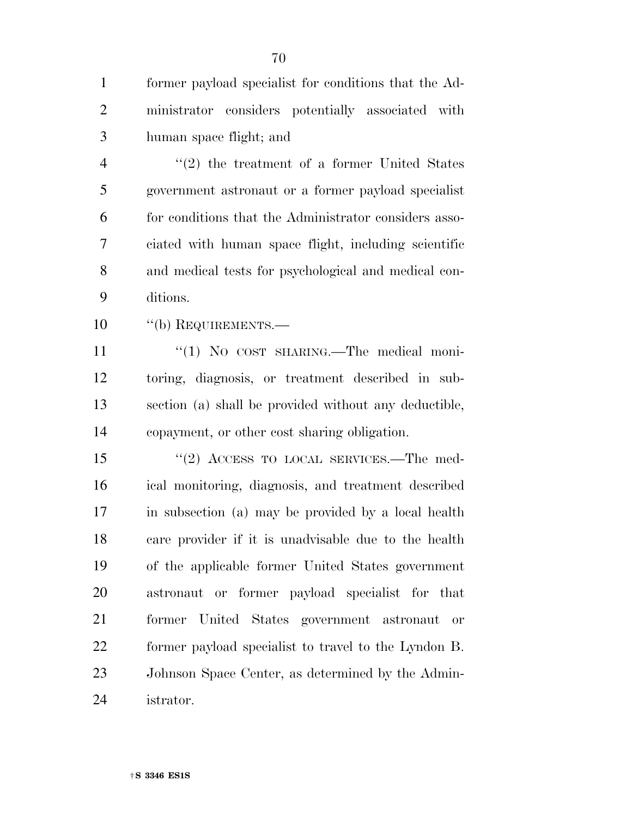former payload specialist for conditions that the Ad- ministrator considers potentially associated with human space flight; and

 ''(2) the treatment of a former United States government astronaut or a former payload specialist for conditions that the Administrator considers asso- ciated with human space flight, including scientific and medical tests for psychological and medical con-ditions.

10 "(b) REQUIREMENTS.—

11 "(1) No cost sharing. The medical moni- toring, diagnosis, or treatment described in sub- section (a) shall be provided without any deductible, copayment, or other cost sharing obligation.

15 "(2) ACCESS TO LOCAL SERVICES.—The med- ical monitoring, diagnosis, and treatment described in subsection (a) may be provided by a local health care provider if it is unadvisable due to the health of the applicable former United States government astronaut or former payload specialist for that former United States government astronaut or former payload specialist to travel to the Lyndon B. Johnson Space Center, as determined by the Admin-istrator.

†**S 3346 ES1S**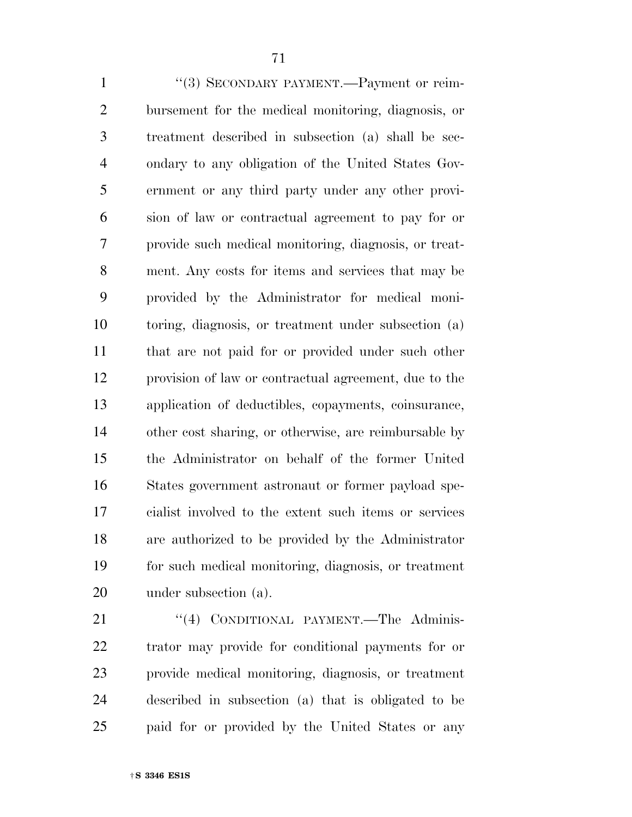1 "(3) SECONDARY PAYMENT.—Payment or reim- bursement for the medical monitoring, diagnosis, or treatment described in subsection (a) shall be sec- ondary to any obligation of the United States Gov- ernment or any third party under any other provi- sion of law or contractual agreement to pay for or provide such medical monitoring, diagnosis, or treat- ment. Any costs for items and services that may be provided by the Administrator for medical moni- toring, diagnosis, or treatment under subsection (a) that are not paid for or provided under such other provision of law or contractual agreement, due to the application of deductibles, copayments, coinsurance, other cost sharing, or otherwise, are reimbursable by the Administrator on behalf of the former United States government astronaut or former payload spe- cialist involved to the extent such items or services are authorized to be provided by the Administrator for such medical monitoring, diagnosis, or treatment under subsection (a).

21 "(4) CONDITIONAL PAYMENT.—The Adminis- trator may provide for conditional payments for or provide medical monitoring, diagnosis, or treatment described in subsection (a) that is obligated to be paid for or provided by the United States or any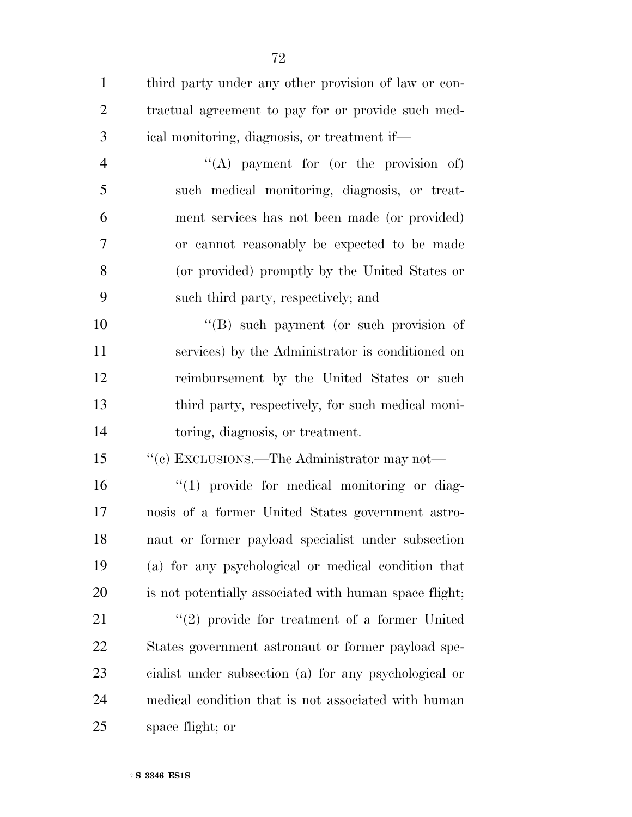| $\mathbf{1}$   | third party under any other provision of law or con-   |
|----------------|--------------------------------------------------------|
| $\overline{2}$ | tractual agreement to pay for or provide such med-     |
| 3              | ical monitoring, diagnosis, or treatment if—           |
| $\overline{4}$ | "(A) payment for (or the provision of)                 |
| 5              | such medical monitoring, diagnosis, or treat-          |
| 6              | ment services has not been made (or provided)          |
| 7              | or cannot reasonably be expected to be made            |
| 8              | (or provided) promptly by the United States or         |
| 9              | such third party, respectively; and                    |
| 10             | $\lq\lq$ such payment (or such provision of            |
| 11             | services) by the Administrator is conditioned on       |
| 12             | reimbursement by the United States or such             |
| 13             | third party, respectively, for such medical moni-      |
| 14             | toring, diagnosis, or treatment.                       |
| 15             | $\lq\lq (e)$ EXCLUSIONS.—The Administrator may not—    |
| 16             | $\lq(1)$ provide for medical monitoring or diag-       |
| 17             | nosis of a former United States government astro-      |
| 18             | naut or former payload specialist under subsection     |
| 19             | (a) for any psychological or medical condition that    |
| 20             | is not potentially associated with human space flight; |
| 21             | $\lq(2)$ provide for treatment of a former United      |
| 22             | States government astronaut or former payload spe-     |
| 23             | cialist under subsection (a) for any psychological or  |
| 24             | medical condition that is not associated with human    |
| 25             | space flight; or                                       |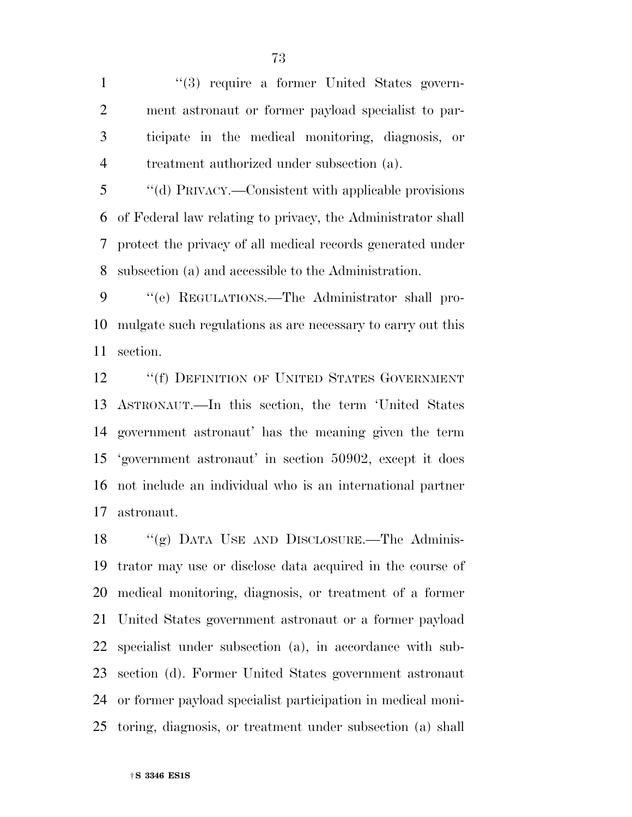1 ''(3) require a former United States govern- ment astronaut or former payload specialist to par- ticipate in the medical monitoring, diagnosis, or treatment authorized under subsection (a).

 ''(d) PRIVACY.—Consistent with applicable provisions of Federal law relating to privacy, the Administrator shall protect the privacy of all medical records generated under subsection (a) and accessible to the Administration.

 ''(e) REGULATIONS.—The Administrator shall pro- mulgate such regulations as are necessary to carry out this section.

12 ""(f) DEFINITION OF UNITED STATES GOVERNMENT ASTRONAUT.—In this section, the term 'United States government astronaut' has the meaning given the term 'government astronaut' in section 50902, except it does not include an individual who is an international partner astronaut.

 ''(g) DATA USE AND DISCLOSURE.—The Adminis- trator may use or disclose data acquired in the course of medical monitoring, diagnosis, or treatment of a former United States government astronaut or a former payload specialist under subsection (a), in accordance with sub- section (d). Former United States government astronaut or former payload specialist participation in medical moni-toring, diagnosis, or treatment under subsection (a) shall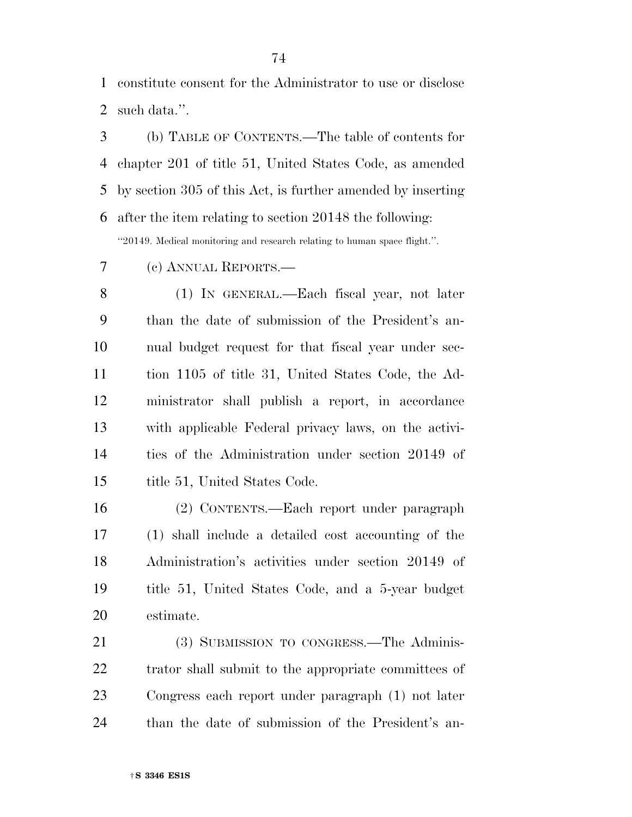constitute consent for the Administrator to use or disclose such data.''.

 (b) TABLE OF CONTENTS.—The table of contents for chapter 201 of title 51, United States Code, as amended by section 305 of this Act, is further amended by inserting after the item relating to section 20148 the following: ''20149. Medical monitoring and research relating to human space flight.''.

(c) ANNUAL REPORTS.—

 (1) IN GENERAL.—Each fiscal year, not later than the date of submission of the President's an- nual budget request for that fiscal year under sec- tion 1105 of title 31, United States Code, the Ad- ministrator shall publish a report, in accordance with applicable Federal privacy laws, on the activi- ties of the Administration under section 20149 of 15 title 51, United States Code.

 (2) CONTENTS.—Each report under paragraph (1) shall include a detailed cost accounting of the Administration's activities under section 20149 of title 51, United States Code, and a 5-year budget estimate.

 (3) SUBMISSION TO CONGRESS.—The Adminis-22 trator shall submit to the appropriate committees of Congress each report under paragraph (1) not later than the date of submission of the President's an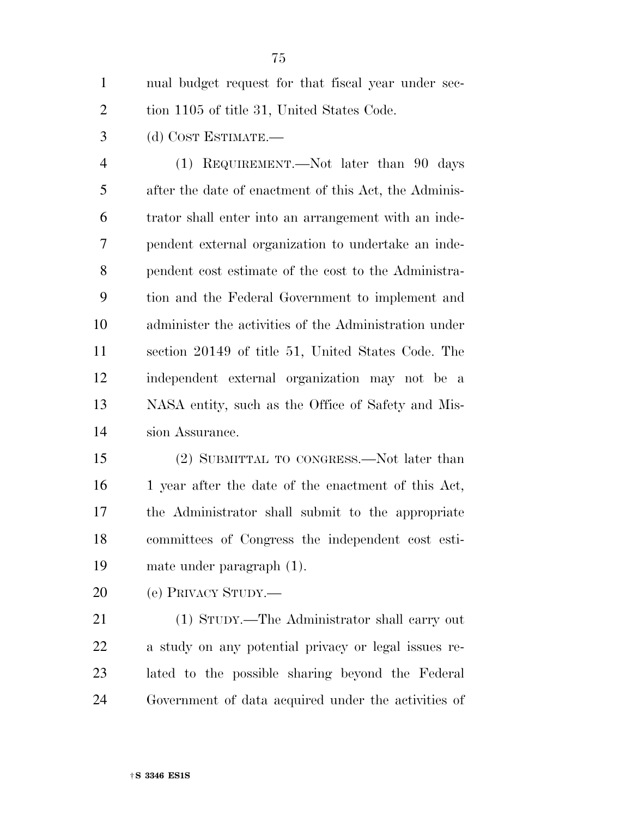nual budget request for that fiscal year under sec-2 tion 1105 of title 31, United States Code.

(d) COST ESTIMATE.—

 (1) REQUIREMENT.—Not later than 90 days after the date of enactment of this Act, the Adminis- trator shall enter into an arrangement with an inde- pendent external organization to undertake an inde- pendent cost estimate of the cost to the Administra- tion and the Federal Government to implement and administer the activities of the Administration under section 20149 of title 51, United States Code. The independent external organization may not be a NASA entity, such as the Office of Safety and Mis-sion Assurance.

 (2) SUBMITTAL TO CONGRESS.—Not later than 16 1 year after the date of the enactment of this Act, the Administrator shall submit to the appropriate committees of Congress the independent cost esti-mate under paragraph (1).

(e) PRIVACY STUDY.—

 (1) STUDY.—The Administrator shall carry out a study on any potential privacy or legal issues re- lated to the possible sharing beyond the Federal Government of data acquired under the activities of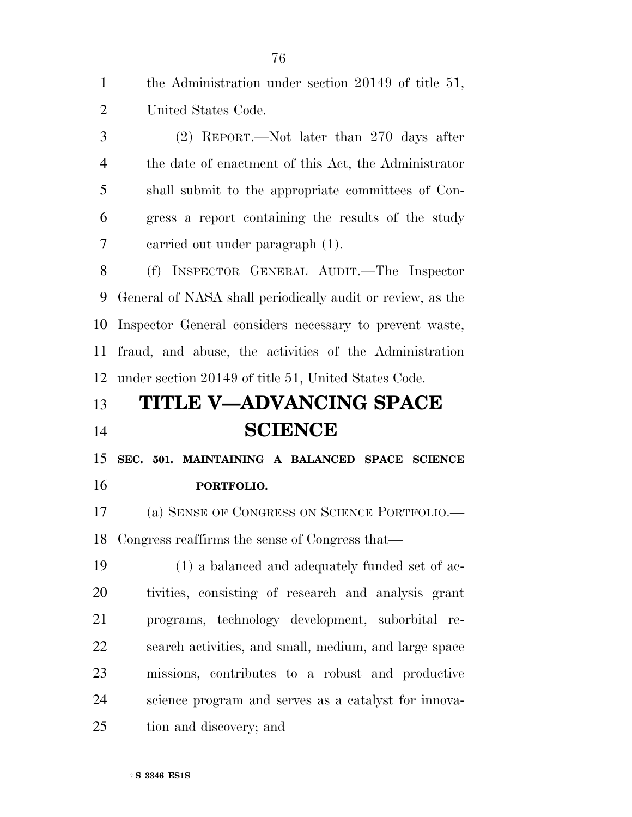the Administration under section 20149 of title 51, United States Code. (2) REPORT.—Not later than 270 days after the date of enactment of this Act, the Administrator shall submit to the appropriate committees of Con- gress a report containing the results of the study carried out under paragraph (1). (f) INSPECTOR GENERAL AUDIT.—The Inspector General of NASA shall periodically audit or review, as the Inspector General considers necessary to prevent waste, fraud, and abuse, the activities of the Administration under section 20149 of title 51, United States Code. **TITLE V—ADVANCING SPACE SCIENCE SEC. 501. MAINTAINING A BALANCED SPACE SCIENCE PORTFOLIO.**  (a) SENSE OF CONGRESS ON SCIENCE PORTFOLIO.— Congress reaffirms the sense of Congress that— (1) a balanced and adequately funded set of ac- tivities, consisting of research and analysis grant programs, technology development, suborbital re- search activities, and small, medium, and large space missions, contributes to a robust and productive science program and serves as a catalyst for innova-tion and discovery; and

†**S 3346 ES1S**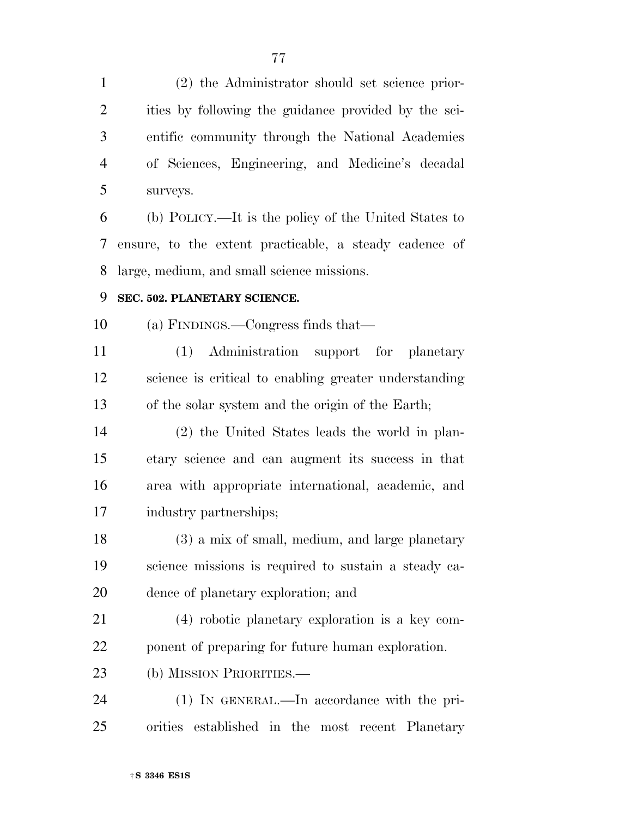(2) the Administrator should set science prior- ities by following the guidance provided by the sci- entific community through the National Academies of Sciences, Engineering, and Medicine's decadal surveys.

 (b) POLICY.—It is the policy of the United States to ensure, to the extent practicable, a steady cadence of large, medium, and small science missions.

### **SEC. 502. PLANETARY SCIENCE.**

(a) FINDINGS.—Congress finds that—

 (1) Administration support for planetary science is critical to enabling greater understanding of the solar system and the origin of the Earth;

 (2) the United States leads the world in plan- etary science and can augment its success in that area with appropriate international, academic, and industry partnerships;

 (3) a mix of small, medium, and large planetary science missions is required to sustain a steady ca-dence of planetary exploration; and

 (4) robotic planetary exploration is a key com-ponent of preparing for future human exploration.

(b) MISSION PRIORITIES.—

 (1) IN GENERAL.—In accordance with the pri-orities established in the most recent Planetary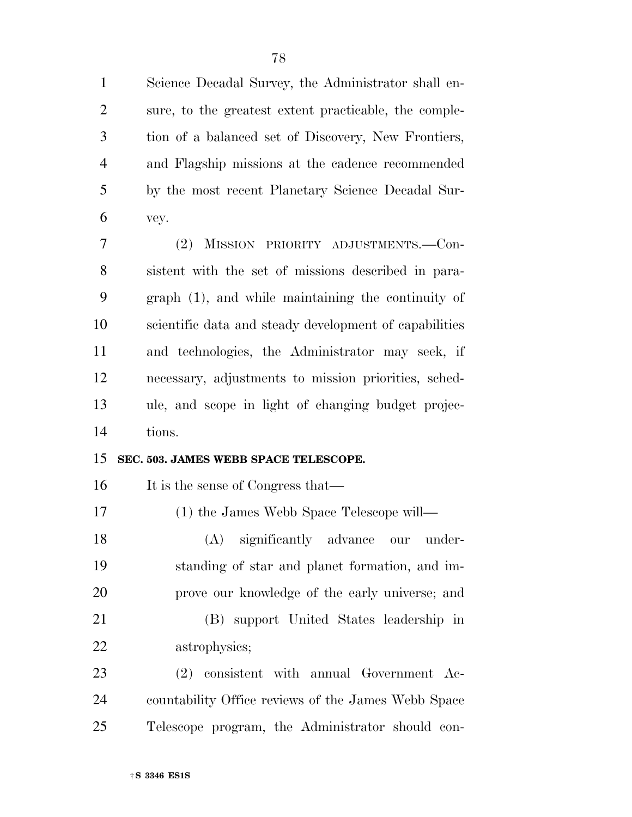Science Decadal Survey, the Administrator shall en- sure, to the greatest extent practicable, the comple- tion of a balanced set of Discovery, New Frontiers, and Flagship missions at the cadence recommended by the most recent Planetary Science Decadal Sur-vey.

 (2) MISSION PRIORITY ADJUSTMENTS.—Con- sistent with the set of missions described in para- graph (1), and while maintaining the continuity of scientific data and steady development of capabilities and technologies, the Administrator may seek, if necessary, adjustments to mission priorities, sched- ule, and scope in light of changing budget projec-tions.

### **SEC. 503. JAMES WEBB SPACE TELESCOPE.**

16 It is the sense of Congress that—

(1) the James Webb Space Telescope will—

 (A) significantly advance our under- standing of star and planet formation, and im-prove our knowledge of the early universe; and

 (B) support United States leadership in astrophysics;

 (2) consistent with annual Government Ac- countability Office reviews of the James Webb Space Telescope program, the Administrator should con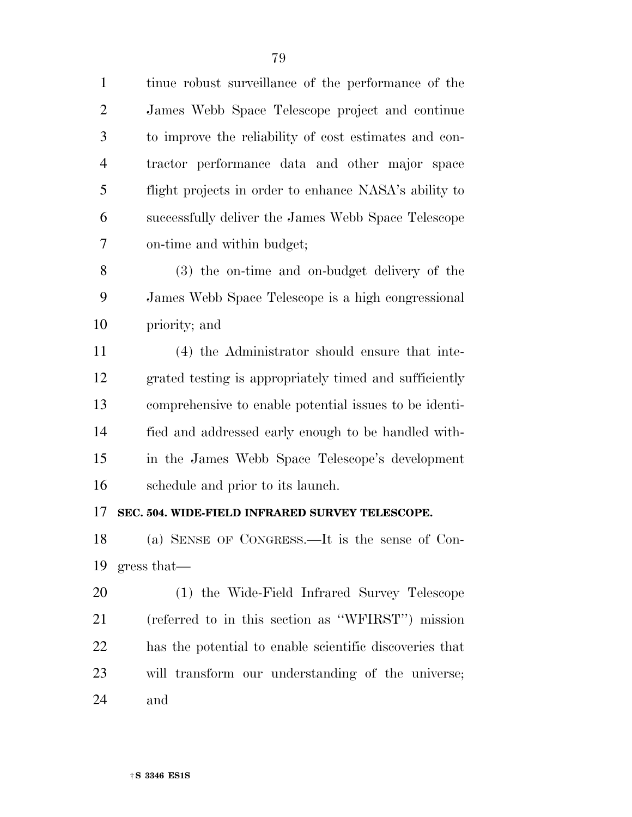tinue robust surveillance of the performance of the James Webb Space Telescope project and continue to improve the reliability of cost estimates and con- tractor performance data and other major space flight projects in order to enhance NASA's ability to successfully deliver the James Webb Space Telescope on-time and within budget;

 (3) the on-time and on-budget delivery of the James Webb Space Telescope is a high congressional priority; and

 (4) the Administrator should ensure that inte- grated testing is appropriately timed and sufficiently comprehensive to enable potential issues to be identi- fied and addressed early enough to be handled with- in the James Webb Space Telescope's development schedule and prior to its launch.

### **SEC. 504. WIDE-FIELD INFRARED SURVEY TELESCOPE.**

 (a) SENSE OF CONGRESS.—It is the sense of Con-gress that—

 (1) the Wide-Field Infrared Survey Telescope (referred to in this section as ''WFIRST'') mission has the potential to enable scientific discoveries that will transform our understanding of the universe; and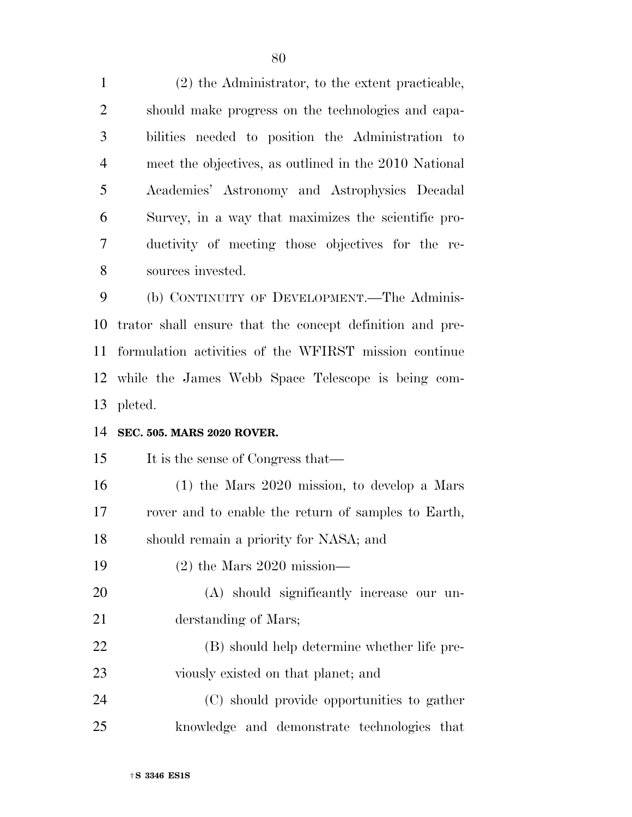(2) the Administrator, to the extent practicable, should make progress on the technologies and capa- bilities needed to position the Administration to meet the objectives, as outlined in the 2010 National Academies' Astronomy and Astrophysics Decadal Survey, in a way that maximizes the scientific pro- ductivity of meeting those objectives for the re- sources invested. (b) CONTINUITY OF DEVELOPMENT.—The Adminis-

 trator shall ensure that the concept definition and pre- formulation activities of the WFIRST mission continue while the James Webb Space Telescope is being com-pleted.

### **SEC. 505. MARS 2020 ROVER.**

| 15 | It is the sense of Congress that—                   |
|----|-----------------------------------------------------|
| 16 | $(1)$ the Mars 2020 mission, to develop a Mars      |
| 17 | rover and to enable the return of samples to Earth, |
| 18 | should remain a priority for NASA; and              |
| 19 | $(2)$ the Mars 2020 mission—                        |
| 20 | (A) should significantly increase our un-           |
| 21 | derstanding of Mars;                                |
| 22 | (B) should help determine whether life pre-         |
| 23 | viously existed on that planet; and                 |
| 24 | (C) should provide opportunities to gather          |
| 25 | knowledge and demonstrate technologies that         |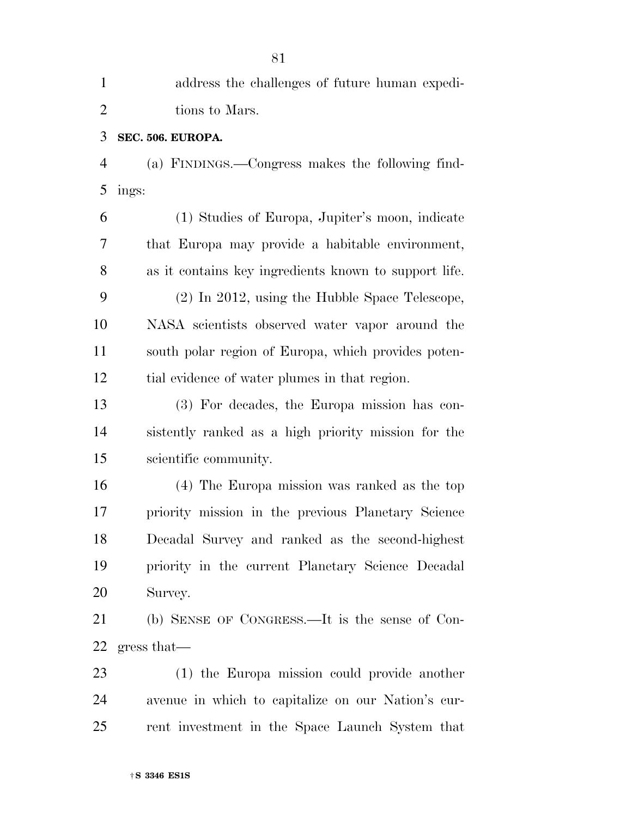| $\mathbf{1}$   | address the challenges of future human expedi-        |
|----------------|-------------------------------------------------------|
| $\overline{2}$ | tions to Mars.                                        |
| 3              | SEC. 506. EUROPA.                                     |
| $\overline{4}$ | (a) FINDINGS.—Congress makes the following find-      |
| 5              | ings:                                                 |
| 6              | (1) Studies of Europa, Jupiter's moon, indicate       |
| 7              | that Europa may provide a habitable environment,      |
| 8              | as it contains key ingredients known to support life. |
| 9              | (2) In 2012, using the Hubble Space Telescope,        |
| 10             | NASA scientists observed water vapor around the       |
| 11             | south polar region of Europa, which provides poten-   |
| 12             | tial evidence of water plumes in that region.         |
| 13             | (3) For decades, the Europa mission has con-          |
| 14             | sistently ranked as a high priority mission for the   |
| 15             | scientific community.                                 |
| 16             | (4) The Europa mission was ranked as the top          |
| 17             | priority mission in the previous Planetary Science    |
| 18             | Decadal Survey and ranked as the second-highest       |
| 19             | priority in the current Planetary Science Decadal     |
| 20             | Survey.                                               |
| 21             | (b) SENSE OF CONGRESS.—It is the sense of Con-        |
| 22             | gress that                                            |
| 23             | (1) the Europa mission could provide another          |
| 24             | avenue in which to capitalize on our Nation's cur-    |
| 25             | rent investment in the Space Launch System that       |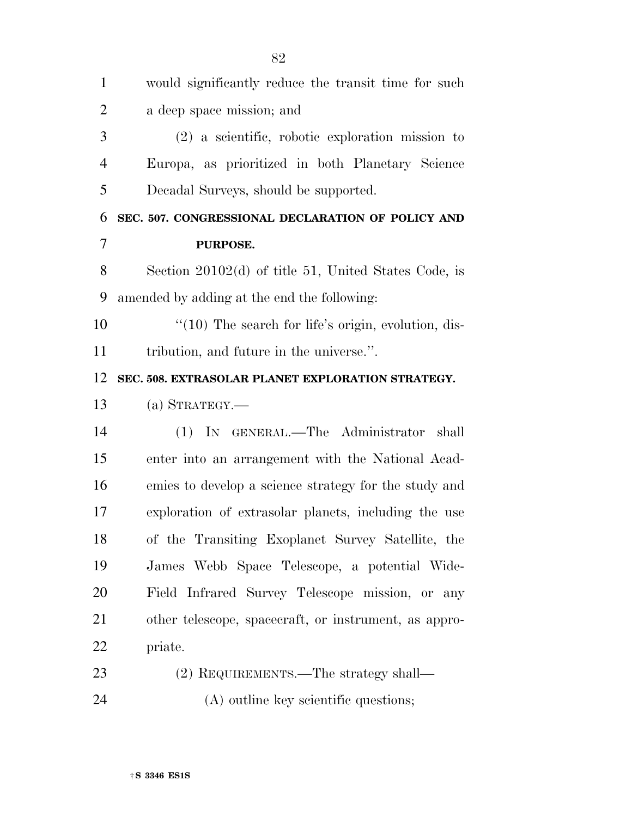| $\mathbf{1}$   | would significantly reduce the transit time for such    |
|----------------|---------------------------------------------------------|
| $\overline{2}$ | a deep space mission; and                               |
| 3              | $(2)$ a scientific, robotic exploration mission to      |
| 4              | Europa, as prioritized in both Planetary Science        |
| 5              | Decadal Surveys, should be supported.                   |
| 6              | SEC. 507. CONGRESSIONAL DECLARATION OF POLICY AND       |
| 7              | PURPOSE.                                                |
| 8              | Section $20102(d)$ of title 51, United States Code, is  |
| 9              | amended by adding at the end the following:             |
| 10             | $\lq(10)$ The search for life's origin, evolution, dis- |
| 11             | tribution, and future in the universe.".                |
| 12             | SEC. 508. EXTRASOLAR PLANET EXPLORATION STRATEGY.       |
| 13             | $(a)$ STRATEGY.—                                        |
| 14             | (1) IN GENERAL.—The Administrator<br>shall              |
| 15             | enter into an arrangement with the National Acad-       |
| 16             | emies to develop a science strategy for the study and   |
| 17             | exploration of extrasolar planets, including the use    |
| 18             | of the Transiting Exoplanet Survey Satellite, the       |
| 19             | James Webb Space Telescope, a potential Wide-           |
| 20             | Field Infrared Survey Telescope mission, or any         |
| 21             | other telescope, spacecraft, or instrument, as appro-   |
| 22             | priate.                                                 |
| 23             | (2) REQUIREMENTS.—The strategy shall—                   |
| 24             | (A) outline key scientific questions;                   |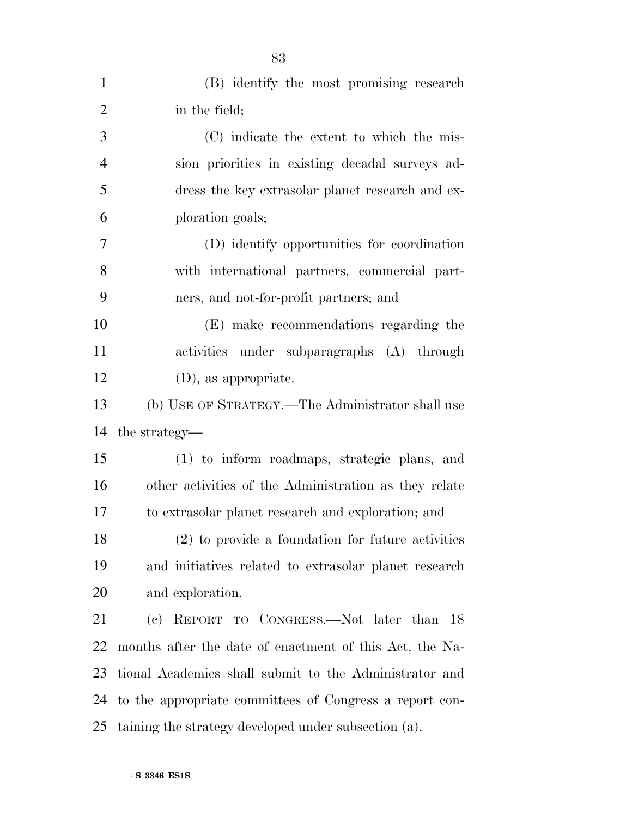| $\mathbf{1}$   | (B) identify the most promising research                |
|----------------|---------------------------------------------------------|
| $\overline{2}$ | in the field;                                           |
| 3              | (C) indicate the extent to which the mis-               |
| $\overline{4}$ | sion priorities in existing decadal surveys ad-         |
| 5              | dress the key extrasolar planet research and ex-        |
| 6              | ploration goals;                                        |
| $\overline{7}$ | (D) identify opportunities for coordination             |
| 8              | with international partners, commercial part-           |
| 9              | ners, and not-for-profit partners; and                  |
| 10             | (E) make recommendations regarding the                  |
| 11             | activities under subparagraphs (A) through              |
| 12             | $(D)$ , as appropriate.                                 |
| 13             | (b) USE OF STRATEGY.—The Administrator shall use        |
| 14             | the strategy—                                           |
| 15             | (1) to inform roadmaps, strategic plans, and            |
| 16             | other activities of the Administration as they relate   |
| 17             | to extrasolar planet research and exploration; and      |
| 18             | $(2)$ to provide a foundation for future activities     |
| 19             | and initiatives related to extrasolar planet research   |
| 20             | and exploration.                                        |
| 21             | (c) REPORT TO CONGRESS.—Not later than 18               |
| 22             | months after the date of enactment of this Act, the Na- |
| 23             | tional Academies shall submit to the Administrator and  |
| 24             | to the appropriate committees of Congress a report con- |
| 25             | taining the strategy developed under subsection (a).    |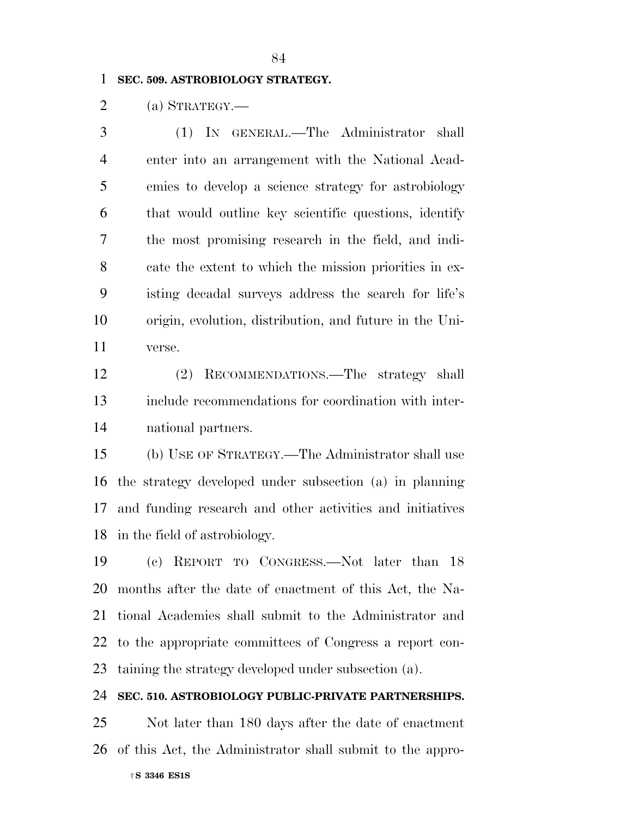### **SEC. 509. ASTROBIOLOGY STRATEGY.**

(a) STRATEGY.—

 (1) IN GENERAL.—The Administrator shall enter into an arrangement with the National Acad- emies to develop a science strategy for astrobiology that would outline key scientific questions, identify the most promising research in the field, and indi- cate the extent to which the mission priorities in ex- isting decadal surveys address the search for life's origin, evolution, distribution, and future in the Uni-verse.

 (2) RECOMMENDATIONS.—The strategy shall include recommendations for coordination with inter-national partners.

 (b) USE OF STRATEGY.—The Administrator shall use the strategy developed under subsection (a) in planning and funding research and other activities and initiatives in the field of astrobiology.

 (c) REPORT TO CONGRESS.—Not later than 18 months after the date of enactment of this Act, the Na- tional Academies shall submit to the Administrator and to the appropriate committees of Congress a report con-taining the strategy developed under subsection (a).

**SEC. 510. ASTROBIOLOGY PUBLIC-PRIVATE PARTNERSHIPS.** 

†**S 3346 ES1S**  Not later than 180 days after the date of enactment of this Act, the Administrator shall submit to the appro-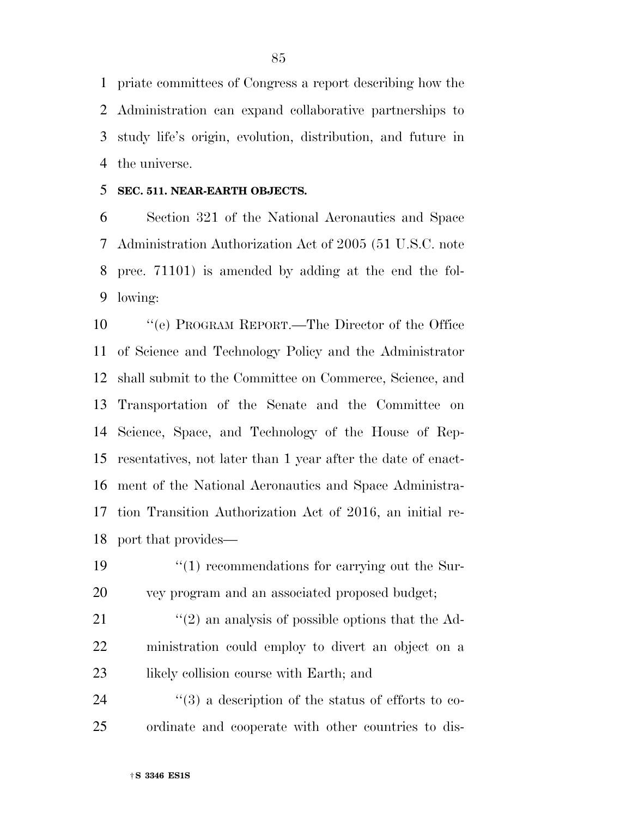priate committees of Congress a report describing how the Administration can expand collaborative partnerships to study life's origin, evolution, distribution, and future in the universe.

### **SEC. 511. NEAR-EARTH OBJECTS.**

 Section 321 of the National Aeronautics and Space Administration Authorization Act of 2005 (51 U.S.C. note prec. 71101) is amended by adding at the end the fol-lowing:

 ''(e) PROGRAM REPORT.—The Director of the Office of Science and Technology Policy and the Administrator shall submit to the Committee on Commerce, Science, and Transportation of the Senate and the Committee on Science, Space, and Technology of the House of Rep- resentatives, not later than 1 year after the date of enact- ment of the National Aeronautics and Space Administra- tion Transition Authorization Act of 2016, an initial re-port that provides—

19  $\frac{1}{2}$  (1) recommendations for carrying out the Sur-vey program and an associated proposed budget;

21  $\frac{1}{2}$  (2) an analysis of possible options that the Ad- ministration could employ to divert an object on a 23 likely collision course with Earth; and

 ''(3) a description of the status of efforts to co-ordinate and cooperate with other countries to dis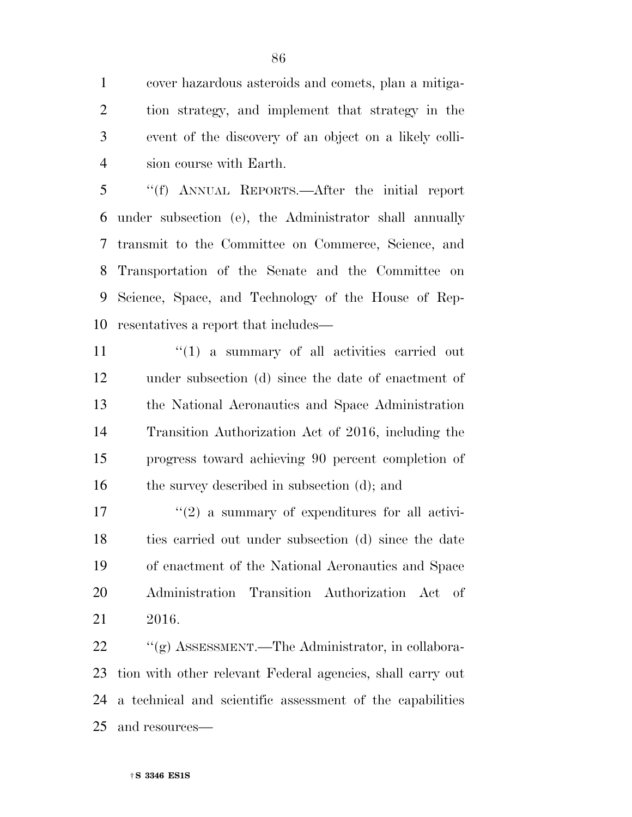cover hazardous asteroids and comets, plan a mitiga- tion strategy, and implement that strategy in the event of the discovery of an object on a likely colli-sion course with Earth.

 ''(f) ANNUAL REPORTS.—After the initial report under subsection (e), the Administrator shall annually transmit to the Committee on Commerce, Science, and Transportation of the Senate and the Committee on Science, Space, and Technology of the House of Rep-resentatives a report that includes—

 $(1)$  a summary of all activities carried out under subsection (d) since the date of enactment of the National Aeronautics and Space Administration Transition Authorization Act of 2016, including the progress toward achieving 90 percent completion of 16 the survey described in subsection (d); and

 $\frac{17}{2}$  ''(2) a summary of expenditures for all activi- ties carried out under subsection (d) since the date of enactment of the National Aeronautics and Space Administration Transition Authorization Act of 2016.

22 "(g) ASSESSMENT.—The Administrator, in collabora- tion with other relevant Federal agencies, shall carry out a technical and scientific assessment of the capabilities and resources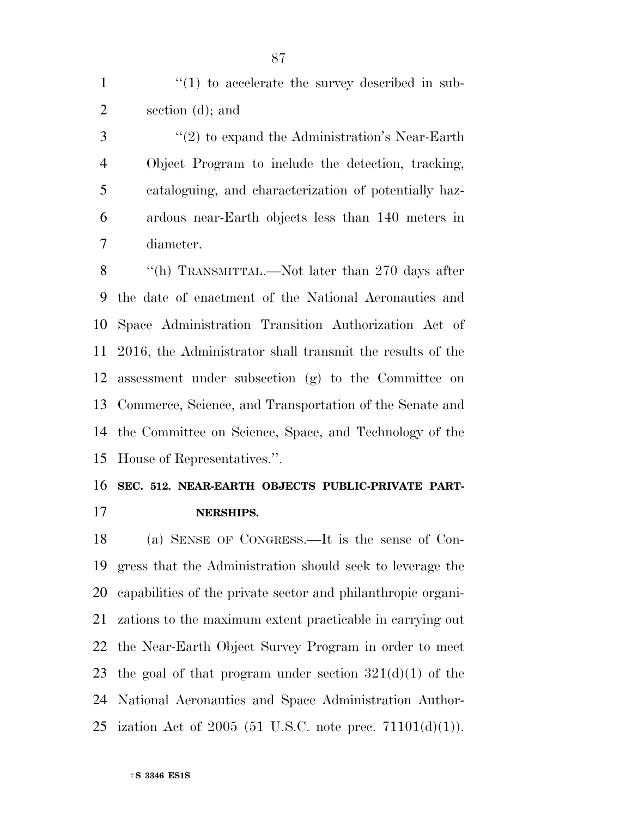1  $\frac{1}{1}$  to accelerate the survey described in sub-section (d); and

3 ''(2) to expand the Administration's Near-Earth Object Program to include the detection, tracking, cataloguing, and characterization of potentially haz- ardous near-Earth objects less than 140 meters in diameter.

8 "(h) TRANSMITTAL.—Not later than 270 days after the date of enactment of the National Aeronautics and Space Administration Transition Authorization Act of 2016, the Administrator shall transmit the results of the assessment under subsection (g) to the Committee on Commerce, Science, and Transportation of the Senate and the Committee on Science, Space, and Technology of the House of Representatives.''.

### **SEC. 512. NEAR-EARTH OBJECTS PUBLIC-PRIVATE PART-NERSHIPS.**

 (a) SENSE OF CONGRESS.—It is the sense of Con- gress that the Administration should seek to leverage the capabilities of the private sector and philanthropic organi- zations to the maximum extent practicable in carrying out the Near-Earth Object Survey Program in order to meet 23 the goal of that program under section  $321(d)(1)$  of the National Aeronautics and Space Administration Author-25 ization Act of 2005 (51 U.S.C. note prec.  $71101(d)(1)$ ).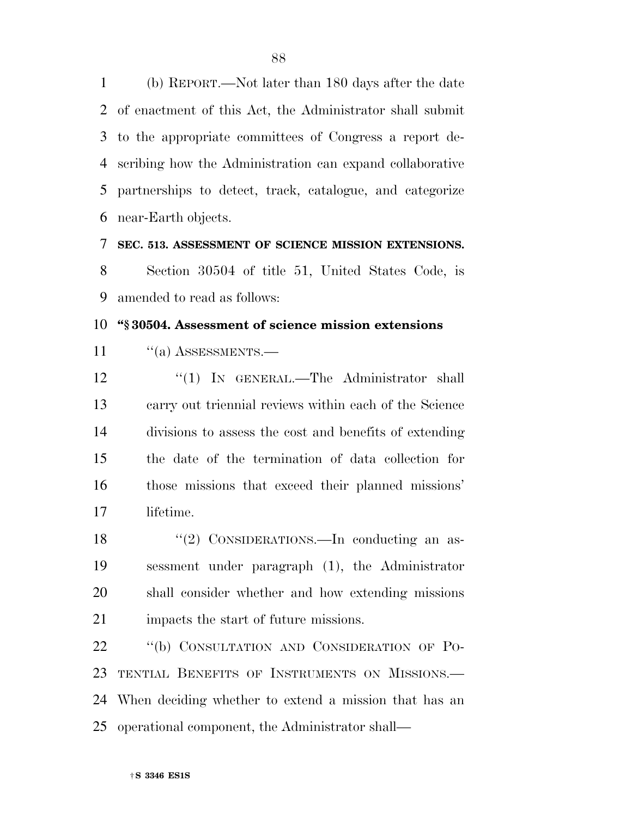(b) REPORT.—Not later than 180 days after the date of enactment of this Act, the Administrator shall submit to the appropriate committees of Congress a report de- scribing how the Administration can expand collaborative partnerships to detect, track, catalogue, and categorize near-Earth objects.

**SEC. 513. ASSESSMENT OF SCIENCE MISSION EXTENSIONS.** 

 Section 30504 of title 51, United States Code, is amended to read as follows:

### **''§ 30504. Assessment of science mission extensions**

11 "(a) ASSESSMENTS.—

12 "(1) IN GENERAL.—The Administrator shall carry out triennial reviews within each of the Science divisions to assess the cost and benefits of extending the date of the termination of data collection for those missions that exceed their planned missions' lifetime.

18 "(2) CONSIDERATIONS.—In conducting an as- sessment under paragraph (1), the Administrator shall consider whether and how extending missions impacts the start of future missions.

22 "(b) CONSULTATION AND CONSIDERATION OF PO- TENTIAL BENEFITS OF INSTRUMENTS ON MISSIONS.— When deciding whether to extend a mission that has an operational component, the Administrator shall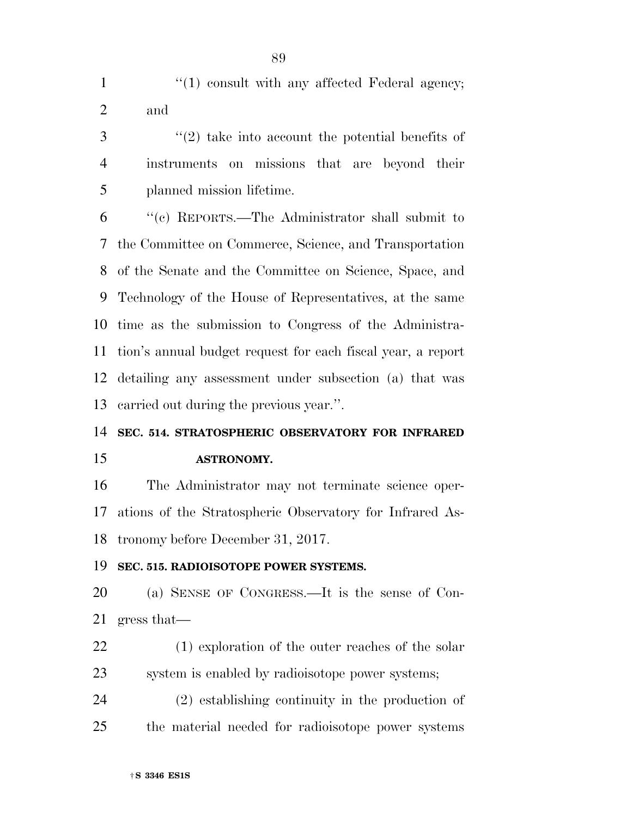1 ''(1) consult with any affected Federal agency; and

 ''(2) take into account the potential benefits of instruments on missions that are beyond their planned mission lifetime.

 ''(c) REPORTS.—The Administrator shall submit to the Committee on Commerce, Science, and Transportation of the Senate and the Committee on Science, Space, and Technology of the House of Representatives, at the same time as the submission to Congress of the Administra- tion's annual budget request for each fiscal year, a report detailing any assessment under subsection (a) that was carried out during the previous year.''.

## **SEC. 514. STRATOSPHERIC OBSERVATORY FOR INFRARED ASTRONOMY.**

 The Administrator may not terminate science oper- ations of the Stratospheric Observatory for Infrared As-tronomy before December 31, 2017.

### **SEC. 515. RADIOISOTOPE POWER SYSTEMS.**

 (a) SENSE OF CONGRESS.—It is the sense of Con-gress that—

22 (1) exploration of the outer reaches of the solar system is enabled by radioisotope power systems;

 (2) establishing continuity in the production of the material needed for radioisotope power systems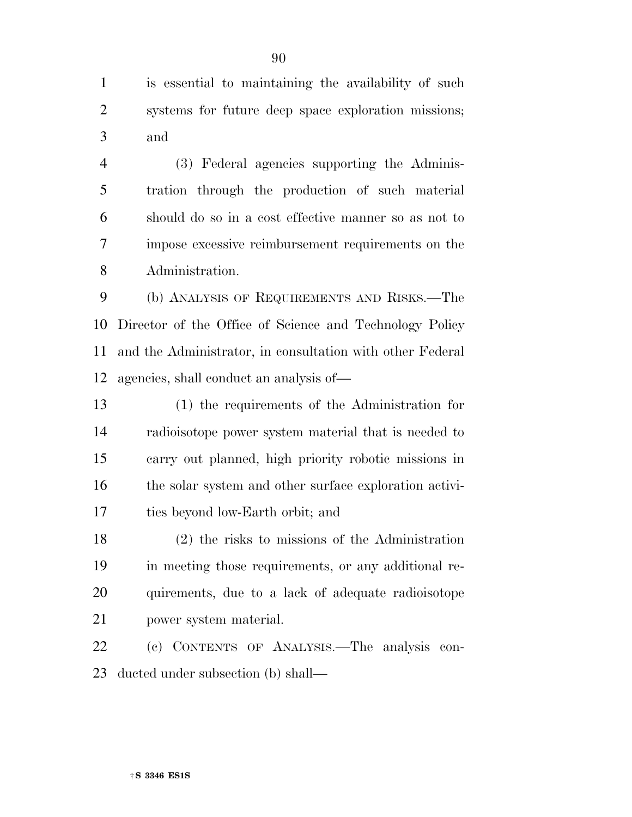is essential to maintaining the availability of such systems for future deep space exploration missions; and

 (3) Federal agencies supporting the Adminis- tration through the production of such material should do so in a cost effective manner so as not to impose excessive reimbursement requirements on the Administration.

 (b) ANALYSIS OF REQUIREMENTS AND RISKS.—The Director of the Office of Science and Technology Policy and the Administrator, in consultation with other Federal agencies, shall conduct an analysis of—

 (1) the requirements of the Administration for radioisotope power system material that is needed to carry out planned, high priority robotic missions in the solar system and other surface exploration activi-ties beyond low-Earth orbit; and

 (2) the risks to missions of the Administration in meeting those requirements, or any additional re- quirements, due to a lack of adequate radioisotope power system material.

 (c) CONTENTS OF ANALYSIS.—The analysis con-ducted under subsection (b) shall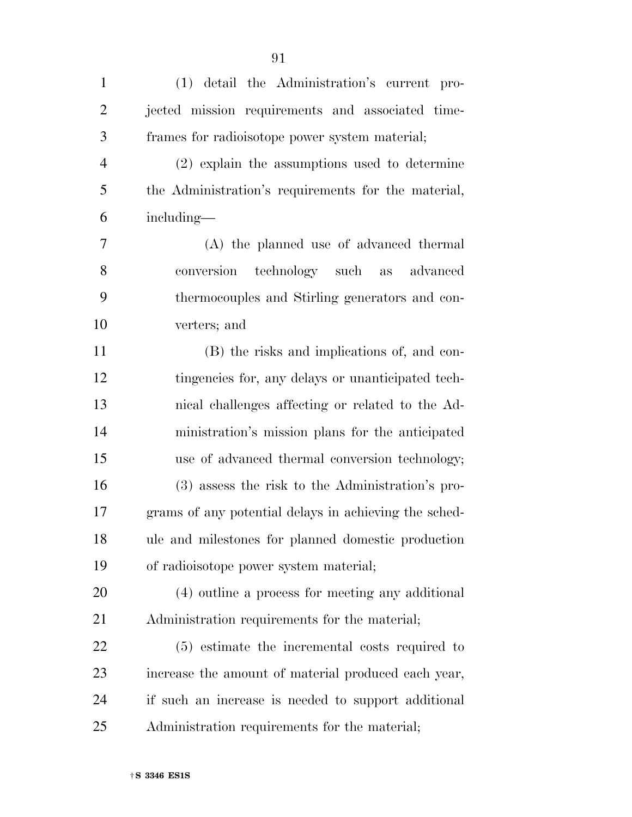(1) detail the Administration's current pro- jected mission requirements and associated time-frames for radioisotope power system material;

 (2) explain the assumptions used to determine the Administration's requirements for the material, including—

 (A) the planned use of advanced thermal conversion technology such as advanced thermocouples and Stirling generators and con-verters; and

 (B) the risks and implications of, and con- tingencies for, any delays or unanticipated tech- nical challenges affecting or related to the Ad- ministration's mission plans for the anticipated use of advanced thermal conversion technology; (3) assess the risk to the Administration's pro- grams of any potential delays in achieving the sched- ule and milestones for planned domestic production of radioisotope power system material;

 (4) outline a process for meeting any additional Administration requirements for the material;

 (5) estimate the incremental costs required to increase the amount of material produced each year, if such an increase is needed to support additional Administration requirements for the material;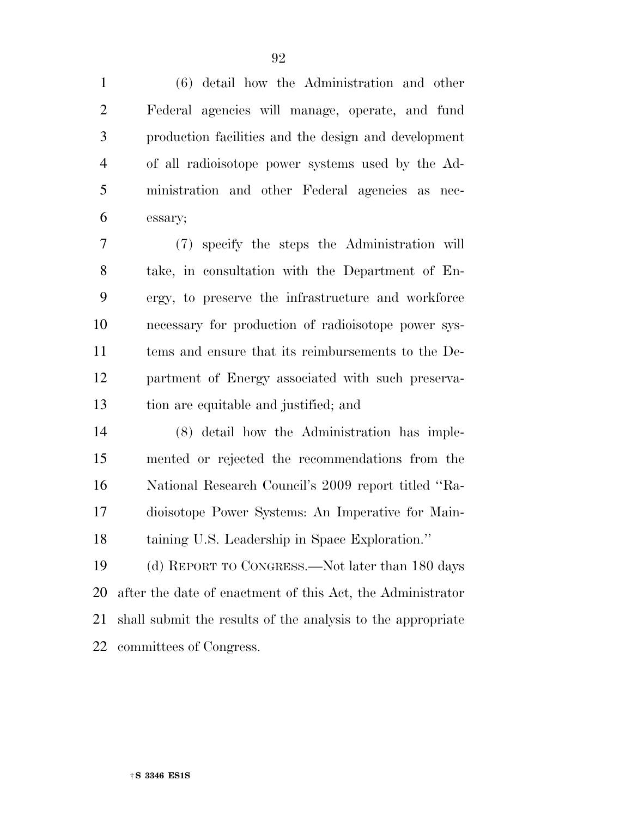(6) detail how the Administration and other Federal agencies will manage, operate, and fund production facilities and the design and development of all radioisotope power systems used by the Ad- ministration and other Federal agencies as nec-essary;

 (7) specify the steps the Administration will take, in consultation with the Department of En- ergy, to preserve the infrastructure and workforce necessary for production of radioisotope power sys- tems and ensure that its reimbursements to the De- partment of Energy associated with such preserva-tion are equitable and justified; and

 (8) detail how the Administration has imple- mented or rejected the recommendations from the National Research Council's 2009 report titled ''Ra- dioisotope Power Systems: An Imperative for Main-taining U.S. Leadership in Space Exploration.''

 (d) REPORT TO CONGRESS.—Not later than 180 days after the date of enactment of this Act, the Administrator shall submit the results of the analysis to the appropriate committees of Congress.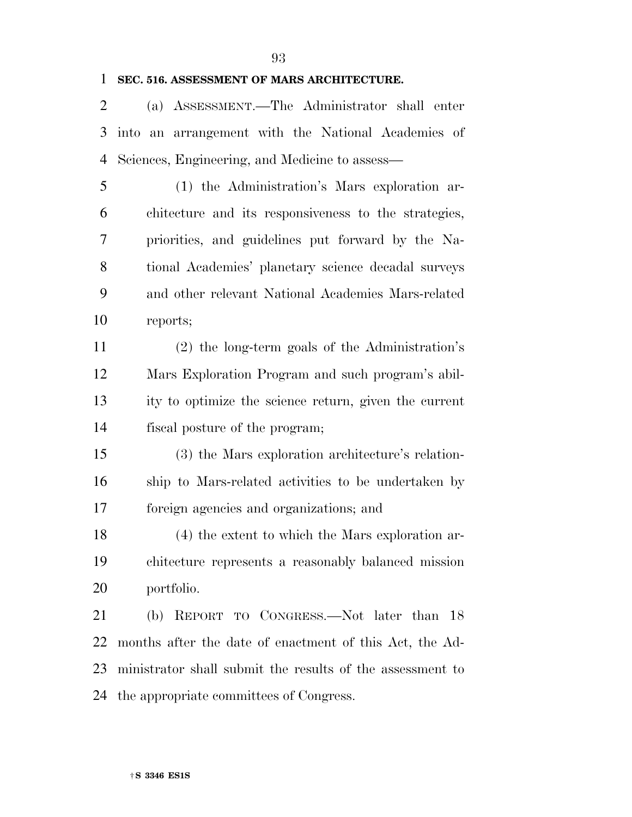### **SEC. 516. ASSESSMENT OF MARS ARCHITECTURE.**

 (a) ASSESSMENT.—The Administrator shall enter into an arrangement with the National Academies of Sciences, Engineering, and Medicine to assess—

 (1) the Administration's Mars exploration ar- chitecture and its responsiveness to the strategies, priorities, and guidelines put forward by the Na- tional Academies' planetary science decadal surveys and other relevant National Academies Mars-related reports;

 (2) the long-term goals of the Administration's Mars Exploration Program and such program's abil- ity to optimize the science return, given the current fiscal posture of the program;

 (3) the Mars exploration architecture's relation- ship to Mars-related activities to be undertaken by foreign agencies and organizations; and

 (4) the extent to which the Mars exploration ar- chitecture represents a reasonably balanced mission portfolio.

 (b) REPORT TO CONGRESS.—Not later than 18 months after the date of enactment of this Act, the Ad- ministrator shall submit the results of the assessment to the appropriate committees of Congress.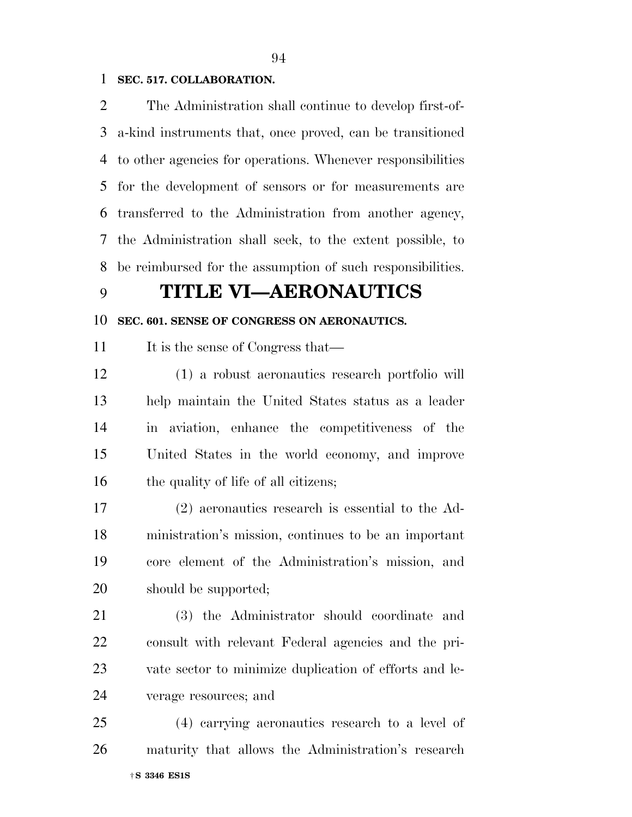### **SEC. 517. COLLABORATION.**

 The Administration shall continue to develop first-of- a-kind instruments that, once proved, can be transitioned to other agencies for operations. Whenever responsibilities for the development of sensors or for measurements are transferred to the Administration from another agency, the Administration shall seek, to the extent possible, to be reimbursed for the assumption of such responsibilities.

### **TITLE VI—AERONAUTICS**

### **SEC. 601. SENSE OF CONGRESS ON AERONAUTICS.**

11 It is the sense of Congress that—

 (1) a robust aeronautics research portfolio will help maintain the United States status as a leader in aviation, enhance the competitiveness of the United States in the world economy, and improve 16 the quality of life of all citizens;

 (2) aeronautics research is essential to the Ad- ministration's mission, continues to be an important core element of the Administration's mission, and should be supported;

 (3) the Administrator should coordinate and consult with relevant Federal agencies and the pri- vate sector to minimize duplication of efforts and le-verage resources; and

†**S 3346 ES1S**  (4) carrying aeronautics research to a level of maturity that allows the Administration's research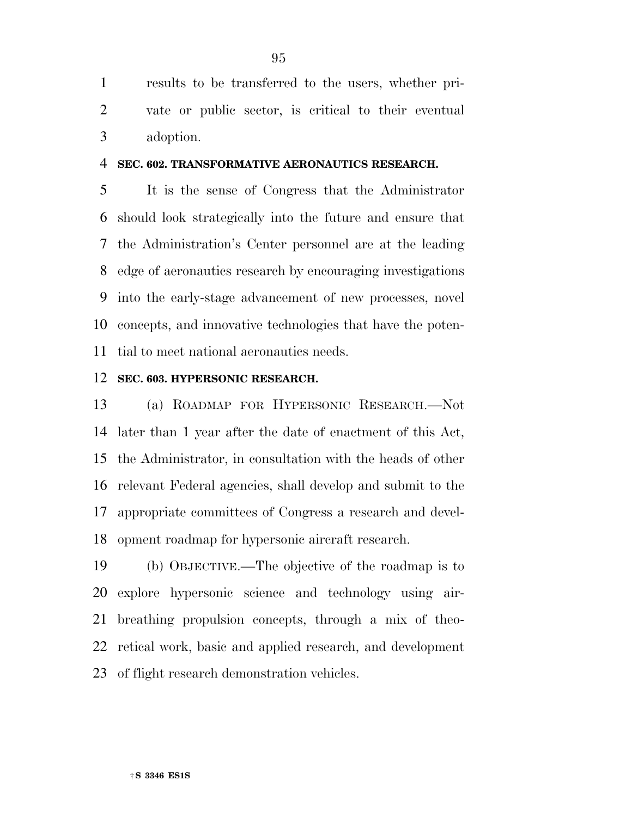results to be transferred to the users, whether pri- vate or public sector, is critical to their eventual adoption.

### **SEC. 602. TRANSFORMATIVE AERONAUTICS RESEARCH.**

 It is the sense of Congress that the Administrator should look strategically into the future and ensure that the Administration's Center personnel are at the leading edge of aeronautics research by encouraging investigations into the early-stage advancement of new processes, novel concepts, and innovative technologies that have the poten-tial to meet national aeronautics needs.

#### **SEC. 603. HYPERSONIC RESEARCH.**

 (a) ROADMAP FOR HYPERSONIC RESEARCH.—Not later than 1 year after the date of enactment of this Act, the Administrator, in consultation with the heads of other relevant Federal agencies, shall develop and submit to the appropriate committees of Congress a research and devel-opment roadmap for hypersonic aircraft research.

 (b) OBJECTIVE.—The objective of the roadmap is to explore hypersonic science and technology using air- breathing propulsion concepts, through a mix of theo- retical work, basic and applied research, and development of flight research demonstration vehicles.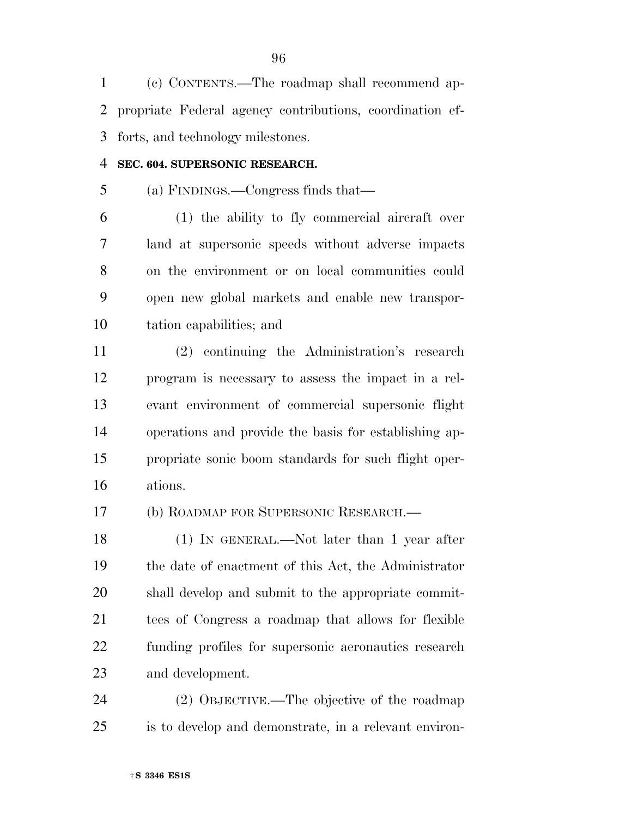(c) CONTENTS.—The roadmap shall recommend ap- propriate Federal agency contributions, coordination ef-forts, and technology milestones.

### **SEC. 604. SUPERSONIC RESEARCH.**

(a) FINDINGS.—Congress finds that—

 (1) the ability to fly commercial aircraft over land at supersonic speeds without adverse impacts on the environment or on local communities could open new global markets and enable new transpor-tation capabilities; and

 (2) continuing the Administration's research program is necessary to assess the impact in a rel- evant environment of commercial supersonic flight operations and provide the basis for establishing ap- propriate sonic boom standards for such flight oper-ations.

(b) ROADMAP FOR SUPERSONIC RESEARCH.—

 (1) IN GENERAL.—Not later than 1 year after the date of enactment of this Act, the Administrator shall develop and submit to the appropriate commit- tees of Congress a roadmap that allows for flexible funding profiles for supersonic aeronautics research and development.

 (2) OBJECTIVE.—The objective of the roadmap is to develop and demonstrate, in a relevant environ-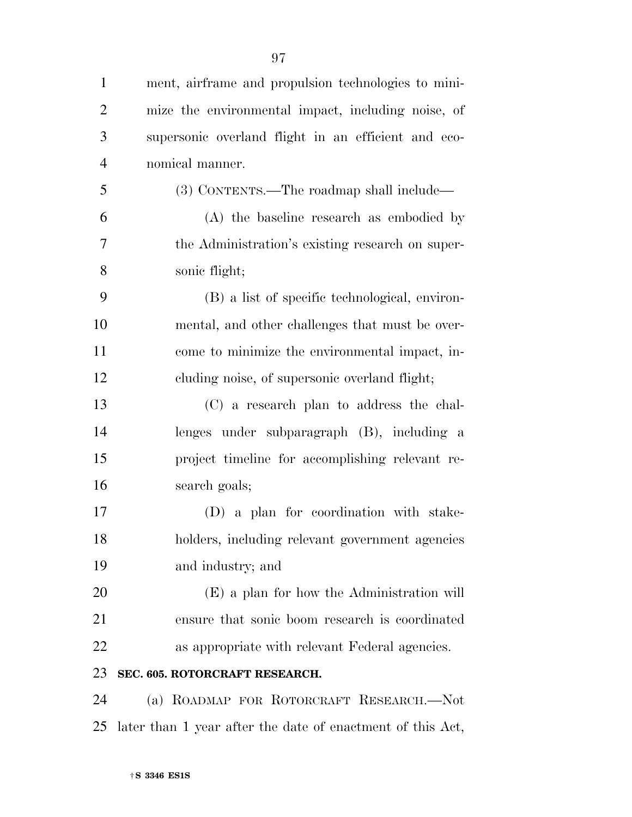| $\mathbf{1}$   | ment, airframe and propulsion technologies to mini-        |
|----------------|------------------------------------------------------------|
| $\overline{2}$ | mize the environmental impact, including noise, of         |
| 3              | supersonic overland flight in an efficient and eco-        |
| $\overline{4}$ | nomical manner.                                            |
| 5              | (3) CONTENTS.—The roadmap shall include—                   |
| 6              | (A) the baseline research as embodied by                   |
| 7              | the Administration's existing research on super-           |
| 8              | sonic flight;                                              |
| 9              | (B) a list of specific technological, environ-             |
| 10             | mental, and other challenges that must be over-            |
| 11             | come to minimize the environmental impact, in-             |
| 12             | cluding noise, of supersonic overland flight;              |
| 13             | (C) a research plan to address the chal-                   |
| 14             | lenges under subparagraph (B), including a                 |
| 15             | project timeline for accomplishing relevant re-            |
| 16             | search goals;                                              |
| 17             | (D) a plan for coordination with stake-                    |
| 18             | holders, including relevant government agencies            |
| 19             | and industry; and                                          |
| 20             | (E) a plan for how the Administration will                 |
| 21             | ensure that sonic boom research is coordinated             |
| 22             | as appropriate with relevant Federal agencies.             |
| 23             | SEC. 605. ROTORCRAFT RESEARCH.                             |
| 24             | (a) ROADMAP FOR ROTORCRAFT RESEARCH.-Not                   |
| 25             | later than 1 year after the date of enactment of this Act, |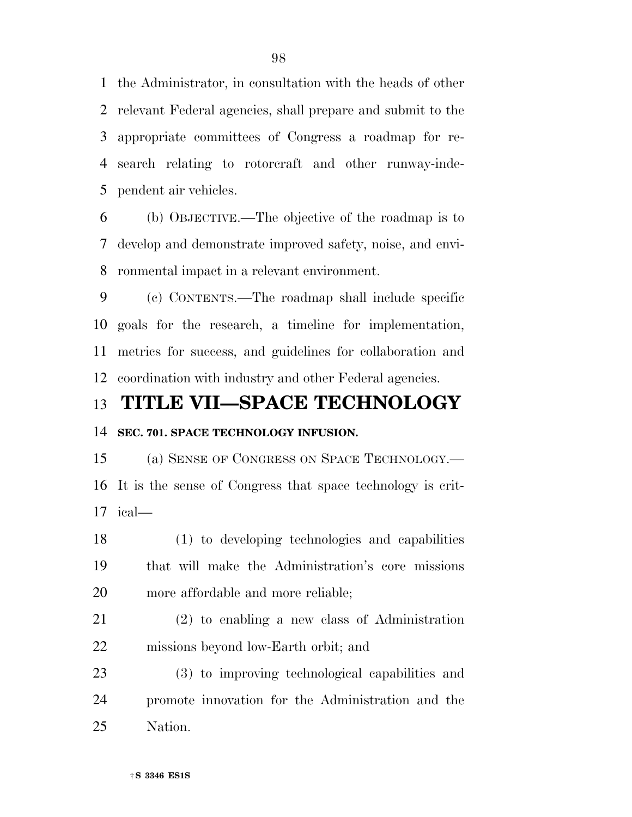the Administrator, in consultation with the heads of other relevant Federal agencies, shall prepare and submit to the appropriate committees of Congress a roadmap for re- search relating to rotorcraft and other runway-inde-pendent air vehicles.

 (b) OBJECTIVE.—The objective of the roadmap is to develop and demonstrate improved safety, noise, and envi-ronmental impact in a relevant environment.

 (c) CONTENTS.—The roadmap shall include specific goals for the research, a timeline for implementation, metrics for success, and guidelines for collaboration and coordination with industry and other Federal agencies.

### **TITLE VII—SPACE TECHNOLOGY**

### **SEC. 701. SPACE TECHNOLOGY INFUSION.**

 (a) SENSE OF CONGRESS ON SPACE TECHNOLOGY.— It is the sense of Congress that space technology is crit-ical—

 (1) to developing technologies and capabilities that will make the Administration's core missions more affordable and more reliable;

 (2) to enabling a new class of Administration missions beyond low-Earth orbit; and

 (3) to improving technological capabilities and promote innovation for the Administration and the Nation.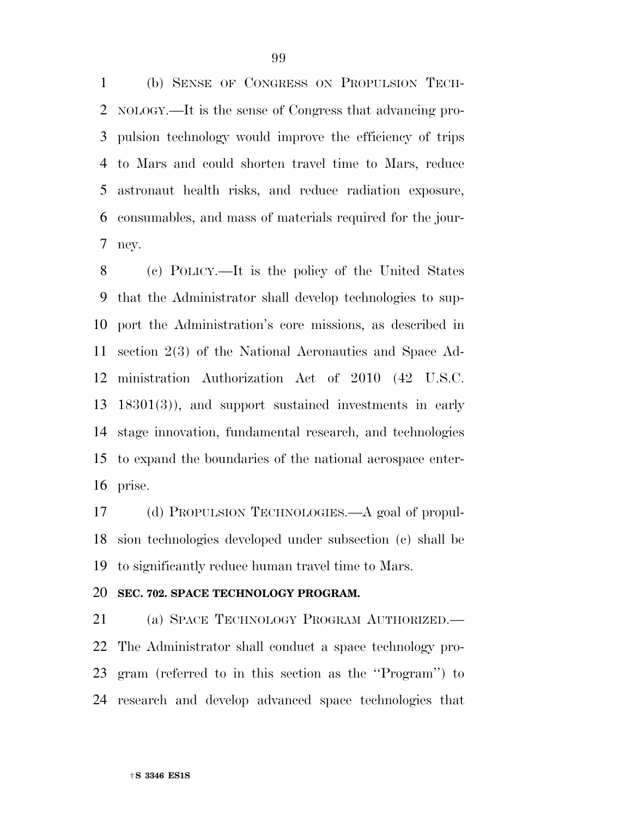(b) SENSE OF CONGRESS ON PROPULSION TECH- NOLOGY.—It is the sense of Congress that advancing pro- pulsion technology would improve the efficiency of trips to Mars and could shorten travel time to Mars, reduce astronaut health risks, and reduce radiation exposure, consumables, and mass of materials required for the jour-ney.

 (c) POLICY.—It is the policy of the United States that the Administrator shall develop technologies to sup- port the Administration's core missions, as described in section 2(3) of the National Aeronautics and Space Ad- ministration Authorization Act of 2010 (42 U.S.C. 18301(3)), and support sustained investments in early stage innovation, fundamental research, and technologies to expand the boundaries of the national aerospace enter-prise.

 (d) PROPULSION TECHNOLOGIES.—A goal of propul- sion technologies developed under subsection (c) shall be to significantly reduce human travel time to Mars.

### **SEC. 702. SPACE TECHNOLOGY PROGRAM.**

 (a) SPACE TECHNOLOGY PROGRAM AUTHORIZED.— The Administrator shall conduct a space technology pro- gram (referred to in this section as the ''Program'') to research and develop advanced space technologies that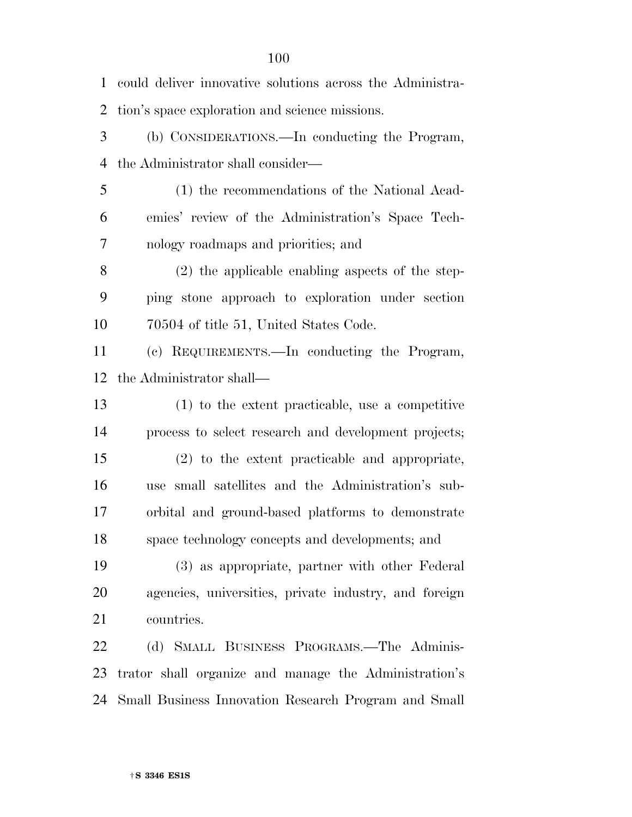could deliver innovative solutions across the Administra- tion's space exploration and science missions. (b) CONSIDERATIONS.—In conducting the Program, the Administrator shall consider— (1) the recommendations of the National Acad- emies' review of the Administration's Space Tech- nology roadmaps and priorities; and (2) the applicable enabling aspects of the step- ping stone approach to exploration under section 70504 of title 51, United States Code. (c) REQUIREMENTS.—In conducting the Program, the Administrator shall— (1) to the extent practicable, use a competitive process to select research and development projects; (2) to the extent practicable and appropriate, use small satellites and the Administration's sub- orbital and ground-based platforms to demonstrate space technology concepts and developments; and (3) as appropriate, partner with other Federal agencies, universities, private industry, and foreign countries. (d) SMALL BUSINESS PROGRAMS.—The Adminis- trator shall organize and manage the Administration's Small Business Innovation Research Program and Small

†**S 3346 ES1S**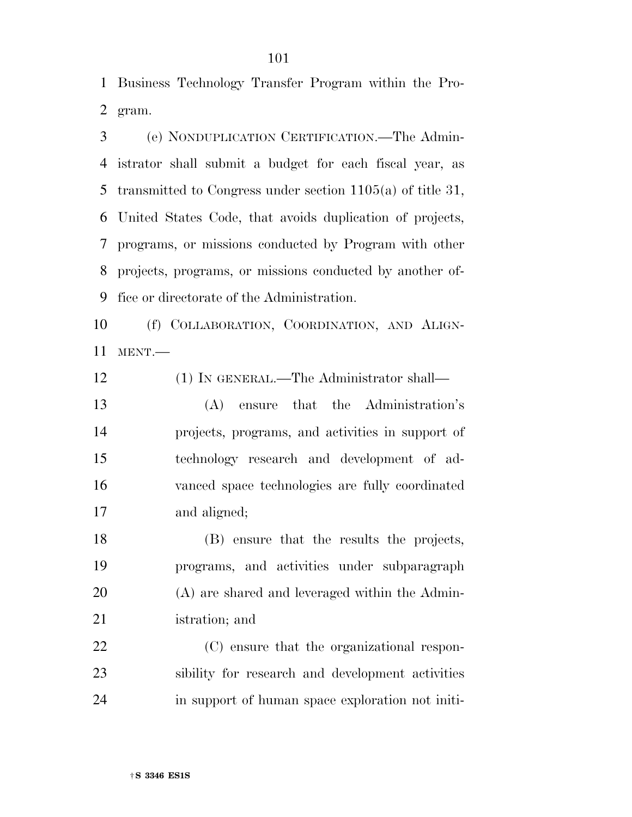Business Technology Transfer Program within the Pro-gram.

 (e) NONDUPLICATION CERTIFICATION.—The Admin- istrator shall submit a budget for each fiscal year, as transmitted to Congress under section 1105(a) of title 31, United States Code, that avoids duplication of projects, programs, or missions conducted by Program with other projects, programs, or missions conducted by another of-fice or directorate of the Administration.

 (f) COLLABORATION, COORDINATION, AND ALIGN-MENT.—

(1) IN GENERAL.—The Administrator shall—

 (A) ensure that the Administration's projects, programs, and activities in support of technology research and development of ad- vanced space technologies are fully coordinated and aligned;

 (B) ensure that the results the projects, programs, and activities under subparagraph (A) are shared and leveraged within the Admin-istration; and

 (C) ensure that the organizational respon- sibility for research and development activities in support of human space exploration not initi-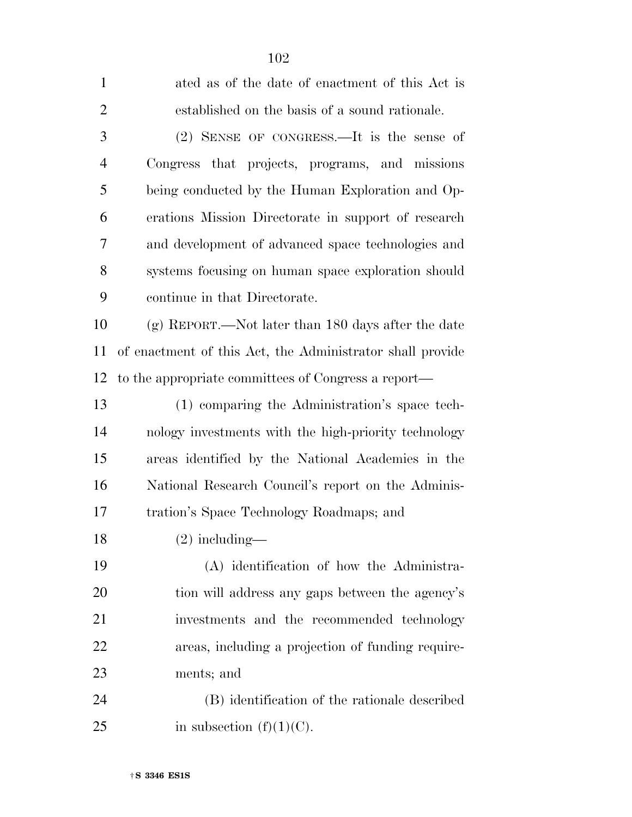| $\mathbf{1}$   | ated as of the date of enactment of this Act is           |
|----------------|-----------------------------------------------------------|
| $\overline{2}$ | established on the basis of a sound rationale.            |
| 3              | (2) SENSE OF CONGRESS.—It is the sense of                 |
| $\overline{4}$ | Congress that projects, programs, and missions            |
| 5              | being conducted by the Human Exploration and Op-          |
| 6              | erations Mission Directorate in support of research       |
| 7              | and development of advanced space technologies and        |
| 8              | systems focusing on human space exploration should        |
| 9              | continue in that Directorate.                             |
| 10             | $(g)$ REPORT.—Not later than 180 days after the date      |
| 11             | of enactment of this Act, the Administrator shall provide |
| 12             | to the appropriate committees of Congress a report—       |
| 13             | (1) comparing the Administration's space tech-            |
| 14             | nology investments with the high-priority technology      |
| 15             | areas identified by the National Academies in the         |
| 16             | National Research Council's report on the Adminis-        |
| 17             | tration's Space Technology Roadmaps; and                  |
| 18             | $(2)$ including—                                          |
| 19             | (A) identification of how the Administra-                 |
| 20             | tion will address any gaps between the agency's           |
| 21             | investments and the recommended technology                |
| 22             | areas, including a projection of funding require-         |
| 23             | ments; and                                                |
| 24             | (B) identification of the rationale described             |
| 25             | in subsection $(f)(1)(C)$ .                               |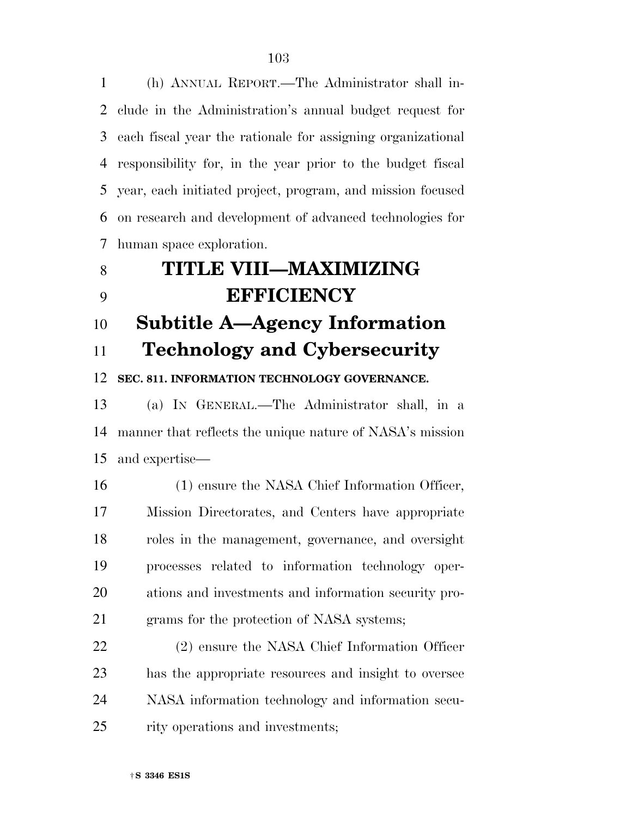(h) ANNUAL REPORT.—The Administrator shall in- clude in the Administration's annual budget request for each fiscal year the rationale for assigning organizational responsibility for, in the year prior to the budget fiscal year, each initiated project, program, and mission focused on research and development of advanced technologies for human space exploration.

# **TITLE VIII—MAXIMIZING EFFICIENCY Subtitle A—Agency Information Technology and Cybersecurity**

**SEC. 811. INFORMATION TECHNOLOGY GOVERNANCE.** 

 (a) IN GENERAL.—The Administrator shall, in a manner that reflects the unique nature of NASA's mission and expertise—

16 (1) ensure the NASA Chief Information Officer, Mission Directorates, and Centers have appropriate roles in the management, governance, and oversight processes related to information technology oper- ations and investments and information security pro-grams for the protection of NASA systems;

 (2) ensure the NASA Chief Information Officer has the appropriate resources and insight to oversee NASA information technology and information secu-rity operations and investments;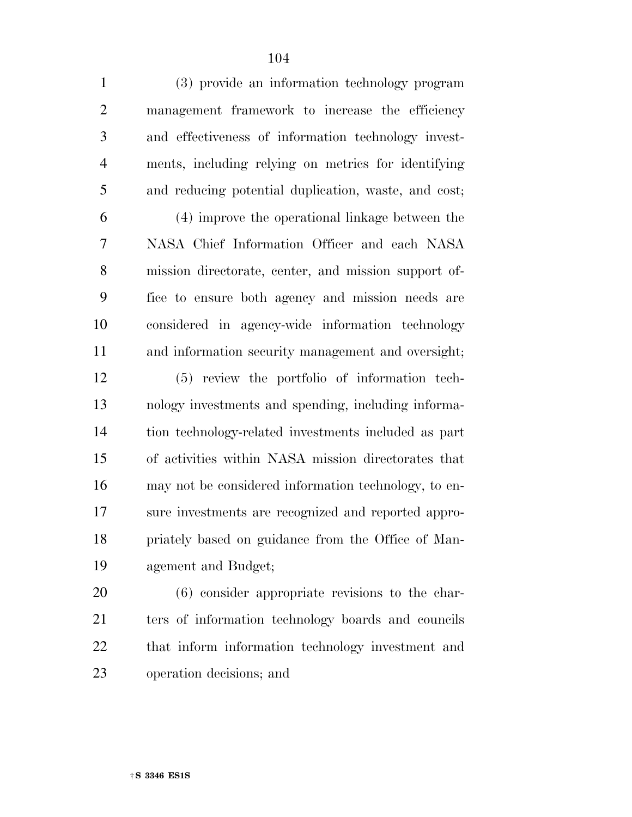(3) provide an information technology program management framework to increase the efficiency and effectiveness of information technology invest- ments, including relying on metrics for identifying and reducing potential duplication, waste, and cost;

 (4) improve the operational linkage between the NASA Chief Information Officer and each NASA mission directorate, center, and mission support of- fice to ensure both agency and mission needs are considered in agency-wide information technology and information security management and oversight;

 (5) review the portfolio of information tech- nology investments and spending, including informa- tion technology-related investments included as part of activities within NASA mission directorates that may not be considered information technology, to en- sure investments are recognized and reported appro- priately based on guidance from the Office of Man-agement and Budget;

 (6) consider appropriate revisions to the char- ters of information technology boards and councils that inform information technology investment and operation decisions; and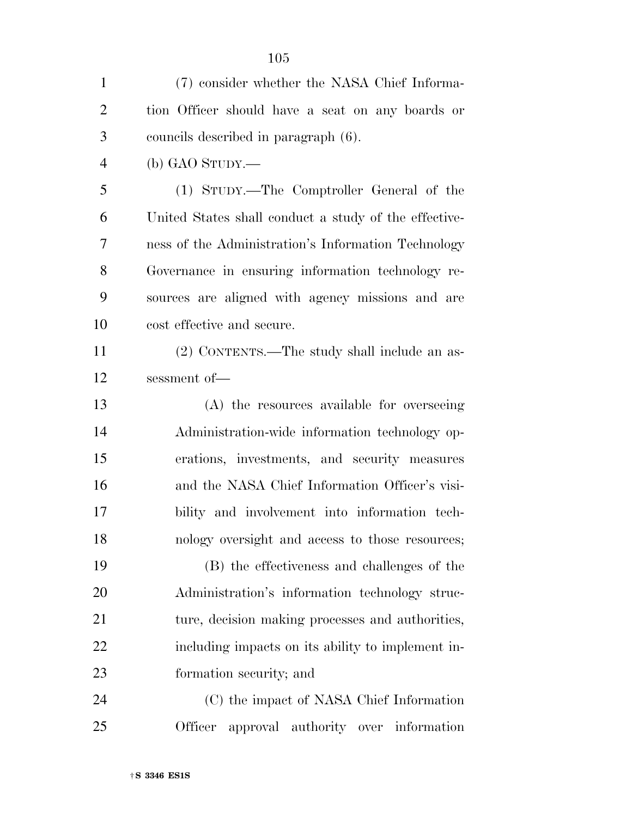| $\mathbf{1}$   | (7) consider whether the NASA Chief Informa-          |
|----------------|-------------------------------------------------------|
| $\overline{2}$ | tion Officer should have a seat on any boards or      |
| 3              | councils described in paragraph (6).                  |
| $\overline{4}$ | $(b)$ GAO STUDY.—                                     |
| 5              | (1) STUDY.—The Comptroller General of the             |
| 6              | United States shall conduct a study of the effective- |
| 7              | ness of the Administration's Information Technology   |
| 8              | Governance in ensuring information technology re-     |
| 9              | sources are aligned with agency missions and are      |
| 10             | cost effective and secure.                            |
| 11             | (2) CONTENTS.—The study shall include an as-          |
| 12             | sessment of-                                          |
| 13             | (A) the resources available for overseeing            |
| 14             | Administration-wide information technology op-        |
| 15             | erations, investments, and security measures          |
| 16             | and the NASA Chief Information Officer's visi-        |
| 17             | bility and involvement into information tech-         |
| 18             | nology oversight and access to those resources;       |
| 19             | (B) the effectiveness and challenges of the           |
| 20             | Administration's information technology struc-        |
| 21             | ture, decision making processes and authorities,      |
| 22             | including impacts on its ability to implement in-     |
| 23             | formation security; and                               |
| 24             | (C) the impact of NASA Chief Information              |
| 25             | Officer<br>approval authority over information        |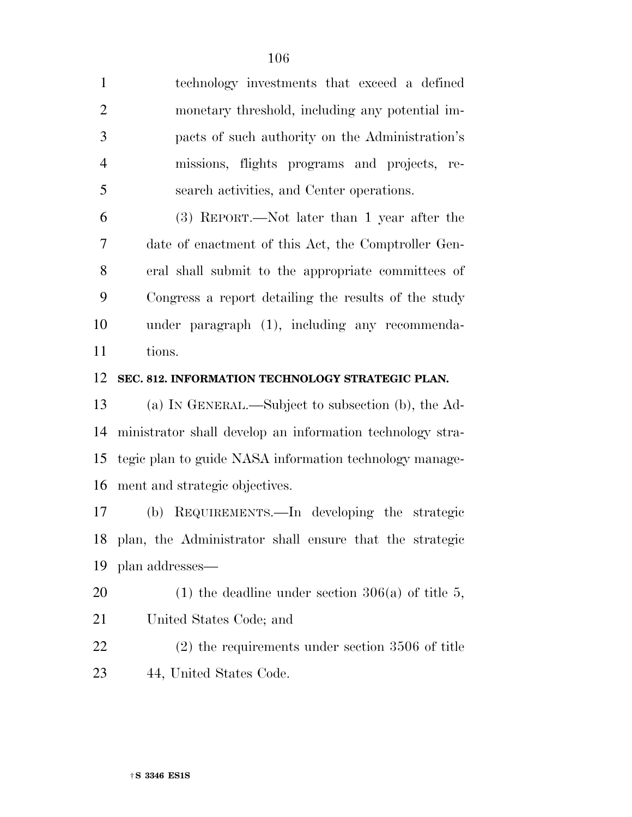| $\mathbf{1}$   | technology investments that exceed a defined         |
|----------------|------------------------------------------------------|
| 2              | monetary threshold, including any potential im-      |
| 3              | pacts of such authority on the Administration's      |
| $\overline{4}$ | missions, flights programs and projects, re-         |
| 5              | search activities, and Center operations.            |
| 6              | $(3)$ REPORT.—Not later than 1 year after the        |
| 7              | date of enactment of this Act, the Comptroller Gen-  |
| 8              | eral shall submit to the appropriate committees of   |
| 9              | Congress a report detailing the results of the study |
| 10             | under paragraph (1), including any recommenda-       |
| 11             | tions.                                               |

#### **SEC. 812. INFORMATION TECHNOLOGY STRATEGIC PLAN.**

 (a) IN GENERAL.—Subject to subsection (b), the Ad- ministrator shall develop an information technology stra- tegic plan to guide NASA information technology manage-ment and strategic objectives.

 (b) REQUIREMENTS.—In developing the strategic plan, the Administrator shall ensure that the strategic plan addresses—

20 (1) the deadline under section  $306(a)$  of title 5, United States Code; and

 (2) the requirements under section 3506 of title 44, United States Code.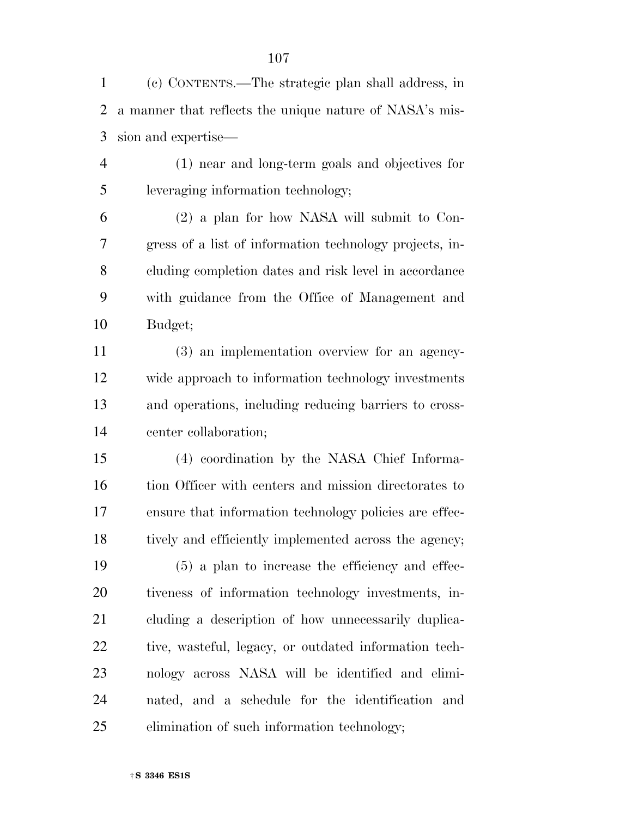(c) CONTENTS.—The strategic plan shall address, in a manner that reflects the unique nature of NASA's mis-sion and expertise—

 (1) near and long-term goals and objectives for leveraging information technology;

 (2) a plan for how NASA will submit to Con- gress of a list of information technology projects, in- cluding completion dates and risk level in accordance with guidance from the Office of Management and Budget;

 (3) an implementation overview for an agency- wide approach to information technology investments and operations, including reducing barriers to cross-center collaboration;

 (4) coordination by the NASA Chief Informa- tion Officer with centers and mission directorates to ensure that information technology policies are effec-18 tively and efficiently implemented across the agency;

 (5) a plan to increase the efficiency and effec- tiveness of information technology investments, in- cluding a description of how unnecessarily duplica-22 tive, wasteful, legacy, or outdated information tech- nology across NASA will be identified and elimi- nated, and a schedule for the identification and elimination of such information technology;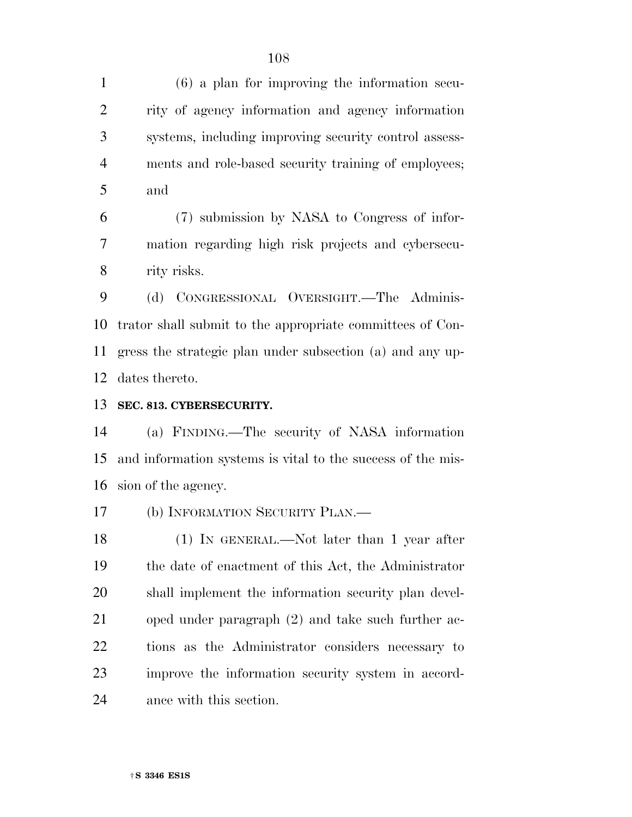(6) a plan for improving the information secu- rity of agency information and agency information systems, including improving security control assess- ments and role-based security training of employees; and

 (7) submission by NASA to Congress of infor- mation regarding high risk projects and cybersecu-rity risks.

 (d) CONGRESSIONAL OVERSIGHT.—The Adminis- trator shall submit to the appropriate committees of Con- gress the strategic plan under subsection (a) and any up-dates thereto.

### **SEC. 813. CYBERSECURITY.**

 (a) FINDING.—The security of NASA information and information systems is vital to the success of the mis-sion of the agency.

(b) INFORMATION SECURITY PLAN.—

 (1) IN GENERAL.—Not later than 1 year after the date of enactment of this Act, the Administrator shall implement the information security plan devel- oped under paragraph (2) and take such further ac- tions as the Administrator considers necessary to improve the information security system in accord-ance with this section.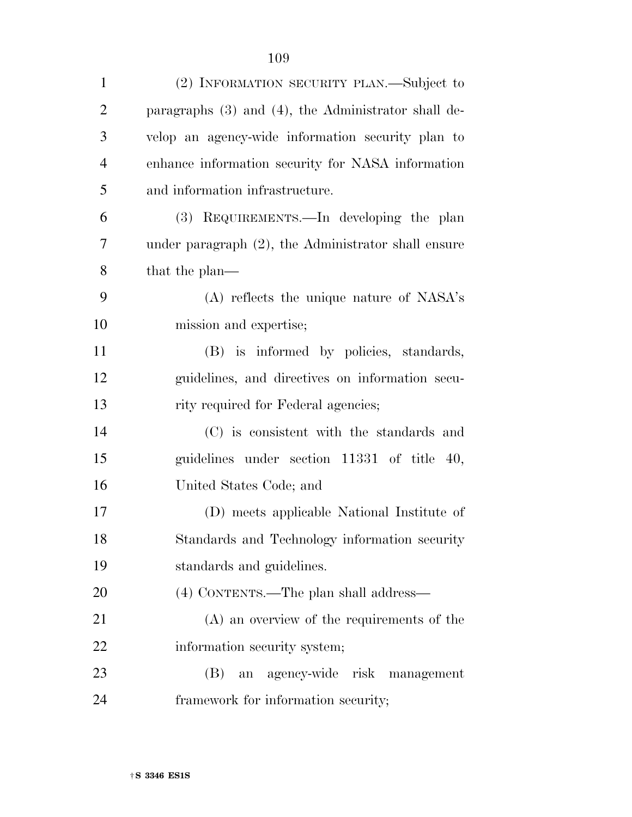| $\mathbf{1}$   | (2) INFORMATION SECURITY PLAN.—Subject to                |
|----------------|----------------------------------------------------------|
| $\overline{2}$ | paragraphs $(3)$ and $(4)$ , the Administrator shall de- |
| 3              | velop an agency-wide information security plan to        |
| $\overline{4}$ | enhance information security for NASA information        |
| 5              | and information infrastructure.                          |
| 6              | (3) REQUIREMENTS.—In developing the plan                 |
| 7              | under paragraph $(2)$ , the Administrator shall ensure   |
| 8              | that the plan—                                           |
| 9              | (A) reflects the unique nature of NASA's                 |
| 10             | mission and expertise;                                   |
| 11             | (B) is informed by policies, standards,                  |
| 12             | guidelines, and directives on information secu-          |
| 13             | rity required for Federal agencies;                      |
| 14             | (C) is consistent with the standards and                 |
| 15             | guidelines under section 11331 of title 40,              |
| 16             | United States Code; and                                  |
| 17             | (D) meets applicable National Institute of               |
| 18             | Standards and Technology information security            |
| 19             | standards and guidelines.                                |
| 20             | (4) CONTENTS.—The plan shall address—                    |
| 21             | (A) an overview of the requirements of the               |
| 22             | information security system;                             |
| 23             | an agency-wide risk management<br>(B)                    |
| 24             | framework for information security;                      |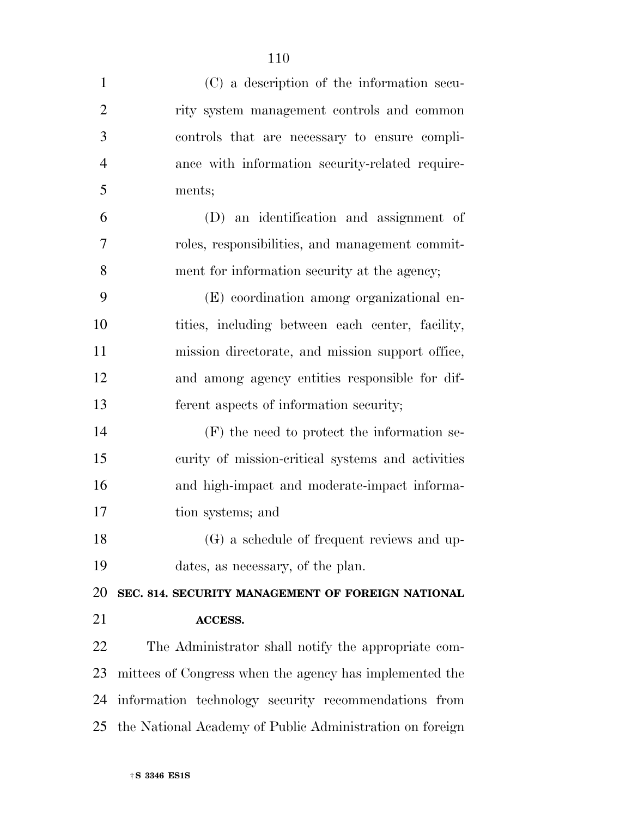| $\mathbf{1}$   | (C) a description of the information secu-               |
|----------------|----------------------------------------------------------|
| $\overline{2}$ | rity system management controls and common               |
| 3              | controls that are necessary to ensure compli-            |
| $\overline{4}$ | ance with information security-related require-          |
| 5              | ments;                                                   |
| 6              | (D) an identification and assignment of                  |
| $\overline{7}$ | roles, responsibilities, and management commit-          |
| 8              | ment for information security at the agency;             |
| 9              | (E) coordination among organizational en-                |
| 10             | tities, including between each center, facility,         |
| 11             | mission directorate, and mission support office,         |
| 12             | and among agency entities responsible for dif-           |
| 13             | ferent aspects of information security;                  |
| 14             | $(F)$ the need to protect the information se-            |
| 15             | curity of mission-critical systems and activities        |
| 16             | and high-impact and moderate-impact informa-             |
| 17             | tion systems; and                                        |
| 18             | (G) a schedule of frequent reviews and up-               |
| 19             | dates, as necessary, of the plan.                        |
| 20             | SEC. 814. SECURITY MANAGEMENT OF FOREIGN NATIONAL        |
| 21             | <b>ACCESS.</b>                                           |
| 22             | The Administrator shall notify the appropriate com-      |
| 23             | mittees of Congress when the agency has implemented the  |
| 24             | information technology security recommendations from     |
| 25             | the National Academy of Public Administration on foreign |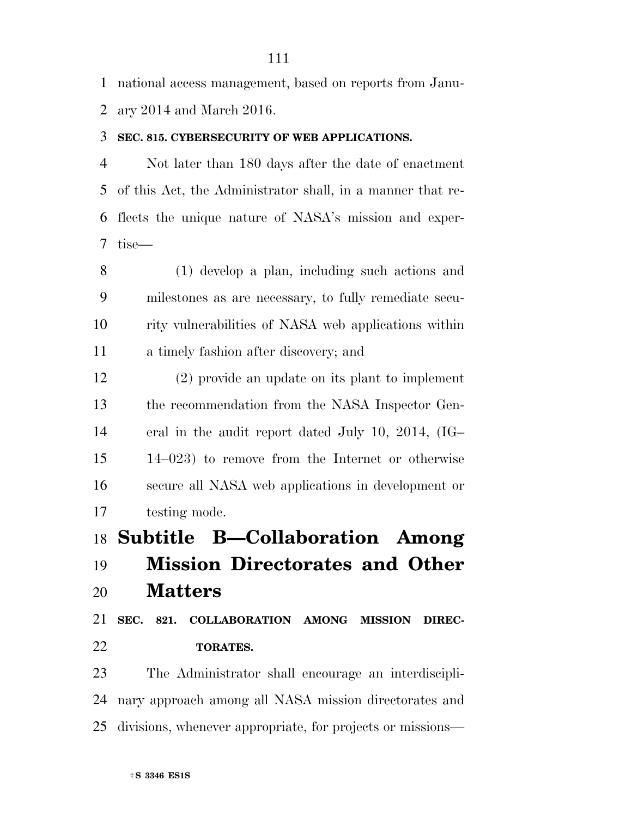national access management, based on reports from Janu-ary 2014 and March 2016.

#### **SEC. 815. CYBERSECURITY OF WEB APPLICATIONS.**

 Not later than 180 days after the date of enactment of this Act, the Administrator shall, in a manner that re- flects the unique nature of NASA's mission and exper-tise—

 (1) develop a plan, including such actions and milestones as are necessary, to fully remediate secu- rity vulnerabilities of NASA web applications within a timely fashion after discovery; and

 (2) provide an update on its plant to implement the recommendation from the NASA Inspector Gen- eral in the audit report dated July 10, 2014, (IG– 14–023) to remove from the Internet or otherwise secure all NASA web applications in development or testing mode.

**Subtitle B—Collaboration Among** 

## **Mission Directorates and Other**

**Matters** 

 **SEC. 821. COLLABORATION AMONG MISSION DIREC-TORATES.** 

 The Administrator shall encourage an interdiscipli- nary approach among all NASA mission directorates and divisions, whenever appropriate, for projects or missions—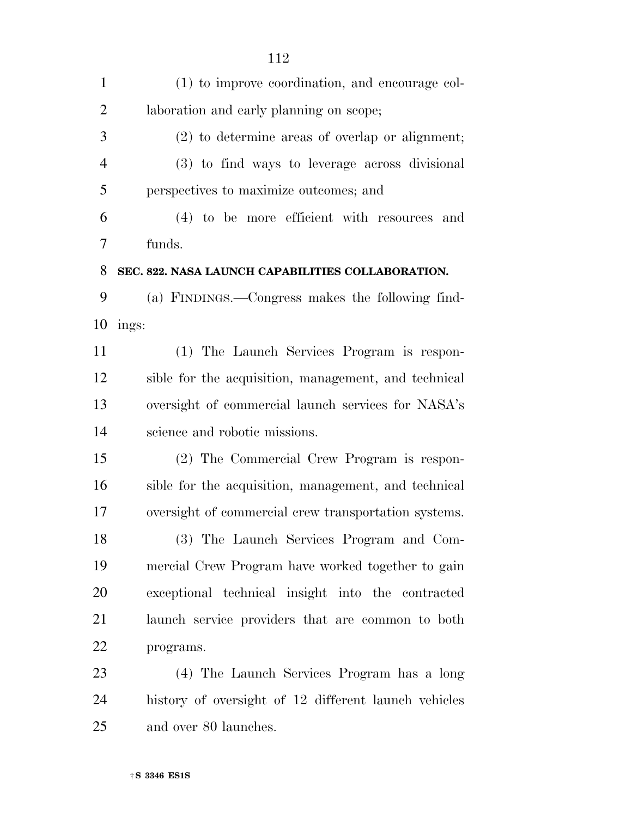| $\mathbf{1}$   | (1) to improve coordination, and encourage col-      |
|----------------|------------------------------------------------------|
| $\overline{2}$ | laboration and early planning on scope;              |
| 3              | (2) to determine areas of overlap or alignment;      |
| $\overline{4}$ | (3) to find ways to leverage across divisional       |
| 5              | perspectives to maximize outcomes; and               |
| 6              | (4) to be more efficient with resources<br>and       |
| 7              | funds.                                               |
| 8              | SEC. 822. NASA LAUNCH CAPABILITIES COLLABORATION.    |
| 9              | (a) FINDINGS.—Congress makes the following find-     |
| 10             | ings:                                                |
| 11             | (1) The Launch Services Program is respon-           |
| 12             | sible for the acquisition, management, and technical |
| 13             | oversight of commercial launch services for NASA's   |
| 14             | science and robotic missions.                        |
| 15             | (2) The Commercial Crew Program is respon-           |
| 16             | sible for the acquisition, management, and technical |
| 17             | oversight of commercial crew transportation systems. |
| 18             | (3) The Launch Services Program and Com-             |
| 19             | mercial Crew Program have worked together to gain    |
| 20             | exceptional technical insight into the contracted    |
| 21             | launch service providers that are common to both     |
| 22             | programs.                                            |
| 23             | (4) The Launch Services Program has a long           |
| 24             | history of oversight of 12 different launch vehicles |
| 25             | and over 80 launches.                                |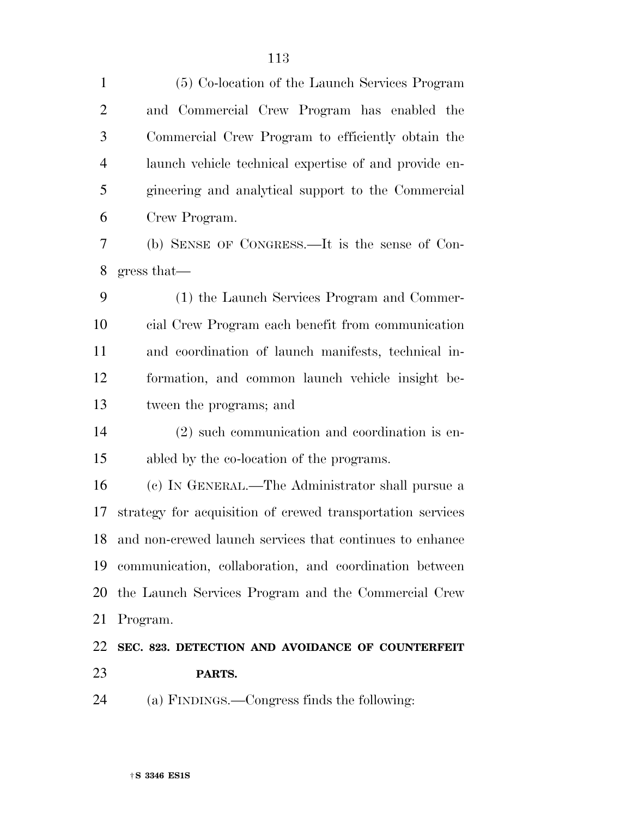(5) Co-location of the Launch Services Program and Commercial Crew Program has enabled the Commercial Crew Program to efficiently obtain the launch vehicle technical expertise of and provide en- gineering and analytical support to the Commercial Crew Program. (b) SENSE OF CONGRESS.—It is the sense of Con- gress that— (1) the Launch Services Program and Commer- cial Crew Program each benefit from communication and coordination of launch manifests, technical in- formation, and common launch vehicle insight be- tween the programs; and (2) such communication and coordination is en- abled by the co-location of the programs. (c) IN GENERAL.—The Administrator shall pursue a strategy for acquisition of crewed transportation services and non-crewed launch services that continues to enhance communication, collaboration, and coordination between the Launch Services Program and the Commercial Crew Program. **SEC. 823. DETECTION AND AVOIDANCE OF COUNTERFEIT PARTS.**  (a) FINDINGS.—Congress finds the following: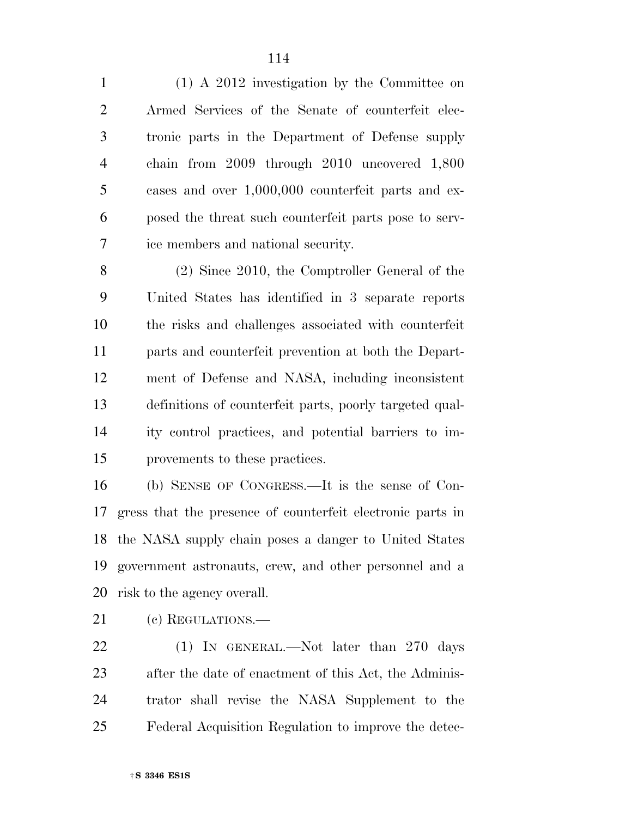(1) A 2012 investigation by the Committee on Armed Services of the Senate of counterfeit elec- tronic parts in the Department of Defense supply chain from 2009 through 2010 uncovered 1,800 cases and over 1,000,000 counterfeit parts and ex- posed the threat such counterfeit parts pose to serv-ice members and national security.

 (2) Since 2010, the Comptroller General of the United States has identified in 3 separate reports the risks and challenges associated with counterfeit parts and counterfeit prevention at both the Depart- ment of Defense and NASA, including inconsistent definitions of counterfeit parts, poorly targeted qual- ity control practices, and potential barriers to im-provements to these practices.

 (b) SENSE OF CONGRESS.—It is the sense of Con- gress that the presence of counterfeit electronic parts in the NASA supply chain poses a danger to United States government astronauts, crew, and other personnel and a risk to the agency overall.

21 (c) REGULATIONS.—

22 (1) In GENERAL.—Not later than 270 days after the date of enactment of this Act, the Adminis- trator shall revise the NASA Supplement to the Federal Acquisition Regulation to improve the detec-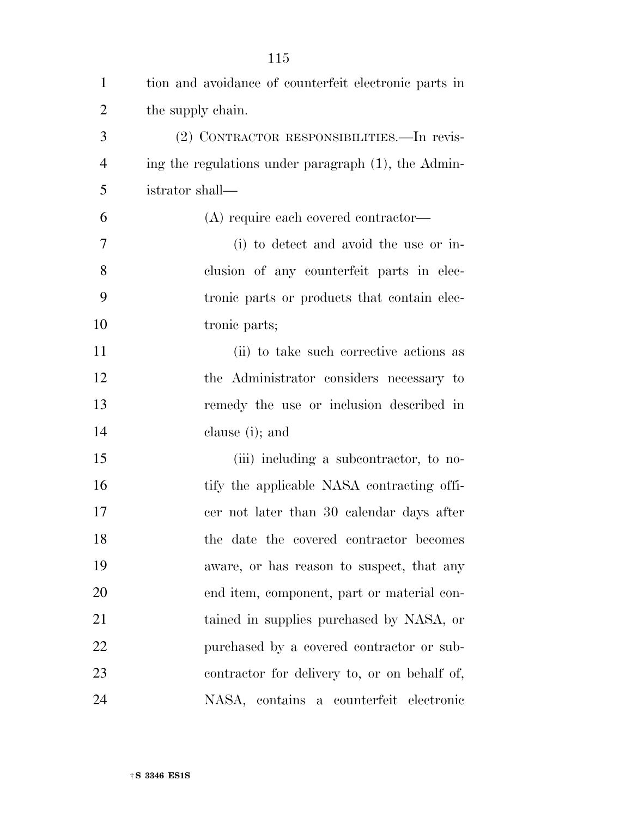| $\mathbf{1}$   | tion and avoidance of counterfeit electronic parts in |
|----------------|-------------------------------------------------------|
| $\overline{2}$ | the supply chain.                                     |
| 3              | (2) CONTRACTOR RESPONSIBILITIES. - In revis-          |
| $\overline{4}$ | ing the regulations under paragraph (1), the Admin-   |
| 5              | istrator shall-                                       |
| 6              | (A) require each covered contractor—                  |
| 7              | (i) to detect and avoid the use or in-                |
| 8              | clusion of any counterfeit parts in elec-             |
| 9              | tronic parts or products that contain elec-           |
| 10             | tronic parts;                                         |
| 11             | (ii) to take such corrective actions as               |
| 12             | the Administrator considers necessary to              |
| 13             | remedy the use or inclusion described in              |
| 14             | clause (i); and                                       |
| 15             | (iii) including a subcontractor, to no-               |
| 16             | tify the applicable NASA contracting offi-            |
| 17             | cer not later than 30 calendar days after             |
| 18             | the date the covered contractor becomes               |
| 19             | aware, or has reason to suspect, that any             |
| 20             | end item, component, part or material con-            |
| 21             | tained in supplies purchased by NASA, or              |
| 22             | purchased by a covered contractor or sub-             |
| 23             | contractor for delivery to, or on behalf of,          |
| 24             | NASA, contains a counterfeit<br>electronic            |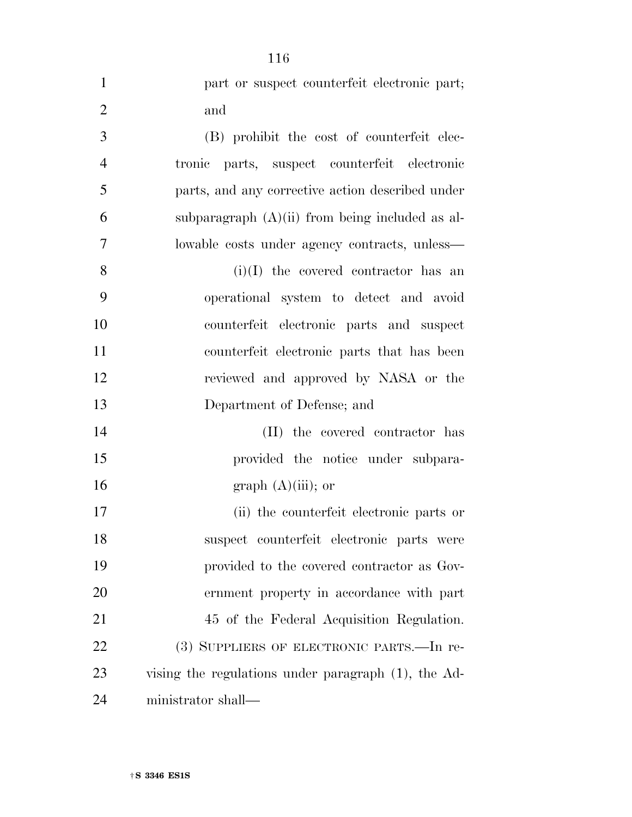| $\mathbf{1}$   | part or suspect counterfeit electronic part;        |
|----------------|-----------------------------------------------------|
| $\overline{2}$ | and                                                 |
| 3              | (B) prohibit the cost of counterfeit elec-          |
| $\overline{4}$ | parts, suspect counterfeit electronic<br>tronic     |
| 5              | parts, and any corrective action described under    |
| 6              | subparagraph $(A)(ii)$ from being included as al-   |
| 7              | lowable costs under agency contracts, unless—       |
| 8              | $(i)(I)$ the covered contractor has an              |
| 9              | operational system to detect and avoid              |
| 10             | counterfeit electronic parts and suspect            |
| 11             | counterfeit electronic parts that has been          |
| 12             | reviewed and approved by NASA or the                |
| 13             | Department of Defense; and                          |
| 14             | (II) the covered contractor has                     |
| 15             | provided the notice under subpara-                  |
| 16             | graph $(A)(iii)$ ; or                               |
| 17             | (ii) the counterfeit electronic parts or            |
| 18             | suspect counterfeit electronic parts were           |
| 19             | provided to the covered contractor as Gov-          |
| 20             | ernment property in accordance with part            |
| 21             | 45 of the Federal Acquisition Regulation.           |
| 22             | (3) SUPPLIERS OF ELECTRONIC PARTS.—In re-           |
| 23             | vising the regulations under paragraph (1), the Ad- |
| 24             | ministrator shall—                                  |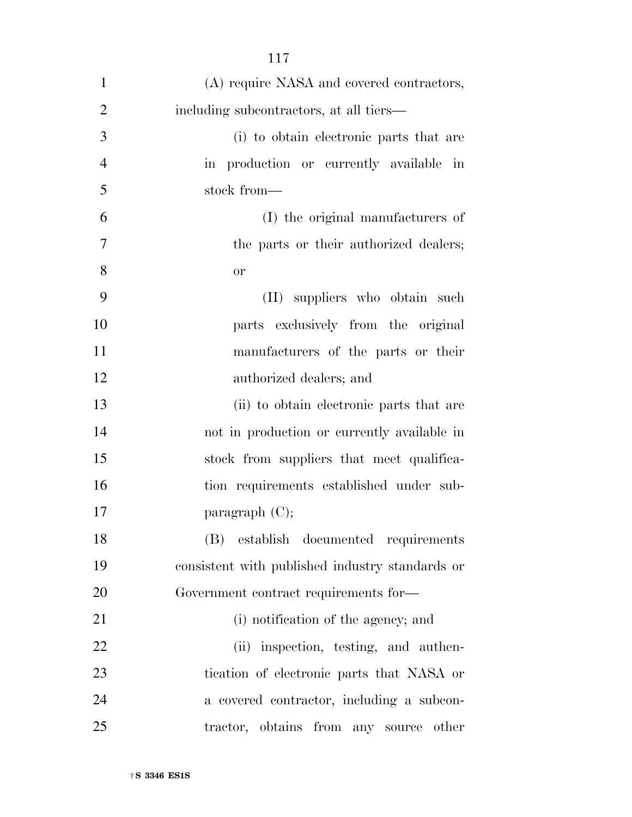| $\mathbf{1}$   | (A) require NASA and covered contractors,       |
|----------------|-------------------------------------------------|
| $\overline{2}$ | including subcontractors, at all tiers—         |
| 3              | (i) to obtain electronic parts that are         |
| $\overline{4}$ | in production or currently available in         |
| 5              | stock from-                                     |
| 6              | (I) the original manufacturers of               |
| $\overline{7}$ | the parts or their authorized dealers;          |
| 8              | <b>or</b>                                       |
| 9              | (II) suppliers who obtain such                  |
| 10             | parts exclusively from the original             |
| 11             | manufacturers of the parts or their             |
| 12             | authorized dealers; and                         |
| 13             | (ii) to obtain electronic parts that are        |
| 14             | not in production or currently available in     |
| 15             | stock from suppliers that meet qualifica-       |
| 16             | tion requirements established under sub-        |
| 17             | paragraph $(C)$ ;                               |
| 18             | (B)<br>establish documented requirements        |
| 19             | consistent with published industry standards or |
| 20             | Government contract requirements for—           |
| 21             | (i) notification of the agency; and             |
| 22             | (ii) inspection, testing, and authen-           |
| 23             | tication of electronic parts that NASA or       |
| 24             | a covered contractor, including a subcon-       |
| 25             | tractor, obtains from any source<br>other       |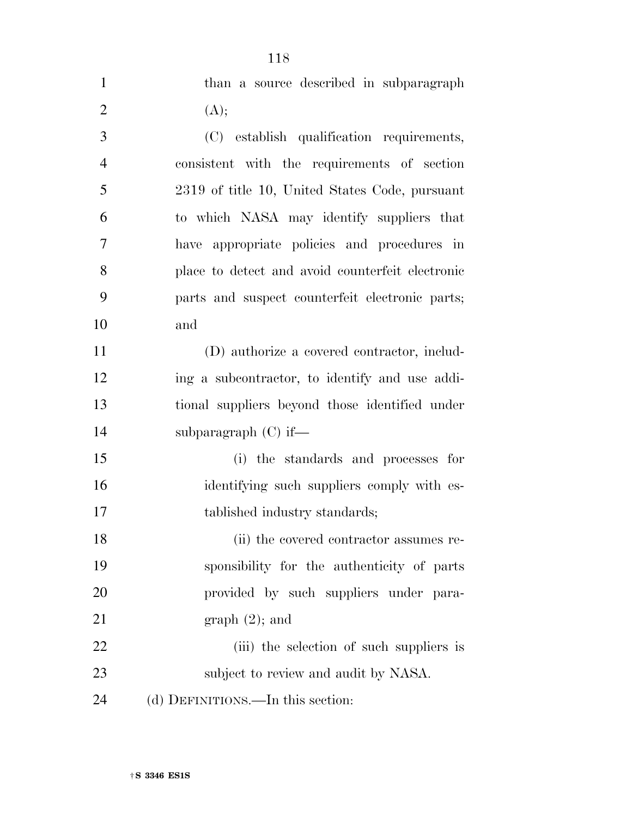|                | 118                                              |
|----------------|--------------------------------------------------|
| $\mathbf{1}$   | than a source described in subparagraph          |
| $\overline{2}$ | (A);                                             |
| 3              | (C) establish qualification requirements,        |
| $\overline{4}$ | consistent with the requirements of section      |
| 5              | 2319 of title 10, United States Code, pursuant   |
| 6              | to which NASA may identify suppliers that        |
| 7              | have appropriate policies and procedures in      |
| 8              | place to detect and avoid counterfeit electronic |
| 9              | parts and suspect counterfeit electronic parts;  |
| 10             | and                                              |
| 11             | (D) authorize a covered contractor, includ-      |
| 12             | ing a subcontractor, to identify and use addi-   |
| 13             | tional suppliers beyond those identified under   |
| 14             | subparagraph $(C)$ if—                           |
| 15             | (i) the standards and processes for              |
| 16             | identifying such suppliers comply with es-       |
| 17             | tablished industry standards;                    |
| 18             | (ii) the covered contractor assumes re-          |
| 19             | sponsibility for the authenticity of parts       |
| 20             | provided by such suppliers under para-           |
| 21             | $graph(2)$ ; and                                 |
| 22             | (iii) the selection of such suppliers is         |
| 23             | subject to review and audit by NASA.             |
| 24             | (d) DEFINITIONS.—In this section:                |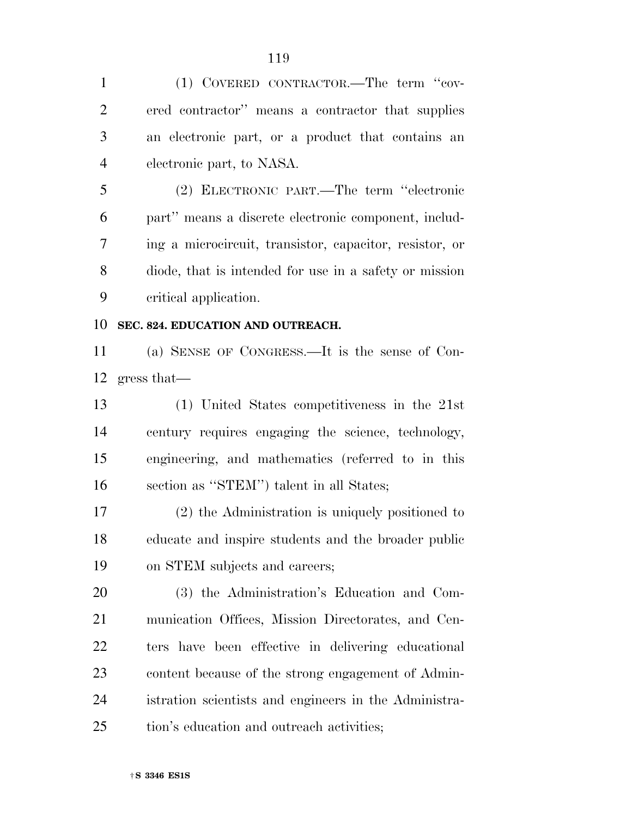(1) COVERED CONTRACTOR.—The term ''cov- ered contractor'' means a contractor that supplies an electronic part, or a product that contains an electronic part, to NASA.

 (2) ELECTRONIC PART.—The term ''electronic part'' means a discrete electronic component, includ- ing a microcircuit, transistor, capacitor, resistor, or diode, that is intended for use in a safety or mission critical application.

#### **SEC. 824. EDUCATION AND OUTREACH.**

 (a) SENSE OF CONGRESS.—It is the sense of Con-gress that—

 (1) United States competitiveness in the 21st century requires engaging the science, technology, engineering, and mathematics (referred to in this section as ''STEM'') talent in all States;

 (2) the Administration is uniquely positioned to educate and inspire students and the broader public on STEM subjects and careers;

 (3) the Administration's Education and Com- munication Offices, Mission Directorates, and Cen- ters have been effective in delivering educational content because of the strong engagement of Admin- istration scientists and engineers in the Administra-tion's education and outreach activities;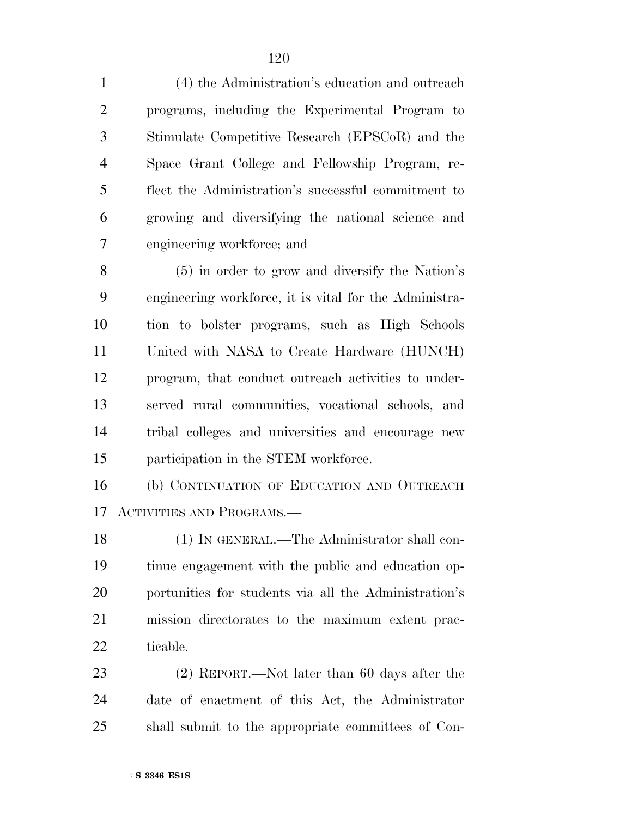(4) the Administration's education and outreach programs, including the Experimental Program to Stimulate Competitive Research (EPSCoR) and the Space Grant College and Fellowship Program, re- flect the Administration's successful commitment to growing and diversifying the national science and engineering workforce; and

 (5) in order to grow and diversify the Nation's engineering workforce, it is vital for the Administra- tion to bolster programs, such as High Schools United with NASA to Create Hardware (HUNCH) program, that conduct outreach activities to under- served rural communities, vocational schools, and tribal colleges and universities and encourage new participation in the STEM workforce.

 (b) CONTINUATION OF EDUCATION AND OUTREACH ACTIVITIES AND PROGRAMS.—

 (1) IN GENERAL.—The Administrator shall con- tinue engagement with the public and education op- portunities for students via all the Administration's mission directorates to the maximum extent prac-ticable.

 (2) REPORT.—Not later than 60 days after the date of enactment of this Act, the Administrator shall submit to the appropriate committees of Con-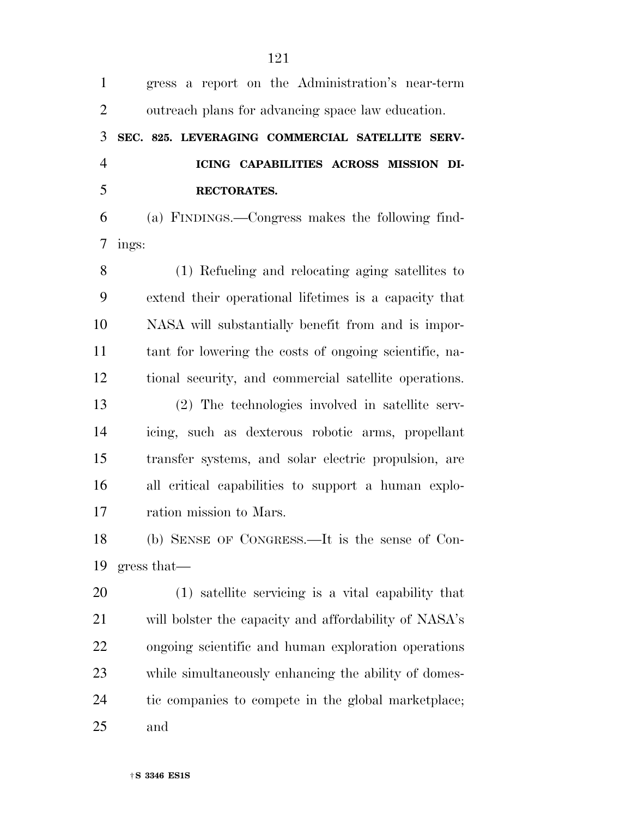| $\mathbf{1}$   | gress a report on the Administration's near-term       |
|----------------|--------------------------------------------------------|
| $\overline{2}$ | outreach plans for advancing space law education.      |
| 3              | SEC. 825. LEVERAGING COMMERCIAL SATELLITE SERV-        |
| $\overline{4}$ | ICING CAPABILITIES ACROSS MISSION DI-                  |
| 5              | RECTORATES.                                            |
| 6              | (a) FINDINGS.—Congress makes the following find-       |
| 7              | ings:                                                  |
| 8              | (1) Refueling and relocating aging satellites to       |
| 9              | extend their operational lifetimes is a capacity that  |
| 10             | NASA will substantially benefit from and is impor-     |
| 11             | tant for lowering the costs of ongoing scientific, na- |
| 12             | tional security, and commercial satellite operations.  |
| 13             | (2) The technologies involved in satellite serv-       |
| 14             | icing, such as dexterous robotic arms, propellant      |
| 15             | transfer systems, and solar electric propulsion, are   |
| 16             | all critical capabilities to support a human explo-    |
| 17             | ration mission to Mars.                                |
| 18             | (b) SENSE OF CONGRESS.—It is the sense of Con-         |
| 19             | gress that                                             |
| 20             | (1) satellite servicing is a vital capability that     |
| 21             | will bolster the capacity and affordability of NASA's  |
| 22             | ongoing scientific and human exploration operations    |
| 23             | while simultaneously enhancing the ability of domes-   |
| 24             | tic companies to compete in the global marketplace;    |
| 25             | and                                                    |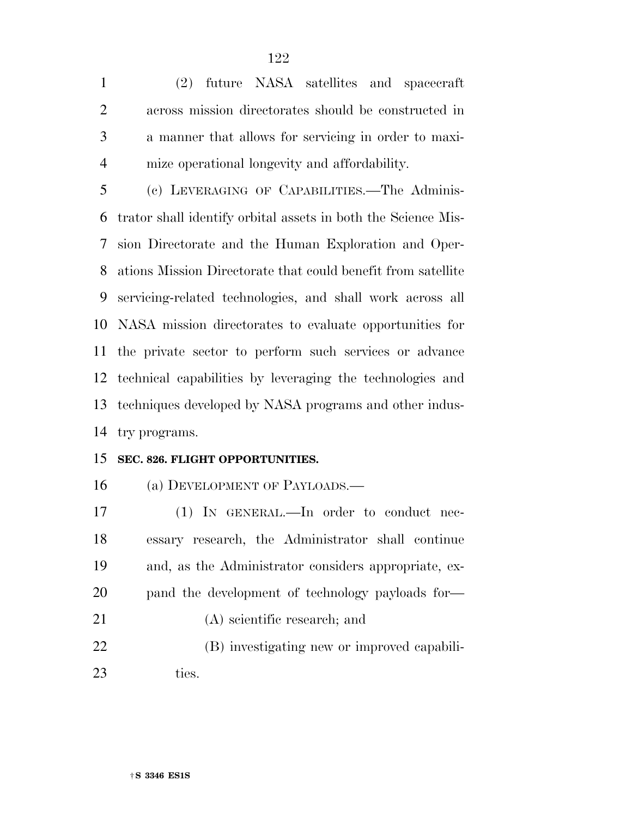(2) future NASA satellites and spacecraft across mission directorates should be constructed in a manner that allows for servicing in order to maxi-mize operational longevity and affordability.

 (c) LEVERAGING OF CAPABILITIES.—The Adminis- trator shall identify orbital assets in both the Science Mis- sion Directorate and the Human Exploration and Oper- ations Mission Directorate that could benefit from satellite servicing-related technologies, and shall work across all NASA mission directorates to evaluate opportunities for the private sector to perform such services or advance technical capabilities by leveraging the technologies and techniques developed by NASA programs and other indus-try programs.

#### **SEC. 826. FLIGHT OPPORTUNITIES.**

(a) DEVELOPMENT OF PAYLOADS.—

 (1) IN GENERAL.—In order to conduct nec- essary research, the Administrator shall continue and, as the Administrator considers appropriate, ex- pand the development of technology payloads for— (A) scientific research; and (B) investigating new or improved capabili-ties.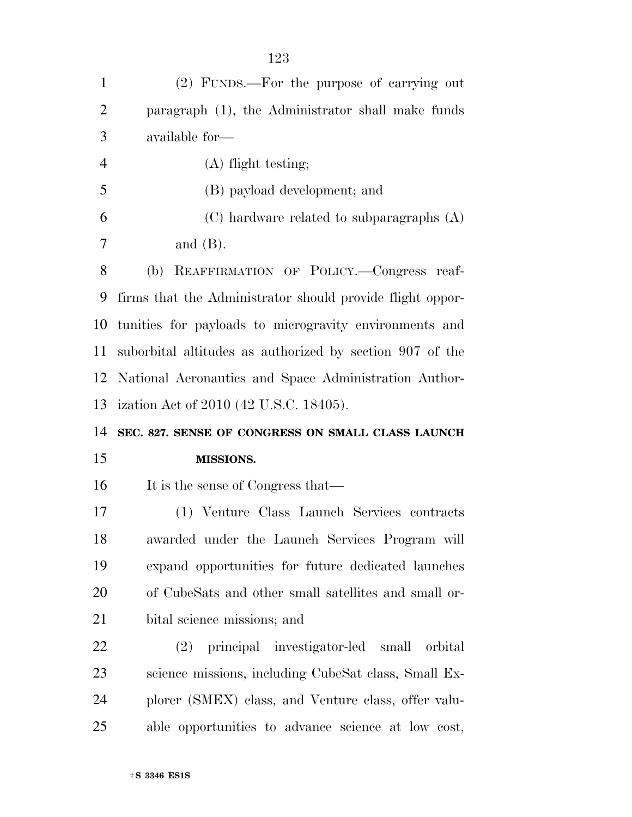| $\mathbf{1}$   | (2) FUNDS.—For the purpose of carrying out                |
|----------------|-----------------------------------------------------------|
| $\overline{2}$ | paragraph (1), the Administrator shall make funds         |
| 3              | available for-                                            |
| $\overline{4}$ | $(A)$ flight testing;                                     |
| 5              | (B) payload development; and                              |
| 6              | $(C)$ hardware related to subparagraphs $(A)$             |
| 7              | and $(B)$ .                                               |
| 8              | REAFFIRMATION OF POLICY.-Congress reaf-<br>(b)            |
| 9              | firms that the Administrator should provide flight oppor- |
| 10             | tunities for payloads to microgravity environments and    |
| 11             | suborbital altitudes as authorized by section 907 of the  |
| 12             | National Aeronautics and Space Administration Author-     |
|                | 13 ization Act of 2010 (42 U.S.C. 18405).                 |
| 14             | SEC. 827. SENSE OF CONGRESS ON SMALL CLASS LAUNCH         |
| 15             | <b>MISSIONS.</b>                                          |
| 16             | It is the sense of Congress that—                         |
| 17             |                                                           |
|                | (1) Venture Class Launch Services contracts               |
| 18             | awarded under the Launch Services Program will            |
| 19             | expand opportunities for future dedicated launches        |
| 20             | of CubeSats and other small satellites and small or-      |
| 21             | bital science missions; and                               |
| 22             | (2) principal investigator-led small orbital              |
| 23             | science missions, including CubeSat class, Small Ex-      |
| 24             | plorer (SMEX) class, and Venture class, offer valu-       |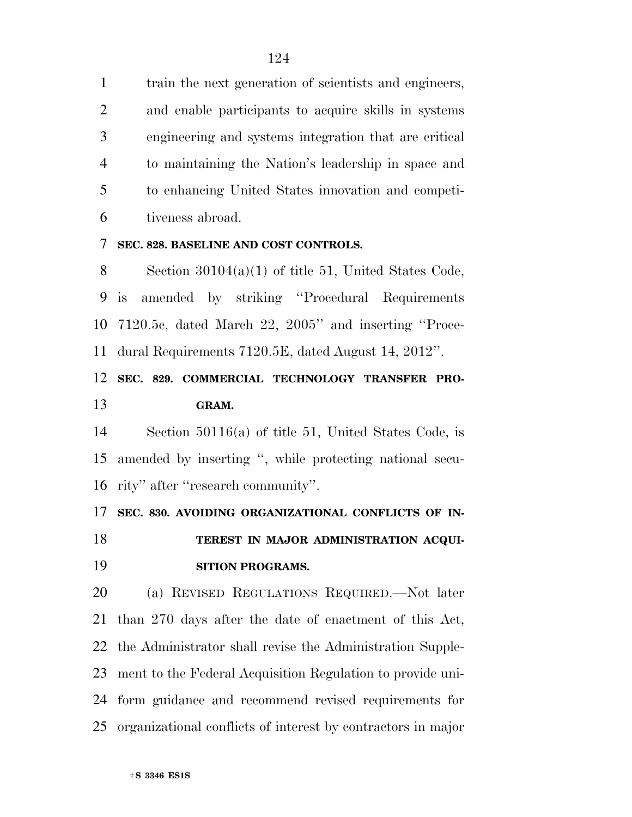train the next generation of scientists and engineers, and enable participants to acquire skills in systems engineering and systems integration that are critical to maintaining the Nation's leadership in space and to enhancing United States innovation and competi-tiveness abroad.

#### **SEC. 828. BASELINE AND COST CONTROLS.**

 Section 30104(a)(1) of title 51, United States Code, is amended by striking ''Procedural Requirements 7120.5c, dated March 22, 2005'' and inserting ''Proce-dural Requirements 7120.5E, dated August 14, 2012''.

### **SEC. 829. COMMERCIAL TECHNOLOGY TRANSFER PRO-GRAM.**

 Section 50116(a) of title 51, United States Code, is amended by inserting '', while protecting national secu-rity'' after ''research community''.

**SEC. 830. AVOIDING ORGANIZATIONAL CONFLICTS OF IN-**

 **TEREST IN MAJOR ADMINISTRATION ACQUI-SITION PROGRAMS.** 

 (a) REVISED REGULATIONS REQUIRED.—Not later than 270 days after the date of enactment of this Act, the Administrator shall revise the Administration Supple- ment to the Federal Acquisition Regulation to provide uni- form guidance and recommend revised requirements for organizational conflicts of interest by contractors in major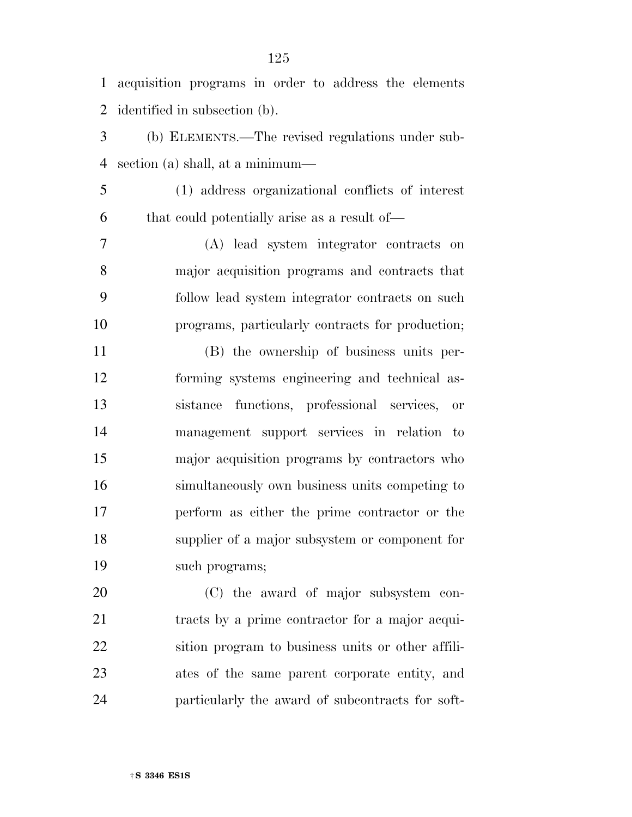acquisition programs in order to address the elements identified in subsection (b).

 (b) ELEMENTS.—The revised regulations under sub-section (a) shall, at a minimum—

 (1) address organizational conflicts of interest that could potentially arise as a result of—

 (A) lead system integrator contracts on major acquisition programs and contracts that follow lead system integrator contracts on such programs, particularly contracts for production;

 (B) the ownership of business units per- forming systems engineering and technical as- sistance functions, professional services, or management support services in relation to major acquisition programs by contractors who simultaneously own business units competing to perform as either the prime contractor or the supplier of a major subsystem or component for such programs;

 (C) the award of major subsystem con- tracts by a prime contractor for a major acqui- sition program to business units or other affili- ates of the same parent corporate entity, and particularly the award of subcontracts for soft-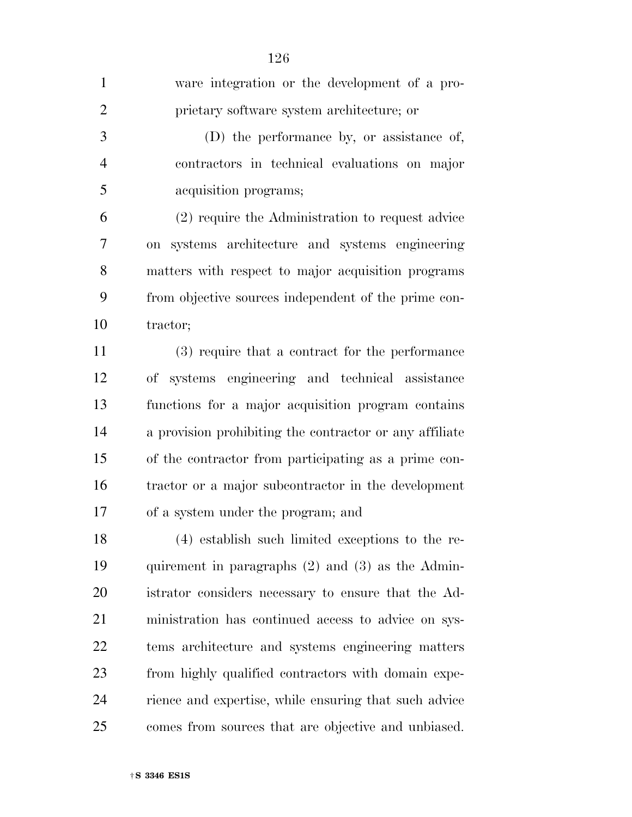| $\mathbf{1}$   | ware integration or the development of a pro-           |
|----------------|---------------------------------------------------------|
| $\overline{2}$ | prietary software system architecture; or               |
| 3              | (D) the performance by, or assistance of,               |
| $\overline{4}$ | contractors in technical evaluations on major           |
| 5              | acquisition programs;                                   |
| 6              | (2) require the Administration to request advice        |
| 7              | on systems architecture and systems engineering         |
| 8              | matters with respect to major acquisition programs      |
| 9              | from objective sources independent of the prime con-    |
| 10             | tractor;                                                |
| 11             | (3) require that a contract for the performance         |
| 12             | of systems engineering and technical assistance         |
| 13             | functions for a major acquisition program contains      |
| 14             | a provision prohibiting the contractor or any affiliate |
| 15             | of the contractor from participating as a prime con-    |
| 16             | tractor or a major subcontractor in the development     |
| 17             | of a system under the program; and                      |
| 18             | (4) establish such limited exceptions to the re-        |
| 19             | quirement in paragraphs $(2)$ and $(3)$ as the Admin-   |
| 20             | istrator considers necessary to ensure that the Ad-     |
| 21             | ministration has continued access to advice on sys-     |
| 22             | tems architecture and systems engineering matters       |
| 23             | from highly qualified contractors with domain expe-     |
| 24             | rience and expertise, while ensuring that such advice   |
| 25             | comes from sources that are objective and unbiased.     |
|                |                                                         |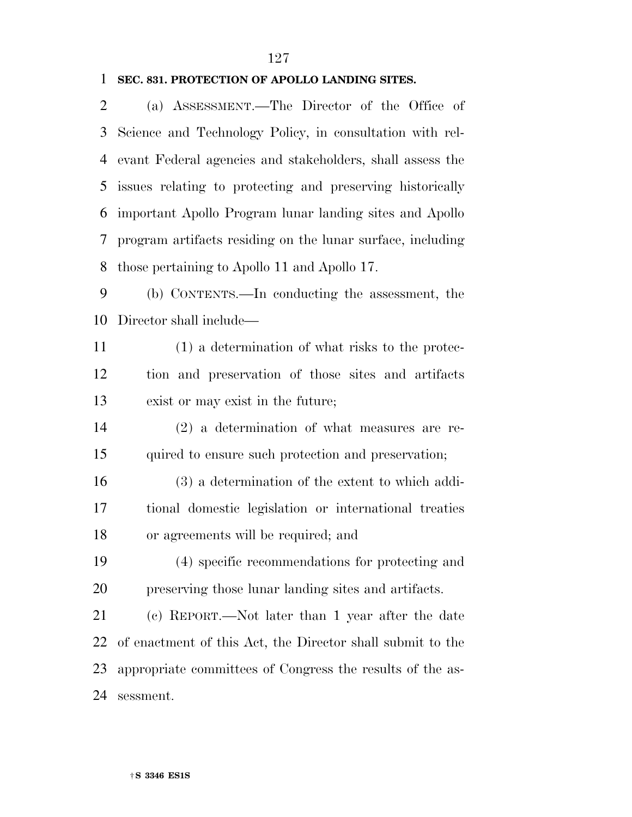#### **SEC. 831. PROTECTION OF APOLLO LANDING SITES.**

 (a) ASSESSMENT.—The Director of the Office of Science and Technology Policy, in consultation with rel- evant Federal agencies and stakeholders, shall assess the issues relating to protecting and preserving historically important Apollo Program lunar landing sites and Apollo program artifacts residing on the lunar surface, including those pertaining to Apollo 11 and Apollo 17. (b) CONTENTS.—In conducting the assessment, the Director shall include— (1) a determination of what risks to the protec-tion and preservation of those sites and artifacts

exist or may exist in the future;

 (2) a determination of what measures are re-quired to ensure such protection and preservation;

 (3) a determination of the extent to which addi- tional domestic legislation or international treaties or agreements will be required; and

 (4) specific recommendations for protecting and preserving those lunar landing sites and artifacts.

 (c) REPORT.—Not later than 1 year after the date of enactment of this Act, the Director shall submit to the appropriate committees of Congress the results of the as-sessment.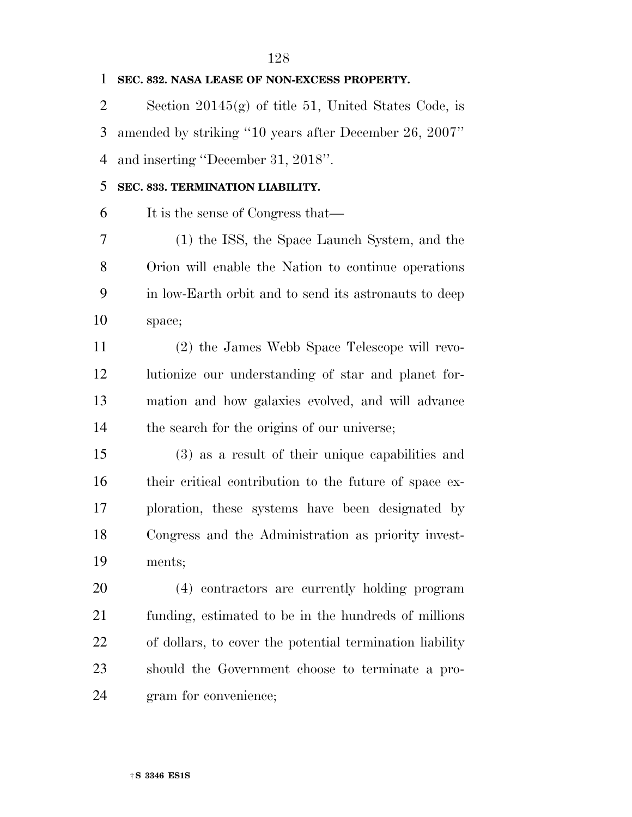| 1              | SEC. 832. NASA LEASE OF NON-EXCESS PROPERTY.             |
|----------------|----------------------------------------------------------|
| $\overline{2}$ | Section $20145(g)$ of title 51, United States Code, is   |
| 3              | amended by striking "10 years after December 26, 2007"   |
| 4              | and inserting "December 31, 2018".                       |
| 5              | SEC. 833. TERMINATION LIABILITY.                         |
| 6              | It is the sense of Congress that—                        |
| 7              | (1) the ISS, the Space Launch System, and the            |
| 8              | Orion will enable the Nation to continue operations      |
| 9              | in low-Earth orbit and to send its astronauts to deep    |
| 10             | space;                                                   |
| 11             | (2) the James Webb Space Telescope will revo-            |
| 12             | lutionize our understanding of star and planet for-      |
| 13             | mation and how galaxies evolved, and will advance        |
| 14             | the search for the origins of our universe;              |
| 15             | (3) as a result of their unique capabilities and         |
| 16             | their critical contribution to the future of space ex-   |
| 17             | ploration, these systems have been designated by         |
| 18             | Congress and the Administration as priority invest-      |
| 19             | ments;                                                   |
| 20             | (4) contractors are currently holding program            |
| 21             | funding, estimated to be in the hundreds of millions     |
| 22             | of dollars, to cover the potential termination liability |
| 23             | should the Government choose to terminate a pro-         |
| 24             | gram for convenience;                                    |
|                |                                                          |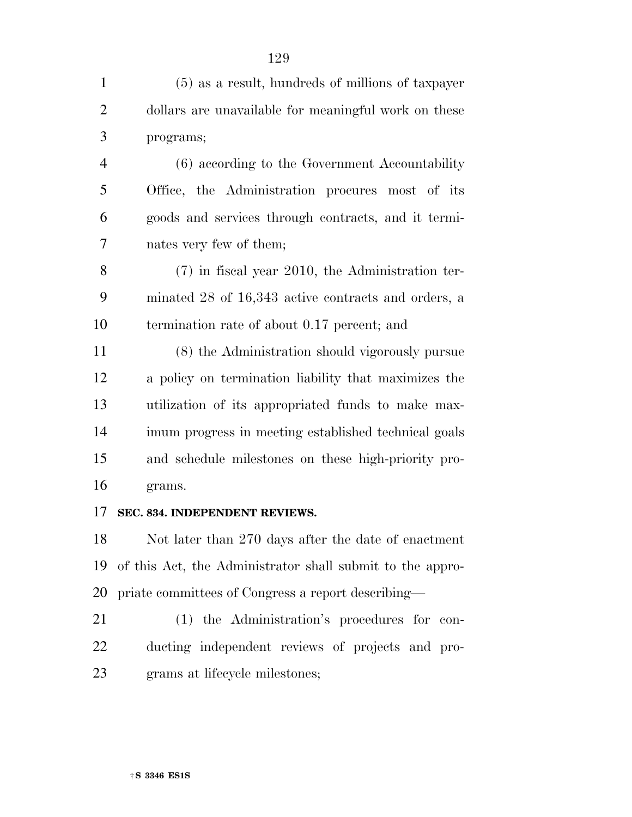- (5) as a result, hundreds of millions of taxpayer dollars are unavailable for meaningful work on these programs;
- (6) according to the Government Accountability Office, the Administration procures most of its goods and services through contracts, and it termi-nates very few of them;
- (7) in fiscal year 2010, the Administration ter- minated 28 of 16,343 active contracts and orders, a termination rate of about 0.17 percent; and
- (8) the Administration should vigorously pursue a policy on termination liability that maximizes the utilization of its appropriated funds to make max- imum progress in meeting established technical goals and schedule milestones on these high-priority pro-grams.
- **SEC. 834. INDEPENDENT REVIEWS.**

 Not later than 270 days after the date of enactment of this Act, the Administrator shall submit to the appro-priate committees of Congress a report describing—

 (1) the Administration's procedures for con- ducting independent reviews of projects and pro-grams at lifecycle milestones;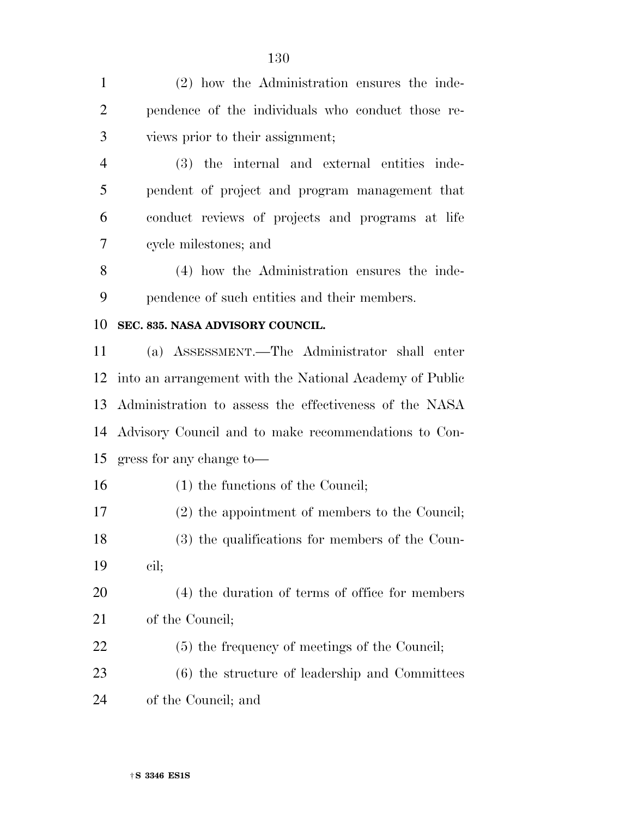(2) how the Administration ensures the inde- pendence of the individuals who conduct those re- views prior to their assignment; (3) the internal and external entities inde- pendent of project and program management that conduct reviews of projects and programs at life cycle milestones; and (4) how the Administration ensures the inde- pendence of such entities and their members. **SEC. 835. NASA ADVISORY COUNCIL.**  (a) ASSESSMENT.—The Administrator shall enter into an arrangement with the National Academy of Public Administration to assess the effectiveness of the NASA Advisory Council and to make recommendations to Con- gress for any change to— 16 (1) the functions of the Council; (2) the appointment of members to the Council; (3) the qualifications for members of the Coun- cil; (4) the duration of terms of office for members of the Council; (5) the frequency of meetings of the Council; (6) the structure of leadership and Committees of the Council; and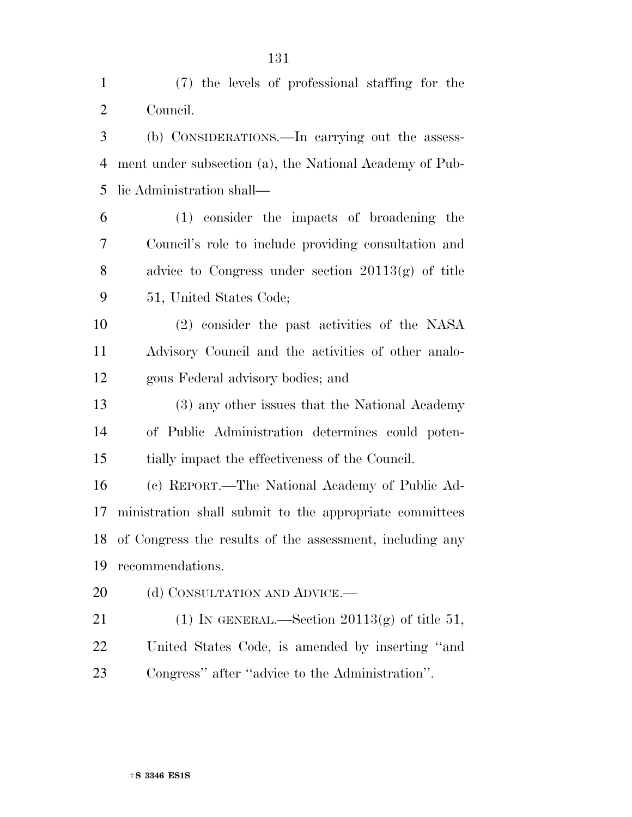| $\mathbf{1}$   | (7) the levels of professional staffing for the             |
|----------------|-------------------------------------------------------------|
| $\overline{2}$ | Council.                                                    |
| 3              | (b) CONSIDERATIONS.—In carrying out the assess-             |
| 4              | ment under subsection (a), the National Academy of Pub-     |
| 5              | lic Administration shall—                                   |
| 6              | (1) consider the impacts of broadening the                  |
| 7              | Council's role to include providing consultation and        |
| 8              | advice to Congress under section $20113(g)$ of title        |
| 9              | 51, United States Code;                                     |
| 10             | (2) consider the past activities of the NASA                |
| 11             | Advisory Council and the activities of other analo-         |
| 12             | gous Federal advisory bodies; and                           |
| 13             | (3) any other issues that the National Academy              |
| 14             | of Public Administration determines could poten-            |
| 15             | tially impact the effectiveness of the Council.             |
| 16             | (c) REPORT.—The National Academy of Public Ad-              |
| 17             | ministration shall submit to the appropriate committees     |
|                | 18 of Congress the results of the assessment, including any |
| 19             | recommendations.                                            |
| 20             | (d) CONSULTATION AND ADVICE.—                               |
| 21             | (1) IN GENERAL.—Section $20113(g)$ of title 51,             |
| 22             | United States Code, is amended by inserting "and            |
| 23             | Congress" after "advice to the Administration".             |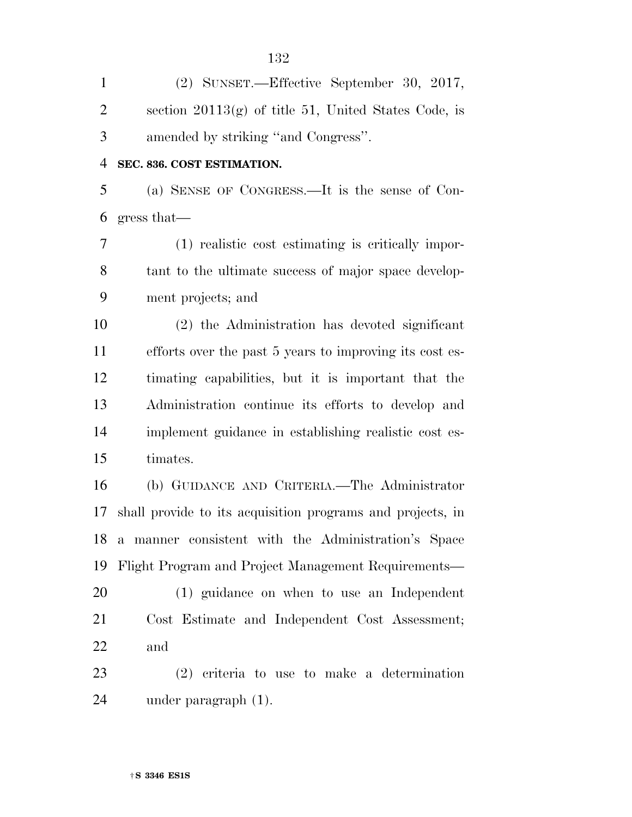| $\mathbf{1}$   | (2) SUNSET.—Effective September 30, 2017,                  |
|----------------|------------------------------------------------------------|
| $\overline{2}$ | section $20113(g)$ of title 51, United States Code, is     |
| 3              | amended by striking "and Congress".                        |
| $\overline{4}$ | SEC. 836. COST ESTIMATION.                                 |
| 5              | (a) SENSE OF CONGRESS.—It is the sense of Con-             |
| 6              | gress that                                                 |
| 7              | (1) realistic cost estimating is critically impor-         |
| 8              | tant to the ultimate success of major space develop-       |
| 9              | ment projects; and                                         |
| 10             | (2) the Administration has devoted significant             |
| 11             | efforts over the past 5 years to improving its cost es-    |
| 12             | timating capabilities, but it is important that the        |
| 13             | Administration continue its efforts to develop and         |
| 14             | implement guidance in establishing realistic cost es-      |
| 15             | timates.                                                   |
| 16             | (b) GUIDANCE AND CRITERIA.—The Administrator               |
| 17             | shall provide to its acquisition programs and projects, in |
| 18             | a manner consistent with the Administration's Space        |
| 19             | Flight Program and Project Management Requirements—        |
| 20             | (1) guidance on when to use an Independent                 |
| 21             | Cost Estimate and Independent Cost Assessment;             |
| 22             | and                                                        |
| 23             | $(2)$ criteria to use to make a determination              |
| 24             | under paragraph $(1)$ .                                    |
|                |                                                            |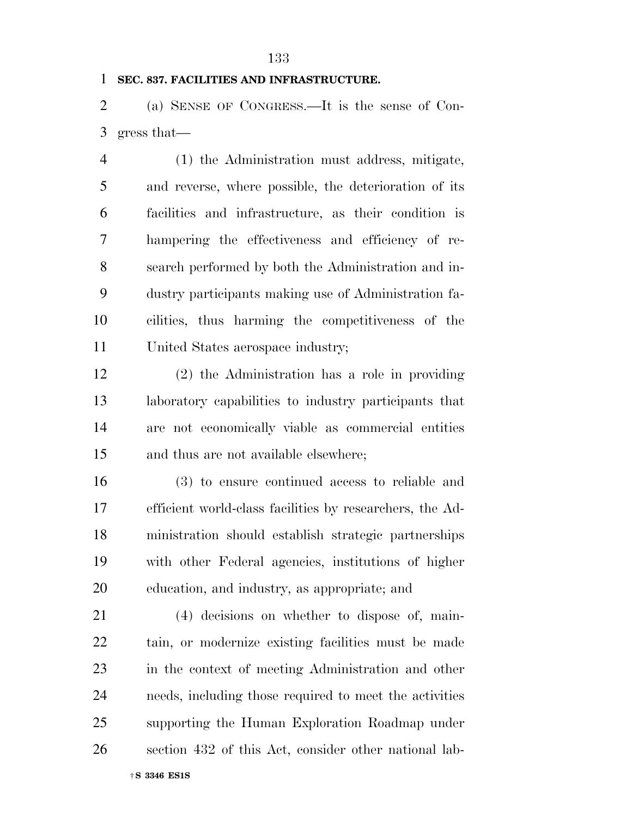#### **SEC. 837. FACILITIES AND INFRASTRUCTURE.**

 (a) SENSE OF CONGRESS.—It is the sense of Con-gress that—

 (1) the Administration must address, mitigate, and reverse, where possible, the deterioration of its facilities and infrastructure, as their condition is hampering the effectiveness and efficiency of re- search performed by both the Administration and in- dustry participants making use of Administration fa- cilities, thus harming the competitiveness of the United States aerospace industry;

 (2) the Administration has a role in providing laboratory capabilities to industry participants that are not economically viable as commercial entities and thus are not available elsewhere;

 (3) to ensure continued access to reliable and efficient world-class facilities by researchers, the Ad- ministration should establish strategic partnerships with other Federal agencies, institutions of higher education, and industry, as appropriate; and

 (4) decisions on whether to dispose of, main- tain, or modernize existing facilities must be made in the context of meeting Administration and other needs, including those required to meet the activities supporting the Human Exploration Roadmap under section 432 of this Act, consider other national lab-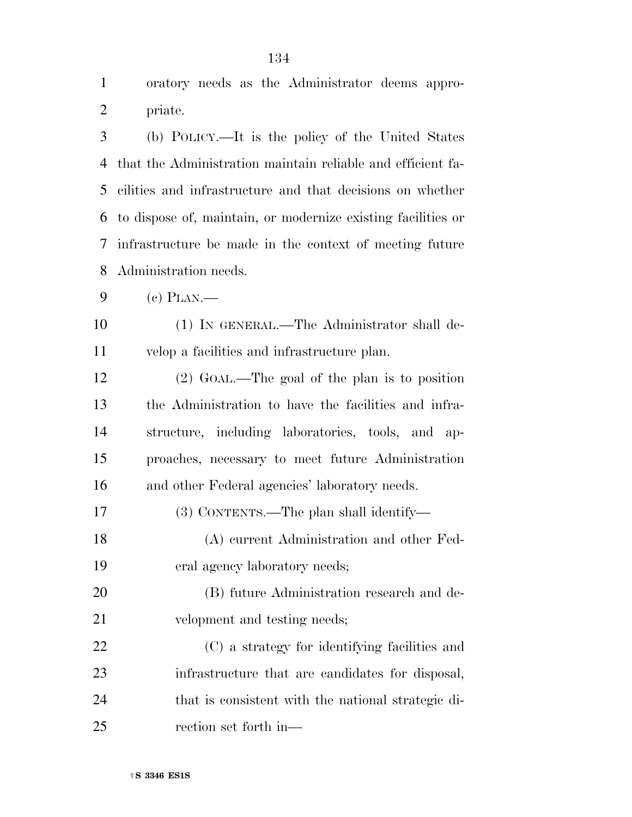oratory needs as the Administrator deems appro- priate. (b) POLICY.—It is the policy of the United States that the Administration maintain reliable and efficient fa- cilities and infrastructure and that decisions on whether to dispose of, maintain, or modernize existing facilities or infrastructure be made in the context of meeting future Administration needs. (c) PLAN.— (1) IN GENERAL.—The Administrator shall de- velop a facilities and infrastructure plan. (2) GOAL.—The goal of the plan is to position the Administration to have the facilities and infra- structure, including laboratories, tools, and ap- proaches, necessary to meet future Administration and other Federal agencies' laboratory needs. (3) CONTENTS.—The plan shall identify— (A) current Administration and other Fed- eral agency laboratory needs; (B) future Administration research and de- velopment and testing needs; (C) a strategy for identifying facilities and infrastructure that are candidates for disposal, that is consistent with the national strategic di-

rection set forth in—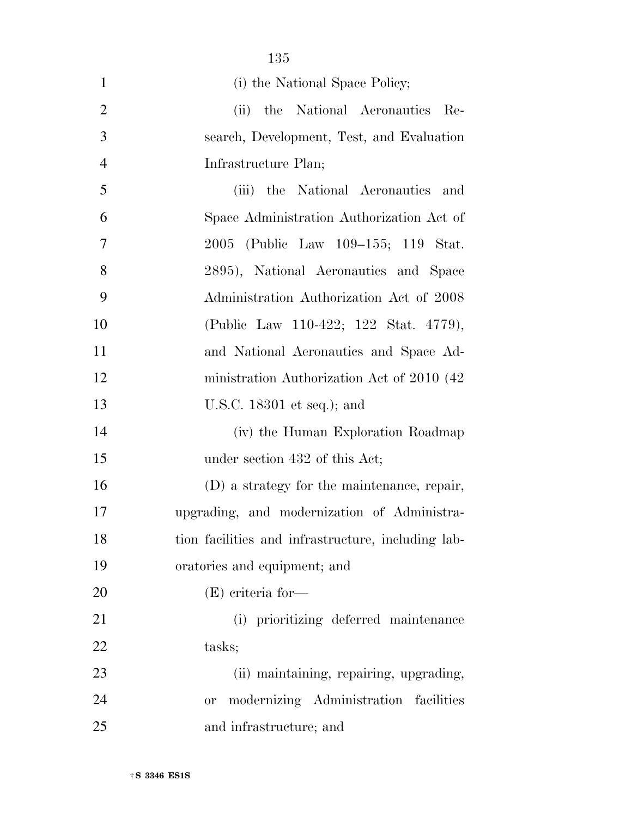|                | 135                                                |
|----------------|----------------------------------------------------|
| $\mathbf{1}$   | (i) the National Space Policy;                     |
| $\overline{2}$ | (ii) the National Aeronautics<br>- Re-             |
| 3              | search, Development, Test, and Evaluation          |
| $\overline{4}$ | Infrastructure Plan;                               |
| 5              | (iii) the National Aeronautics<br>and              |
| 6              | Space Administration Authorization Act of          |
| 7              | 2005 (Public Law 109–155; 119 Stat.                |
| 8              | 2895), National Aeronautics and Space              |
| 9              | Administration Authorization Act of 2008           |
| 10             | (Public Law 110-422; 122 Stat. 4779),              |
| 11             | and National Aeronautics and Space Ad-             |
| 12             | ministration Authorization Act of 2010 (42)        |
| 13             | U.S.C. 18301 et seq.); and                         |
| 14             | (iv) the Human Exploration Roadmap                 |
| 15             | under section 432 of this Act;                     |
| 16             | (D) a strategy for the maintenance, repair,        |
| 17             | upgrading, and modernization of Administra-        |
| 18             | tion facilities and infrastructure, including lab- |
| 19             | oratories and equipment; and                       |
| <b>20</b>      | $(E)$ criteria for-                                |
| 21             | (i) prioritizing deferred maintenance              |
| 22             | tasks;                                             |
| 23             | (ii) maintaining, repairing, upgrading,            |
| 24             | modernizing Administration facilities<br>0r        |
| 25             | and infrastructure; and                            |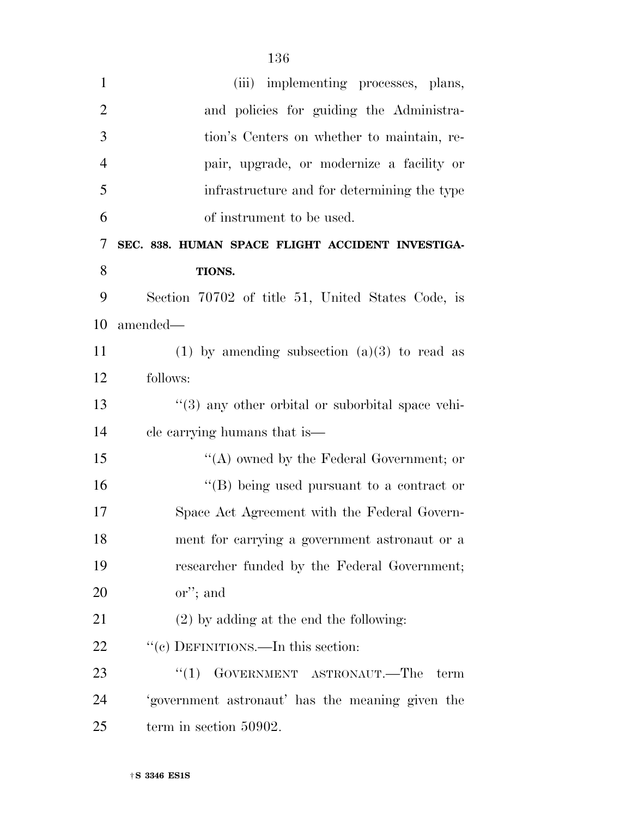| $\mathbf{1}$   | (iii) implementing processes, plans,              |
|----------------|---------------------------------------------------|
| $\overline{2}$ | and policies for guiding the Administra-          |
| 3              | tion's Centers on whether to maintain, re-        |
| $\overline{4}$ | pair, upgrade, or modernize a facility or         |
| 5              | infrastructure and for determining the type       |
| 6              | of instrument to be used.                         |
| 7              | SEC. 838. HUMAN SPACE FLIGHT ACCIDENT INVESTIGA-  |
| 8              | TIONS.                                            |
| 9              | Section 70702 of title 51, United States Code, is |
| 10             | amended—                                          |
| 11             | (1) by amending subsection $(a)(3)$ to read as    |
| 12             | follows:                                          |
| 13             | "(3) any other orbital or suborbital space vehi-  |
| 14             | cle carrying humans that is—                      |
| 15             | "(A) owned by the Federal Government; or          |
| 16             | $\lq\lq (B)$ being used pursuant to a contract or |
| 17             | Space Act Agreement with the Federal Govern-      |
| 18             | ment for carrying a government astronaut or a     |
| 19             | researcher funded by the Federal Government;      |
| 20             | $\alpha$ <sup>"</sup> ; and                       |
| 21             | $(2)$ by adding at the end the following:         |
| 22             | "(c) DEFINITIONS.—In this section:                |
| 23             | GOVERNMENT ASTRONAUT.—The<br>``(1)<br>term        |
| 24             | 'government astronaut' has the meaning given the  |
| 25             | term in section 50902.                            |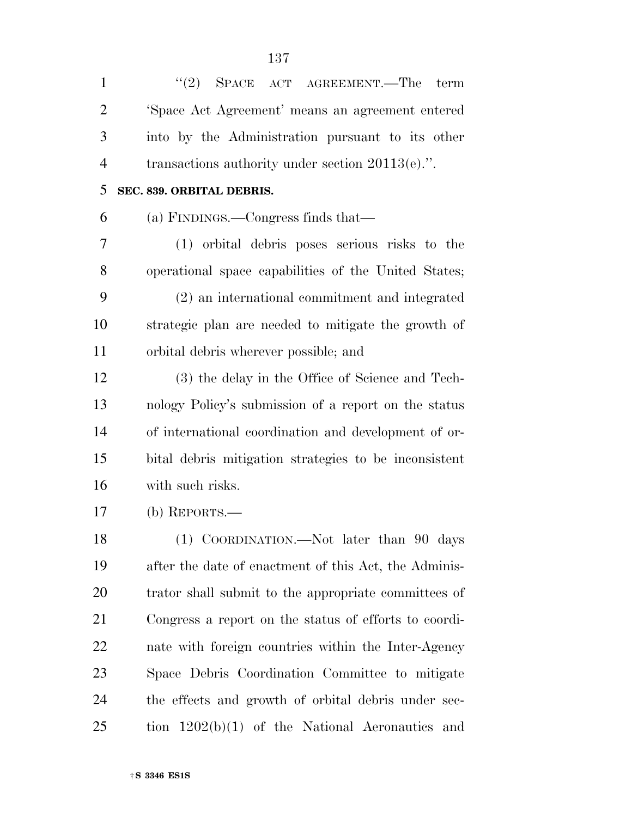| $\mathbf{1}$   | $\cdot$ (2) SPACE ACT AGREEMENT.—The<br>term          |
|----------------|-------------------------------------------------------|
| $\overline{2}$ | 'Space Act Agreement' means an agreement entered      |
| 3              | into by the Administration pursuant to its other      |
| $\overline{4}$ | transactions authority under section $20113(e)$ .".   |
| 5              | SEC. 839. ORBITAL DEBRIS.                             |
| 6              | (a) FINDINGS.—Congress finds that—                    |
| 7              | (1) orbital debris poses serious risks to the         |
| 8              | operational space capabilities of the United States;  |
| 9              | (2) an international commitment and integrated        |
| 10             | strategic plan are needed to mitigate the growth of   |
| 11             | orbital debris wherever possible; and                 |
| 12             | (3) the delay in the Office of Science and Tech-      |
| 13             | nology Policy's submission of a report on the status  |
| 14             | of international coordination and development of or-  |
| 15             | bital debris mitigation strategies to be inconsistent |
| 16             | with such risks.                                      |
| 17             | $(b)$ REPORTS.—                                       |
| 18             | (1) COORDINATION.—Not later than 90 days              |
| 19             | after the date of enactment of this Act, the Adminis- |
| 20             | trator shall submit to the appropriate committees of  |
| 21             | Congress a report on the status of efforts to coordi- |
| 22             | nate with foreign countries within the Inter-Agency   |
| 23             | Space Debris Coordination Committee to mitigate       |
| 24             | the effects and growth of orbital debris under sec-   |
| 25             | tion $1202(b)(1)$ of the National Aeronautics<br>and  |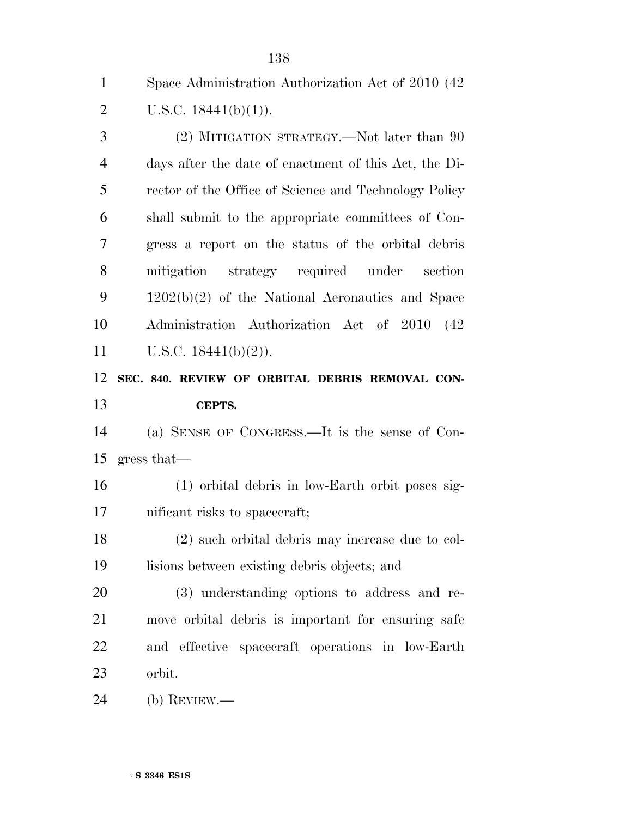Space Administration Authorization Act of 2010 (42 2 U.S.C.  $18441(b)(1)$ .

 (2) MITIGATION STRATEGY.—Not later than 90 days after the date of enactment of this Act, the Di- rector of the Office of Science and Technology Policy shall submit to the appropriate committees of Con- gress a report on the status of the orbital debris mitigation strategy required under section 1202(b)(2) of the National Aeronautics and Space Administration Authorization Act of 2010 (42 11 U.S.C.  $18441(b)(2)$ ).

### **SEC. 840. REVIEW OF ORBITAL DEBRIS REMOVAL CON-CEPTS.**

 (a) SENSE OF CONGRESS.—It is the sense of Con-gress that—

 (1) orbital debris in low-Earth orbit poses sig-nificant risks to spacecraft;

 (2) such orbital debris may increase due to col-lisions between existing debris objects; and

 (3) understanding options to address and re- move orbital debris is important for ensuring safe and effective spacecraft operations in low-Earth orbit.

(b) REVIEW.—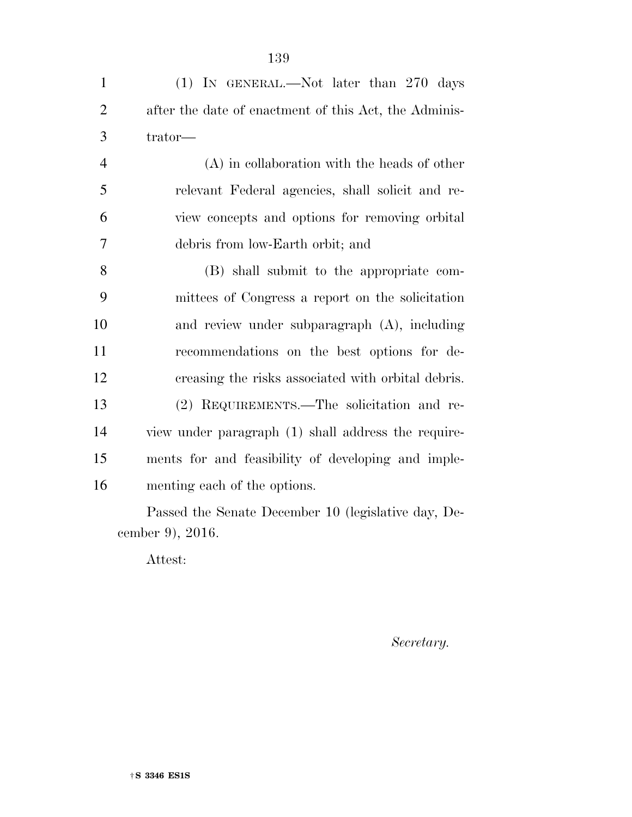| $\mathbf{1}$   | $(1)$ In GENERAL.—Not later than 270 days             |
|----------------|-------------------------------------------------------|
| 2              | after the date of enactment of this Act, the Adminis- |
| 3              | trator—                                               |
| $\overline{4}$ | (A) in collaboration with the heads of other          |
| 5              | relevant Federal agencies, shall solicit and re-      |
| 6              | view concepts and options for removing orbital        |
| 7              | debris from low-Earth orbit; and                      |
| 8              | (B) shall submit to the appropriate com-              |
| 9              | mittees of Congress a report on the solicitation      |
| 10             | and review under subparagraph $(A)$ , including       |
| 11             | recommendations on the best options for de-           |

creasing the risks associated with orbital debris.

(2) REQUIREMENTS.—The solicitation and re-

view under paragraph (1) shall address the require-

ments for and feasibility of developing and imple-

Passed the Senate December 10 (legislative day, December 9), 2016.

Attest:

menting each of the options.

*Secretary.*